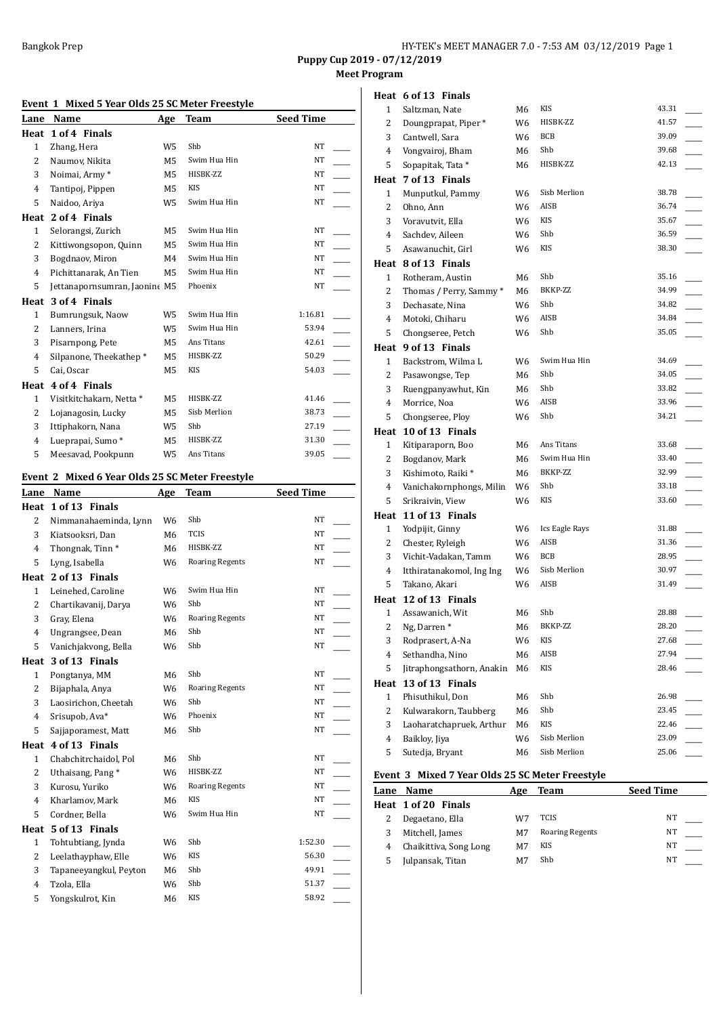**Meet Program**

| Event 1 Mixed 5 Year Olds 25 SC Meter Freestyle |
|-------------------------------------------------|
|-------------------------------------------------|

| Lane         | Name                          | Age            | Team         | <b>Seed Time</b> |
|--------------|-------------------------------|----------------|--------------|------------------|
| Heat         | 1 of 4 Finals                 |                |              |                  |
| $\mathbf{1}$ | Zhang, Hera                   | W5             | Shb          | <b>NT</b>        |
| 2            | Naumov, Nikita                | M <sub>5</sub> | Swim Hua Hin | <b>NT</b>        |
| 3            | Noimai, Army*                 | M5             | HISBK-ZZ     | <b>NT</b>        |
| 4            | Tantipoj, Pippen              | M5             | KIS          | <b>NT</b>        |
| 5            | Naidoo, Ariya                 | W5             | Swim Hua Hin | <b>NT</b>        |
| Heat         | 2 of 4 Finals                 |                |              |                  |
| $\mathbf{1}$ | Selorangsi, Zurich            | M5             | Swim Hua Hin | <b>NT</b>        |
| 2            | Kittiwongsopon, Quinn         | M5             | Swim Hua Hin | NT               |
| 3            | Bogdnaov, Miron               | M4             | Swim Hua Hin | NT               |
| 4            | Pichittanarak, An Tien        | M5             | Swim Hua Hin | <b>NT</b>        |
| 5            | Jettanapornsumran, Jaonine M5 |                | Phoenix      | <b>NT</b>        |
| Heat         | 3 of 4 Finals                 |                |              |                  |
| $\mathbf{1}$ | Bumrungsuk, Naow              | W <sub>5</sub> | Swim Hua Hin | 1:16.81          |
| 2            | Lanners, Irina                | W5             | Swim Hua Hin | 53.94            |
| 3            | Pisarnpong, Pete              | M5             | Ans Titans   | 42.61            |
| 4            | Silpanone, Theekathep*        | M5             | HISBK-ZZ     | 50.29            |
| 5            | Cai, Oscar                    | M5             | <b>KIS</b>   | 54.03            |
| Heat         | 4 of 4 Finals                 |                |              |                  |
| $\mathbf{1}$ | Visitkitchakarn, Netta *      | M5             | HISBK-ZZ     | 41.46            |
| 2            | Lojanagosin, Lucky            | M5             | Sisb Merlion | 38.73            |
| 3            | Ittiphakorn, Nana             | W5             | Shb          | 27.19            |
| 4            | Lueprapai, Sumo*              | M <sub>5</sub> | HISBK-ZZ     | 31.30            |
| 5            | Meesavad, Pookpunn            | W5             | Ans Titans   | 39.05            |

#### **Event 2 Mixed 6 Year Olds 25 SC Meter Freestyle**

| Lane           | Name                        | Age            | Team                   | <b>Seed Time</b> |  |
|----------------|-----------------------------|----------------|------------------------|------------------|--|
| Heat           | 1 of 13 Finals              |                |                        |                  |  |
| $\overline{2}$ | Nimmanahaeminda, Lynn       | W <sub>6</sub> | Shb                    | <b>NT</b>        |  |
| 3              | Kiatsooksri, Dan            | M <sub>6</sub> | <b>TCIS</b>            | NT               |  |
| $\overline{4}$ | Thongnak, Tinn <sup>*</sup> | M <sub>6</sub> | HISBK-ZZ               | <b>NT</b>        |  |
| 5              | Lyng, Isabella              | W6             | <b>Roaring Regents</b> | NT               |  |
|                | Heat 2 of 13 Finals         |                |                        |                  |  |
| $\mathbf{1}$   | Leinehed, Caroline          | W <sub>6</sub> | Swim Hua Hin           | <b>NT</b>        |  |
| $\overline{2}$ | Chartikavanij, Darya        | W <sub>6</sub> | Shb                    | <b>NT</b>        |  |
| 3              | Gray, Elena                 | W6             | <b>Roaring Regents</b> | NT               |  |
| 4              | Ungrangsee, Dean            | M6             | Shb                    | <b>NT</b>        |  |
| 5              | Vanichjakvong, Bella        | W6             | Shb                    | NT               |  |
| Heat           | 3 of 13 Finals              |                |                        |                  |  |
| $\mathbf{1}$   | Pongtanya, MM               | M <sub>6</sub> | Shb                    | NT               |  |
| 2              | Bijaphala, Anya             | W <sub>6</sub> | <b>Roaring Regents</b> | <b>NT</b>        |  |
| 3              | Laosirichon, Cheetah        | W6             | Shb                    | NT               |  |
| 4              | Srisupob, Ava*              | W6             | Phoenix                | <b>NT</b>        |  |
| 5              | Sajjaporamest, Matt         | M6             | Shb                    | NT               |  |
| Heat           | 4 of 13 Finals              |                |                        |                  |  |
| $\mathbf{1}$   | Chabchitrchaidol, Pol       | M <sub>6</sub> | Shb                    | <b>NT</b>        |  |
| 2              | Uthaisang, Pang*            | W6             | HISBK-ZZ               | <b>NT</b>        |  |
| 3              | Kurosu, Yuriko              | W6             | <b>Roaring Regents</b> | NT               |  |
| 4              | Kharlamov, Mark             | M6             | <b>KIS</b>             | <b>NT</b>        |  |
| 5              | Cordner, Bella              | W6             | Swim Hua Hin           | NT               |  |
| Heat           | 5 of 13 Finals              |                |                        |                  |  |
| $\mathbf{1}$   | Tohtubtiang, Jynda          | W6             | Shb                    | 1:52.30          |  |
| 2              | Leelathayphaw, Elle         | W6             | <b>KIS</b>             | 56.30            |  |
| 3              | Tapaneeyangkul, Peyton      | M6             | Shb                    | 49.91            |  |
| $\overline{4}$ | Tzola, Ella                 | W <sub>6</sub> | Shb                    | 51.37            |  |
| 5              | Yongskulrot, Kin            | M6             | <b>KIS</b>             | 58.92            |  |
|                |                             |                |                        |                  |  |

|                              | Heat 6 of 13 Finals              |                |                              |                |
|------------------------------|----------------------------------|----------------|------------------------------|----------------|
| $\mathbf{1}$                 | Saltzman, Nate                   | M6             | KIS                          | 43.31          |
| 2                            | Doungprapat, Piper*              | W6             | HISBK-ZZ                     | 41.57          |
| 3                            | Cantwell, Sara                   | W6             | BCB                          | 39.09          |
| 4                            | Vongvairoj, Bham                 | M6             | Shb                          | 39.68          |
| 5                            | Sopapitak, Tata*                 | M6             | HISBK-ZZ                     | 42.13          |
|                              | Heat 7 of 13 Finals              |                |                              |                |
| 1                            | Munputkul, Pammy                 | W6             | Sisb Merlion                 | 38.78          |
| 2                            | Ohno, Ann                        | W <sub>6</sub> | AISB                         | 36.74          |
| 3                            | Voravutvit, Ella                 | W6             | <b>KIS</b>                   | 35.67          |
| 4                            | Sachdev, Aileen                  | W6             | Shb                          | 36.59          |
| 5                            | Asawanuchit, Girl                | W6             | <b>KIS</b>                   | 38.30          |
|                              | Heat 8 of 13 Finals              |                |                              |                |
| $\mathbf{1}$                 | Rotheram, Austin                 | M6             | Shb                          | 35.16          |
| 2                            | Thomas / Perry, Sammy *          | M6             | BKKP-ZZ                      | 34.99          |
| 3                            | Dechasate, Nina                  | W6             | Shb                          | 34.82          |
| 4                            | Motoki, Chiharu                  | W6             | AISB                         | 34.84          |
| 5                            | Chongseree, Petch                | W6             | Shb                          | 35.05          |
|                              | Heat 9 of 13 Finals              |                |                              |                |
| $\mathbf{1}$                 | Backstrom, Wilma L               | W6             | Swim Hua Hin                 | 34.69          |
| 2                            | Pasawongse, Tep                  | M6             | Shb                          | 34.05          |
| 3                            | Ruengpanyawhut, Kin              | M6             | Shb                          | 33.82          |
| 4                            | Morrice, Noa                     | W6             | <b>AISB</b>                  | 33.96          |
| 5                            | Chongseree, Ploy                 | W6             | Shb                          | 34.21          |
|                              | Heat 10 of 13 Finals             |                |                              |                |
|                              |                                  |                |                              |                |
| 1                            | Kitiparaporn, Boo                | M6             | Ans Titans                   | 33.68          |
| 2                            | Bogdanov, Mark                   | M6             | Swim Hua Hin                 | 33.40          |
| 3                            | Kishimoto, Raiki*                | M6             | BKKP-ZZ                      | 32.99          |
| 4                            | Vanichakornphongs, Milin         | W6             | Shb                          | 33.18          |
| 5                            | Srikraivin, View                 | W6             | KIS                          | 33.60          |
|                              | Heat 11 of 13 Finals             |                |                              |                |
| $\mathbf{1}$                 | Yodpijit, Ginny                  | W6             | Ics Eagle Rays               | 31.88          |
| 2                            | Chester, Ryleigh                 | W6             | AISB                         | 31.36          |
| 3                            | Vichit-Vadakan, Tamm             | W6             | <b>BCB</b>                   | 28.95          |
| 4                            | Itthiratanakomol, Ing Ing        | W6             | Sisb Merlion                 | 30.97          |
| 5                            | Takano, Akari                    | W6             | AISB                         | 31.49          |
|                              | Heat 12 of 13 Finals             |                |                              |                |
| 1                            | Assawanich, Wit                  | М6             | Shb                          | 28.88          |
| $\overline{\mathbf{c}}$      | Ng, Darren*                      | М6             | BKKP-ZZ                      | 28.20          |
| 3                            | Rodprasert, A-Na                 | W6             | KIS                          | 27.68          |
| 4                            | Sethandha, Nino                  | M <sub>6</sub> | AISB                         | 27.94          |
| 5                            | Jitraphongsathorn, Anakin        | М6             | KIS                          | 28.46          |
| Heat                         | 13 of 13 Finals                  |                |                              |                |
| $\mathbf{1}$                 | Phisuthikul, Don                 | М6             | Shb                          | 26.98          |
| 2                            | Kulwarakorn, Taubberg            | М6             | Shb                          | 23.45          |
| 3                            | Laoharatchapruek, Arthur         | M6             | KIS                          | 22.46          |
| $\overline{\mathbf{4}}$<br>5 | Baikloy, Jiya<br>Sutedja, Bryant | W6<br>М6       | Sisb Merlion<br>Sisb Merlion | 23.09<br>25.06 |

## **Event 3 Mixed 7 Year Olds 25 SC Meter Freestyle**

| Lane | Name                   | Age | Team                   | <b>Seed Time</b> |
|------|------------------------|-----|------------------------|------------------|
|      | Heat 1 of 20 Finals    |     |                        |                  |
|      | Degaetano, Ella        | W7  | TCIS                   | NΤ               |
|      | Mitchell, James        | M7  | <b>Roaring Regents</b> | NΤ               |
|      | Chaikittiva, Song Long | M7  | KIS                    | NΤ               |
|      | Julpansak, Titan       | M7  | Shb                    | NΤ               |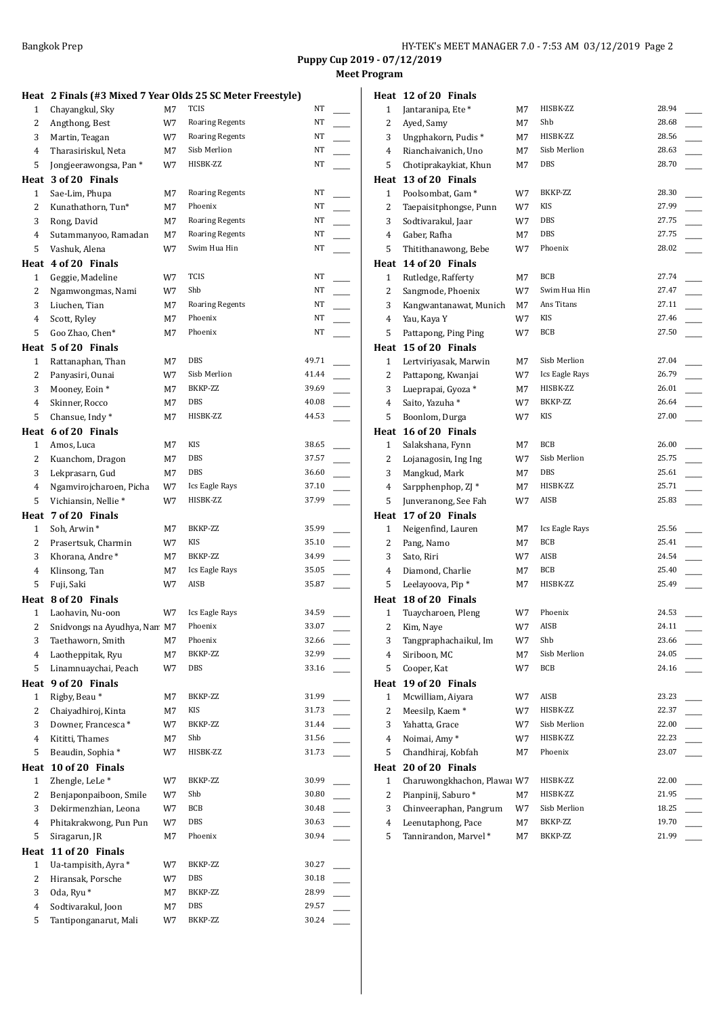## **Meet Program**

|                |                                 |    |                                                            | <b>Puppy Cup 2</b> | Mee |
|----------------|---------------------------------|----|------------------------------------------------------------|--------------------|-----|
|                |                                 |    | Heat 2 Finals (#3 Mixed 7 Year Olds 25 SC Meter Freestyle) |                    |     |
| 1              | Chayangkul, Sky                 | M7 | TCIS                                                       | NT                 |     |
| 2              | Angthong, Best                  | W7 | <b>Roaring Regents</b>                                     | NT                 |     |
| 3              | Martin, Teagan                  | W7 | <b>Roaring Regents</b>                                     | NT                 |     |
| 4              | Tharasiriskul, Neta             | M7 | Sisb Merlion                                               | NΤ                 |     |
| 5              | Jongjeerawongsa, Pan*           | W7 | HISBK-ZZ                                                   | NT                 |     |
|                | Heat 3 of 20 Finals             |    |                                                            |                    |     |
| $\mathbf{1}$   | Sae-Lim, Phupa                  | M7 | <b>Roaring Regents</b>                                     | NT                 |     |
| 2              | Kunathathorn, Tun*              | M7 | Phoenix                                                    | NT                 |     |
| 3              | Rong, David                     | M7 | <b>Roaring Regents</b>                                     | NT                 |     |
| 4              | Sutammanyoo, Ramadan            | M7 | <b>Roaring Regents</b>                                     | NT                 |     |
| 5              | Vashuk, Alena                   | W7 | Swim Hua Hin                                               | NT                 |     |
|                | Heat 4 of 20 Finals             |    |                                                            |                    |     |
| 1              | Geggie, Madeline                | W7 | <b>TCIS</b>                                                | NT                 |     |
| 2              | Ngamwongmas, Nami               | W7 | Shb                                                        | NT                 |     |
| 3              | Liuchen, Tian                   | M7 | <b>Roaring Regents</b>                                     | NT                 |     |
| 4              | Scott, Ryley                    | M7 | Phoenix                                                    | NT                 |     |
| 5              | Goo Zhao, Chen*                 | M7 | Phoenix                                                    | NT                 |     |
|                | Heat 5 of 20 Finals             |    |                                                            |                    |     |
| 1              | Rattanaphan, Than               | M7 | DBS                                                        | 49.71              |     |
| $\overline{2}$ | Panyasiri, Ounai                | W7 | Sisb Merlion                                               | 41.44              |     |
| 3              | Mooney, Eoin *                  | M7 | BKKP-ZZ                                                    | 39.69              |     |
| 4              | Skinner, Rocco                  | M7 | DBS                                                        | 40.08              |     |
| 5              | Chansue, Indy*                  | M7 | HISBK-ZZ                                                   | 44.53              |     |
|                | Heat 6 of 20 Finals             |    |                                                            |                    |     |
| $\mathbf{1}$   | Amos, Luca                      | M7 | <b>KIS</b>                                                 | 38.65              |     |
| 2              | Kuanchom, Dragon                | M7 | DBS                                                        | 37.57              |     |
| 3              | Lekprasarn, Gud                 | M7 | DBS                                                        | 36.60              |     |
| 4              | Ngamvirojcharoen, Picha         | W7 | Ics Eagle Rays                                             | 37.10              |     |
| 5              | Vichiansin, Nellie <sup>*</sup> | W7 | HISBK-ZZ                                                   | 37.99              |     |
|                | Heat 7 of 20 Finals             |    |                                                            |                    |     |
| 1              | Soh, Arwin*                     | M7 | BKKP-ZZ                                                    | 35.99              |     |
| 2              | Prasertsuk, Charmin             | W7 | KIS                                                        | 35.10              |     |
| 3              | Khorana, Andre*                 | M7 | BKKP-ZZ                                                    | 34.99              |     |
| 4              | Klinsong, Tan                   | M7 | Ics Eagle Rays                                             | 35.05              |     |
| 5              | Fuji, Saki                      | W7 | AISB                                                       | 35.87              |     |
|                | Heat 8 of 20 Finals             |    |                                                            |                    |     |
| $\mathbf{1}$   | Laohavin, Nu-oon                | W7 | Ics Eagle Rays                                             | 34.59              |     |
| 2              | Snidvongs na Ayudhya, Nan M7    |    | Phoenix                                                    | 33.07              |     |
| 3              | Taethaworn, Smith               | М7 | Phoenix                                                    | 32.66              |     |
| 4              | Laotheppitak, Ryu               | M7 | BKKP-ZZ                                                    | 32.99              |     |
| 5              | Linamnuaychai, Peach            | W7 | DBS                                                        | 33.16              |     |
|                | Heat 9 of 20 Finals             |    |                                                            |                    |     |
| 1              | Rigby, Beau*                    | М7 | BKKP-ZZ                                                    | 31.99              |     |
| 2              | Chaiyadhiroj, Kinta             | M7 | KIS                                                        | 31.73              |     |
| 3              | Downer, Francesca*              | W7 | BKKP-ZZ                                                    | 31.44              |     |
| 4              | Kititti, Thames                 | М7 | Shb                                                        | 31.56              |     |
| 5              | Beaudin, Sophia*                | W7 | HISBK-ZZ                                                   | 31.73              |     |
|                | Heat 10 of 20 Finals            |    |                                                            |                    |     |
| $\mathbf{1}$   | Zhengle, LeLe*                  | W7 | BKKP-ZZ                                                    | 30.99              |     |
| 2              | Benjaponpaiboon, Smile          | W7 | Shb                                                        | 30.80              |     |
| 3              | Dekirmenzhian, Leona            | W7 | BCB                                                        | 30.48              |     |
| 4              | Phitakrakwong, Pun Pun          | W7 | DBS                                                        | 30.63              |     |
| 5              | Siragarun, JR                   | M7 | Phoenix                                                    | 30.94              |     |
|                | Heat 11 of 20 Finals            |    |                                                            |                    |     |
| $\mathbf{1}$   | Ua-tampisith, Ayra *            | W7 | BKKP-ZZ                                                    | 30.27              |     |
| 2              | Hiransak, Porsche               | W7 | DBS                                                        | 30.18              |     |
| 3              | Oda, Ryu <sup>*</sup>           | М7 | BKKP-ZZ                                                    | 28.99              |     |
| 4              | Sodtivarakul, Joon              | M7 | DBS                                                        | 29.57              |     |
|                |                                 |    |                                                            |                    |     |

5 Tantiponganarut, Mali W7 BKKP-ZZ 30.24

| Heat         | 12 of 20 Finals              |    |                 |       |
|--------------|------------------------------|----|-----------------|-------|
| 1            | Jantaranipa, Ete *           | М7 | HISBK-ZZ        | 28.94 |
| 2            | Ayed, Samy                   | M7 | Shb             | 28.68 |
| 3            | Ungphakorn, Pudis*           | M7 | HISBK-ZZ        | 28.56 |
| 4            | Rianchaivanich, Uno          | M7 | Sisb Merlion    | 28.63 |
| 5            | Chotiprakaykiat, Khun        | М7 | <b>DBS</b>      | 28.70 |
|              | Heat 13 of 20 Finals         |    |                 |       |
| $\mathbf{1}$ | Poolsombat, Gam <sup>*</sup> | W7 | BKKP-ZZ         | 28.30 |
| 2            | Taepaisitphongse, Punn       | W7 | KIS             | 27.99 |
| 3            | Sodtivarakul, Jaar           | W7 | DBS             | 27.75 |
| 4            | Gaber, Rafha                 | M7 | DBS             | 27.75 |
| 5            | Thitithanawong, Bebe         | W7 | Phoenix         | 28.02 |
|              | Heat 14 of 20 Finals         |    |                 |       |
| $\mathbf{1}$ | Rutledge, Rafferty           | M7 | BCB             | 27.74 |
| 2            | Sangmode, Phoenix            | W7 | Swim Hua Hin    | 27.47 |
| 3            | Kangwantanawat, Munich       | M7 | Ans Titans      | 27.11 |
| 4            | Yau, Kaya Y                  | W7 | KIS             | 27.46 |
| 5            | Pattapong, Ping Ping         | W7 | BCB             | 27.50 |
| Heat         | 15 of 20 Finals              |    |                 |       |
| $\mathbf{1}$ | Lertviriyasak, Marwin        | M7 | Sisb Merlion    | 27.04 |
| 2            | Pattapong, Kwanjai           | W7 | Ics Eagle Rays  | 26.79 |
| 3            | Lueprapai, Gyoza*            | M7 | HISBK-ZZ        | 26.01 |
| 4            | Saito, Yazuha*               | W7 | <b>BKKP-7.7</b> | 26.64 |
| 5            | Boonlom, Durga               | W7 | KIS             | 27.00 |
|              | Heat 16 of 20 Finals         |    |                 |       |
| $\mathbf{1}$ | Salakshana, Fynn             | M7 | BCB             | 26.00 |
| 2            | Lojanagosin, Ing Ing         | W7 | Sisb Merlion    | 25.75 |
| 3            | Mangkud, Mark                | M7 | DBS             | 25.61 |
| 4            | Sarpphenphop, ZJ *           | M7 | HISBK-ZZ        | 25.71 |
| 5            | Junveranong, See Fah         | W7 | AISB            | 25.83 |
|              | Heat 17 of 20 Finals         |    |                 |       |
| 1            | Neigenfind, Lauren           | M7 | Ics Eagle Rays  | 25.56 |
| 2            | Pang, Namo                   | M7 | BCB             | 25.41 |
| 3            | Sato, Riri                   | W7 | AISB            | 24.54 |
| 4            | Diamond, Charlie             | M7 | BCB             | 25.40 |
| 5            | Leelayoova, Pip*             | M7 | HISBK-ZZ        | 25.49 |
| Heat         | 18 of 20 Finals              |    |                 |       |
| $\mathbf{1}$ | Tuaycharoen, Pleng           | W7 | Phoenix         | 24.53 |
| 2            | Kim, Naye                    | W7 | AISB            | 24.11 |
| 3            | Tangpraphachaikul, Im        | W7 | Shb             | 23.66 |
| 4            | Siriboon, MC                 | M7 | Sisb Merlion    | 24.05 |
| 5            | Cooper, Kat                  | W7 | <b>BCB</b>      | 24.16 |
| Heat         | 19 of 20 Finals              |    |                 |       |
| $\mathbf{1}$ | Mcwilliam, Aiyara            | W7 | AISB            | 23.23 |
| 2            | Meesilp, Kaem*               | W7 | HISBK-ZZ        | 22.37 |
| 3            | Yahatta, Grace               | W7 | Sisb Merlion    | 22.00 |
| 4            | Noimai, Amy*                 | W7 | HISBK-ZZ        | 22.23 |
| 5            | Chandhiraj, Kobfah           | M7 | Phoenix         | 23.07 |
| Heat         | 20 of 20 Finals              |    |                 |       |
| $\mathbf{1}$ | Charuwongkhachon, Plawai W7  |    | HISBK-ZZ        | 22.00 |
| 2            | Pianpinij, Saburo*           | М7 | HISBK-ZZ        | 21.95 |
| 3            | Chinveeraphan, Pangrum       | W7 | Sisb Merlion    | 18.25 |
| 4            | Leenutaphong, Pace           | M7 | BKKP-ZZ         | 19.70 |
| 5            | Tannirandon, Marvel*         | М7 | BKKP-ZZ         | 21.99 |
|              |                              |    |                 |       |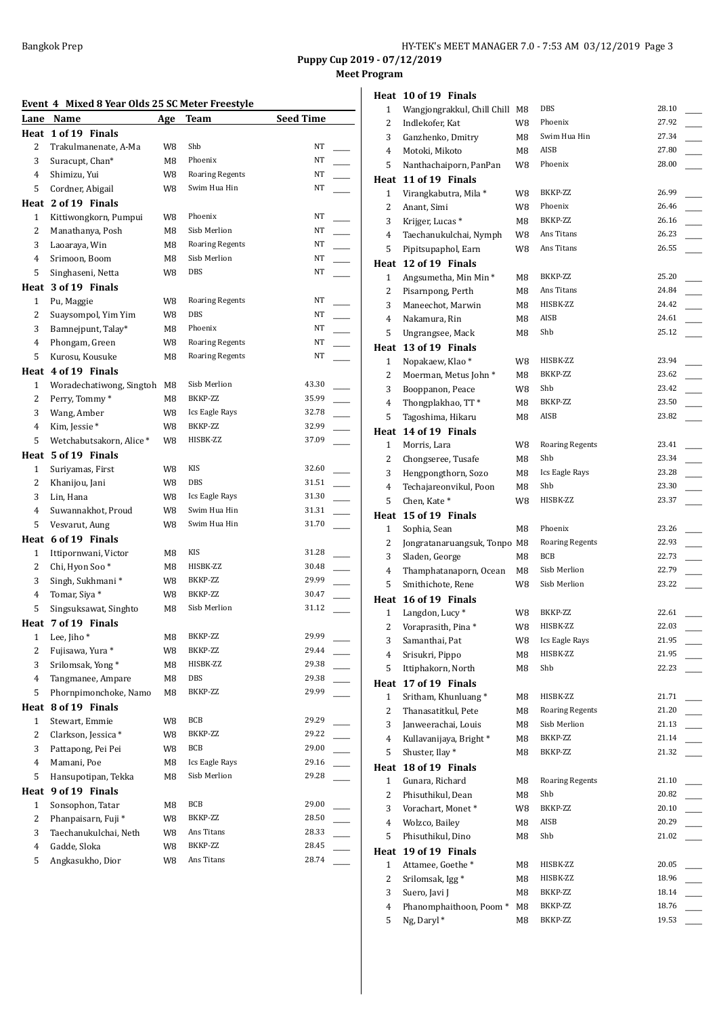**Meet Program**

## **Event 4 Mixed 8 Year Olds 25 SC Meter Freestyle**

|                | Lane Name                      | <b>Age</b> | Team                   | <b>Seed Time</b> |  |
|----------------|--------------------------------|------------|------------------------|------------------|--|
| Heat           | 1 of 19 Finals                 |            |                        |                  |  |
| 2              | Trakulmanenate, A-Ma           | W8         | Shb                    | NT               |  |
| 3              | Suracupt, Chan*                | M8         | Phoenix                | NT               |  |
| 4              | Shimizu, Yui                   | W8         | <b>Roaring Regents</b> | NT               |  |
| 5              | Cordner, Abigail               | W8         | Swim Hua Hin           | NT               |  |
| Heat           | 2 of 19 Finals                 |            |                        |                  |  |
| 1              | Kittiwongkorn, Pumpui          | W8         | Phoenix                | NT               |  |
| 2              | Manathanya, Posh               | M8         | Sisb Merlion           | NT               |  |
| 3              | Laoaraya, Win                  | M8         | <b>Roaring Regents</b> | NT               |  |
| 4              | Srimoon, Boom                  | M8         | Sisb Merlion           | NT               |  |
| 5              | Singhaseni, Netta              | W8         | <b>DBS</b>             | NT               |  |
|                | Heat 3 of 19 Finals            |            |                        |                  |  |
|                |                                |            |                        | NT               |  |
| $\mathbf{1}$   | Pu, Maggie                     | W8         | <b>Roaring Regents</b> |                  |  |
| 2              | Suaysompol, Yim Yim            | W8         | DBS                    | NT               |  |
| 3              | Bamnejpunt, Talay*             | M8         | Phoenix                | NT               |  |
| 4              | Phongam, Green                 | W8         | <b>Roaring Regents</b> | NT               |  |
| 5              | Kurosu, Kousuke                | M8         | <b>Roaring Regents</b> | NT               |  |
|                | Heat 4 of 19 Finals            |            |                        |                  |  |
| $\mathbf{1}$   | Woradechatiwong, Singtoh       | M8         | Sisb Merlion           | 43.30            |  |
| 2              | Perry, Tommy*                  | M8         | BKKP-ZZ                | 35.99            |  |
| 3              | Wang, Amber                    | W8         | Ics Eagle Rays         | 32.78            |  |
| $\overline{4}$ | Kim, Jessie*                   | W8         | BKKP-ZZ                | 32.99            |  |
| 5              | Wetchabutsakorn, Alice *       | W8         | HISBK-ZZ               | 37.09            |  |
|                | Heat 5 of 19 Finals            |            |                        |                  |  |
| $\mathbf{1}$   | Suriyamas, First               | W8         | KIS                    | 32.60            |  |
| $\overline{2}$ | Khanijou, Jani                 | W8         | DBS                    | 31.51            |  |
| 3              | Lin, Hana                      | W8         | Ics Eagle Rays         | 31.30            |  |
| 4              | Suwannakhot, Proud             | W8         | Swim Hua Hin           | 31.31            |  |
| 5              | Vesvarut, Aung                 | W8         | Swim Hua Hin           | 31.70            |  |
|                |                                |            |                        |                  |  |
|                | Heat 6 of 19 Finals            |            | KIS                    |                  |  |
| $\mathbf{1}$   | Ittipornwani, Victor           | M8         |                        | 31.28            |  |
| 2              | Chi, Hyon Soo*                 | M8         | HISBK-ZZ               | 30.48            |  |
| 3              | Singh, Sukhmani*               | W8         | BKKP-ZZ                | 29.99            |  |
| 4              | Tomar, Siya *                  | W8         | BKKP-ZZ                | 30.47            |  |
| 5              | Singsuksawat, Singhto          | M8         | Sisb Merlion           | 31.12            |  |
| Heat           | 7 of 19 Finals                 |            |                        |                  |  |
| 1              | Lee, Jiho*                     | M8         | BKKP-ZZ                | 29.99            |  |
| 2              | Fujisawa, Yura *               | w8         | BKKP-ZZ                | 29.44            |  |
| 3              | Srilomsak, Yong*               | M8         | HISBK-ZZ               | 29.38            |  |
| 4              | Tangmanee, Ampare              | M8         | DBS                    | 29.38            |  |
| 5              | Phornpimonchoke, Namo          | M8         | BKKP-ZZ                | 29.99            |  |
| Heat           | 8 of 19 Finals                 |            |                        |                  |  |
| $\mathbf{1}$   | Stewart, Emmie                 | W8         | BCB                    | 29.29            |  |
| 2              | Clarkson, Jessica*             | W8         | BKKP-ZZ                | 29.22            |  |
| 3              | Pattapong, Pei Pei             | W8         | <b>BCB</b>             | 29.00            |  |
| 4              | Mamani, Poe                    | M8         | Ics Eagle Rays         | 29.16            |  |
| 5              | Hansupotipan, Tekka            | M8         | Sisb Merlion           | 29.28            |  |
| Heat           | 9 of 19 Finals                 |            |                        |                  |  |
| $\mathbf{1}$   | Sonsophon, Tatar               | M8         | <b>BCB</b>             | 29.00            |  |
| 2              | Phanpaisarn, Fuji <sup>*</sup> | W8         | BKKP-ZZ                | 28.50            |  |
| 3              | Taechanukulchai, Neth          | W8         | Ans Titans             | 28.33            |  |
| 4              |                                |            | BKKP-ZZ                | 28.45            |  |
|                | Gadde, Sloka                   | W8         | Ans Titans             | 28.74            |  |
| 5              | Angkasukho, Dior               | W8         |                        |                  |  |

|                         | Heat 10 of 19 Finals           |    |                        |       |
|-------------------------|--------------------------------|----|------------------------|-------|
| $\mathbf{1}$            | Wangjongrakkul, Chill Chill M8 |    | DBS                    | 28.10 |
| 2                       | Indlekofer, Kat                | W8 | Phoenix                | 27.92 |
| 3                       | Ganzhenko, Dmitry              | M8 | Swim Hua Hin           | 27.34 |
| 4                       | Motoki, Mikoto                 | M8 | AISB                   | 27.80 |
| 5                       | Nanthachaiporn, PanPan         | W8 | Phoenix                | 28.00 |
|                         | Heat 11 of 19 Finals           |    |                        |       |
| 1                       | Virangkabutra, Mila *          | W8 | BKKP-ZZ                | 26.99 |
| 2                       | Anant, Simi                    | W8 | Phoenix                | 26.46 |
| 3                       | Krijger, Lucas <sup>*</sup>    | M8 | BKKP-ZZ                | 26.16 |
| 4                       | Taechanukulchai, Nymph         | W8 | Ans Titans             | 26.23 |
| 5                       | Pipitsupaphol, Earn            | W8 | Ans Titans             | 26.55 |
|                         | Heat 12 of 19 Finals           |    |                        |       |
|                         |                                |    | BKKP-ZZ                | 25.20 |
| $\mathbf{1}$            | Angsumetha, Min Min*           | M8 | Ans Titans             | 24.84 |
| 2                       | Pisarnpong, Perth              | M8 |                        |       |
| 3                       | Maneechot, Marwin              | M8 | HISBK-ZZ               | 24.42 |
| 4                       | Nakamura, Rin                  | M8 | AISB                   | 24.61 |
| 5                       | Ungrangsee, Mack               | M8 | Shb                    | 25.12 |
|                         | Heat 13 of 19 Finals           |    |                        |       |
| $\mathbf{1}$            | Nopakaew, Klao*                | W8 | HISBK-ZZ               | 23.94 |
| 2                       | Moerman, Metus John*           | M8 | BKKP-ZZ                | 23.62 |
| 3                       | Booppanon, Peace               | W8 | Shb                    | 23.42 |
| 4                       | Thongplakhao, TT*              | M8 | BKKP-ZZ                | 23.50 |
| 5                       | Tagoshima, Hikaru              | M8 | AISB                   | 23.82 |
|                         | Heat 14 of 19 Finals           |    |                        |       |
| 1                       | Morris, Lara                   | W8 | <b>Roaring Regents</b> | 23.41 |
| 2                       | Chongseree, Tusafe             | M8 | Shb                    | 23.34 |
| 3                       | Hengpongthorn, Sozo            | M8 | Ics Eagle Rays         | 23.28 |
| 4                       | Techajareonvikul, Poon         | M8 | Shb                    | 23.30 |
| 5                       | Chen, Kate*                    | W8 | HISBK-ZZ               | 23.37 |
|                         |                                |    |                        |       |
|                         | Heat 15 of 19 Finals           |    |                        |       |
| 1                       | Sophia, Sean                   | M8 | Phoenix                | 23.26 |
| 2                       | Jongratanaruangsuk, Tonpo M8   |    | <b>Roaring Regents</b> | 22.93 |
|                         |                                | M8 | BCB                    | 22.73 |
| 3                       | Sladen, George                 | M8 | Sisb Merlion           | 22.79 |
| 4                       | Thamphatanaporn, Ocean         |    | Sisb Merlion           | 23.22 |
| 5                       | Smithichote, Rene              | W8 |                        |       |
|                         | Heat 16 of 19 Finals           |    |                        |       |
| 1                       | Langdon, Lucy <sup>*</sup>     | W8 | BKKP-ZZ                | 22.61 |
| $\overline{\mathbf{c}}$ | Voraprasith, Pina*             | W8 | HISBK-ZZ               | 22.03 |
| 3                       | Samanthai, Pat                 | W8 | Ics Eagle Rays         | 21.95 |
| 4                       | Srisukri, Pippo                | M8 | HISBK-ZZ               | 21.95 |
| 5                       | Ittiphakorn, North             | M8 | Shb                    | 22.23 |
| Heat                    | 17 of 19 Finals                |    |                        |       |
| $\mathbf{1}$            | Sritham, Khunluang*            | M8 | HISBK-ZZ               | 21.71 |
| 2                       | Thanasatitkul, Pete            | M8 | <b>Roaring Regents</b> | 21.20 |
| 3                       | Janweerachai, Louis            | M8 | Sisb Merlion           | 21.13 |
| 4                       | Kullavanijaya, Bright*         | M8 | BKKP-ZZ                | 21.14 |
| 5                       | Shuster, Ilay*                 | M8 | BKKP-ZZ                | 21.32 |
| Heat                    | 18 of 19 Finals                |    |                        |       |
| $\mathbf{1}$            | Gunara, Richard                | M8 | <b>Roaring Regents</b> | 21.10 |
| 2                       | Phisuthikul, Dean              | M8 | Shb                    | 20.82 |
| 3                       | Vorachart, Monet*              | W8 | BKKP-ZZ                | 20.10 |
| 4                       | Wolzco, Bailey                 | M8 | AISB                   | 20.29 |
| 5                       | Phisuthikul, Dino              | M8 | Shb                    | 21.02 |
| Heat                    | 19 of 19 Finals                |    |                        |       |
| $\mathbf{1}$            | Attamee, Goethe*               | M8 | HISBK-ZZ               | 20.05 |
| 2                       | Srilomsak, Igg*                | M8 | HISBK-ZZ               | 18.96 |
| 3                       | Suero, Javi J                  | M8 | BKKP-ZZ                | 18.14 |
| 4                       | Phanomphaithoon, Poom*         | M8 | BKKP-ZZ                | 18.76 |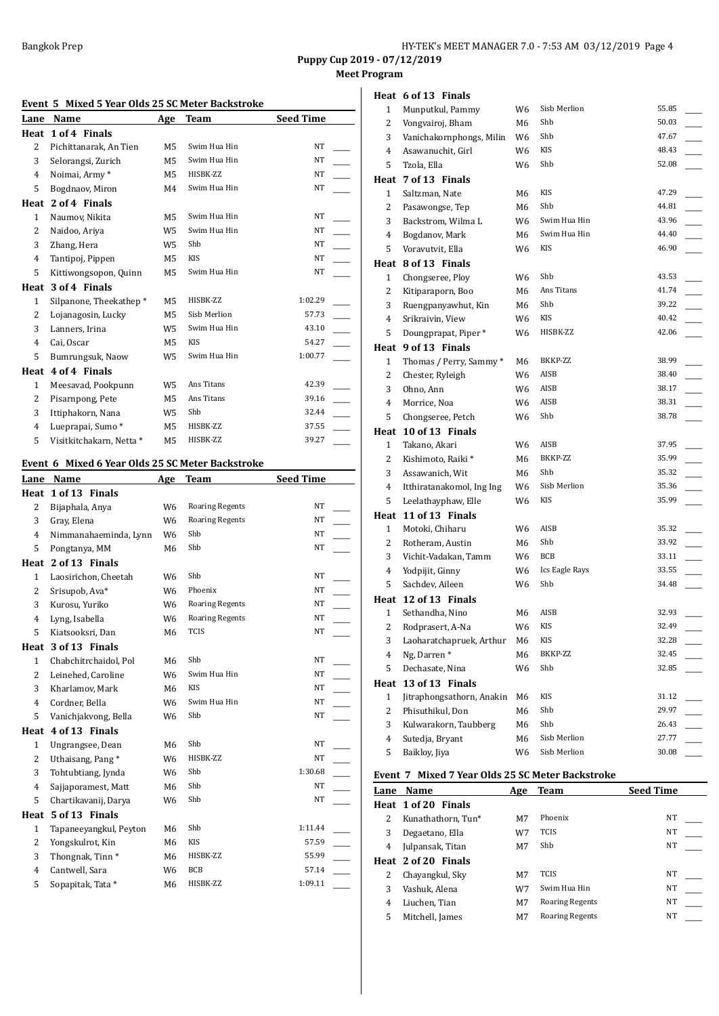**Meet Program**

|  |  | Event 5 Mixed 5 Year Olds 25 SC Meter Backstroke |
|--|--|--------------------------------------------------|
|  |  |                                                  |

| Lane           | <b>Name</b>              | Age            | Team         | <b>Seed Time</b> |
|----------------|--------------------------|----------------|--------------|------------------|
| Heat           | 1 of 4 Finals            |                |              |                  |
| $\overline{2}$ | Pichittanarak, An Tien   | M5             | Swim Hua Hin | <b>NT</b>        |
| 3              | Selorangsi, Zurich       | M5             | Swim Hua Hin | NT               |
| 4              | Noimai, Army*            | M5             | HISBK-ZZ     | <b>NT</b>        |
| 5              | Bogdnaov, Miron          | M4             | Swim Hua Hin | NT               |
| Heat           | 2 of 4 Finals            |                |              |                  |
| $\mathbf{1}$   | Naumov, Nikita           | M5             | Swim Hua Hin | NT               |
| 2              | Naidoo, Ariya            | W <sub>5</sub> | Swim Hua Hin | NT               |
| 3              | Zhang, Hera              | W <sub>5</sub> | Shb          | NT               |
| 4              | Tantipoj, Pippen         | M5             | <b>KIS</b>   | NT               |
| 5              | Kittiwongsopon, Quinn    | M5             | Swim Hua Hin | <b>NT</b>        |
| Heat           | 3 of 4 Finals            |                |              |                  |
| $\mathbf{1}$   | Silpanone, Theekathep*   | M5             | HISBK-ZZ     | 1:02.29          |
| 2              | Lojanagosin, Lucky       | M5             | Sisb Merlion | 57.73            |
| 3              | Lanners, Irina           | W5             | Swim Hua Hin | 43.10            |
| 4              | Cai, Oscar               | M5             | KIS          | 54.27            |
| 5              | Bumrungsuk, Naow         | W5             | Swim Hua Hin | 1:00.77          |
| Heat           | 4 of 4 Finals            |                |              |                  |
| $\mathbf{1}$   | Meesavad, Pookpunn       | W <sub>5</sub> | Ans Titans   | 42.39            |
| $\overline{2}$ | Pisarnpong, Pete         | M5             | Ans Titans   | 39.16            |
| 3              | Ittiphakorn, Nana        | W <sub>5</sub> | Shb          | 32.44            |
| 4              | Lueprapai, Sumo*         | M5             | HISBK-ZZ     | 37.55            |
| 5              | Visitkitchakarn, Netta * | M5             | HISBK-ZZ     | 39.27            |

## **Event 6 Mixed 6 Year Olds 25 SC Meter Backstroke**

| Lane           | Name                        | Age            | <b>Team</b>            | <b>Seed Time</b> |  |
|----------------|-----------------------------|----------------|------------------------|------------------|--|
| Heat           | 1 of 13 Finals              |                |                        |                  |  |
| $\overline{2}$ | Bijaphala, Anya             | W <sub>6</sub> | <b>Roaring Regents</b> | <b>NT</b>        |  |
| 3              | Gray, Elena                 | W <sub>6</sub> | <b>Roaring Regents</b> | <b>NT</b>        |  |
| 4              | Nimmanahaeminda, Lynn       | W <sub>6</sub> | Shb                    | <b>NT</b>        |  |
| 5              | Pongtanya, MM               | M6             | Shb                    | NT               |  |
| Heat           | 2 of 13 Finals              |                |                        |                  |  |
| $\mathbf{1}$   | Laosirichon, Cheetah        | W <sub>6</sub> | Shb                    | <b>NT</b>        |  |
| $\overline{2}$ | Srisupob, Ava*              | W <sub>6</sub> | Phoenix                | <b>NT</b>        |  |
| 3              | Kurosu, Yuriko              | W <sub>6</sub> | <b>Roaring Regents</b> | NT               |  |
| $\overline{4}$ | Lyng, Isabella              | W <sub>6</sub> | <b>Roaring Regents</b> | NT               |  |
| 5              | Kiatsooksri, Dan            | M6             | <b>TCIS</b>            | NT               |  |
| Heat           | 3 of 13 Finals              |                |                        |                  |  |
| $\mathbf{1}$   | Chabchitrchaidol, Pol       | M6             | Shb                    | <b>NT</b>        |  |
| $\overline{2}$ | Leinehed, Caroline          | W <sub>6</sub> | Swim Hua Hin           | <b>NT</b>        |  |
| 3              | Kharlamov, Mark             | M6             | <b>KIS</b>             | NT               |  |
| $\overline{4}$ | Cordner, Bella              | W <sub>6</sub> | Swim Hua Hin           | <b>NT</b>        |  |
| 5              | Vanichjakvong, Bella        | W6             | Shb                    | NT               |  |
| Heat           | 4 of 13 Finals              |                |                        |                  |  |
| $\mathbf{1}$   | Ungrangsee, Dean            | M6             | Shb                    | <b>NT</b>        |  |
| $\overline{2}$ | Uthaisang, Pang*            | W <sub>6</sub> | HISBK-ZZ               | <b>NT</b>        |  |
| 3              | Tohtubtiang, Jynda          | W <sub>6</sub> | Shb                    | 1:30.68          |  |
| $\overline{4}$ | Sajjaporamest, Matt         | M6             | Shb                    | NT               |  |
| 5              | Chartikavanij, Darya        | W6             | Shb                    | NT               |  |
| Heat           | 5 of 13 Finals              |                |                        |                  |  |
| $\mathbf{1}$   | Tapaneeyangkul, Peyton      | M6             | Shb                    | 1:11.44          |  |
| $\overline{2}$ | Yongskulrot, Kin            | M6             | <b>KIS</b>             | 57.59            |  |
| 3              | Thongnak, Tinn <sup>*</sup> | M6             | HISBK-ZZ               | 55.99            |  |
| $\overline{4}$ | Cantwell, Sara              | W <sub>6</sub> | <b>BCB</b>             | 57.14            |  |
| 5              | Sopapitak, Tata *           | M6             | HISBK-ZZ               | 1:09.11          |  |
|                |                             |                |                        |                  |  |

| Heat 6 of 13 Fina |  |
|-------------------|--|

|                | Heat 6 of 13 Finals       |     |                |       |
|----------------|---------------------------|-----|----------------|-------|
| 1              | Munputkul, Pammy          | W6  | Sisb Merlion   | 55.85 |
| 2              | Vongvairoj, Bham          | M6  | Shb            | 50.03 |
| 3              | Vanichakornphongs, Milin  | W6  | Shb            | 47.67 |
| 4              | Asawanuchit, Girl         | W6  | KIS            | 48.43 |
| 5              | Tzola, Ella               | W6  | Shb            | 52.08 |
|                | Heat 7 of 13 Finals       |     |                |       |
| 1              | Saltzman, Nate            | M6  | KIS            | 47.29 |
| 2              | Pasawongse, Tep           | M6  | Shb            | 44.81 |
| 3              | Backstrom, Wilma L        | W6  | Swim Hua Hin   | 43.96 |
| $\overline{4}$ | Bogdanov, Mark            | M6. | Swim Hua Hin   | 44.40 |
| 5              | Voravutvit, Ella          | W6  | KIS            | 46.90 |
|                | Heat 8 of 13 Finals       |     |                |       |
| 1              | Chongseree, Ploy          | W6  | Shb            | 43.53 |
| 2              | Kitiparaporn, Boo         | M6  | Ans Titans     | 41.74 |
| 3              | Ruengpanyawhut, Kin       | M6  | Shb            | 39.22 |
| 4              | Srikraivin, View          | W6  | KIS            | 40.42 |
| 5              | Doungprapat, Piper *      | W6  | HISBK-ZZ       | 42.06 |
|                | Heat 9 of 13 Finals       |     |                |       |
| 1              | Thomas / Perry, Sammy *   | M6  | BKKP-ZZ        | 38.99 |
| 2              | Chester, Ryleigh          | W6  | AISB           | 38.40 |
| 3              | Ohno, Ann                 | W6  | AISB           | 38.17 |
| 4              | Morrice, Noa              | W6  | AISB           | 38.31 |
| 5              | Chongseree, Petch         | W6  | Shb            | 38.78 |
|                | Heat 10 of 13 Finals      |     |                |       |
| $\mathbf{1}$   | Takano, Akari             | W6  | AISB           | 37.95 |
| 2              | Kishimoto, Raiki*         | M6  | BKKP-ZZ        | 35.99 |
| 3              | Assawanich, Wit           | M6  | Shb            | 35.32 |
| 4              | Itthiratanakomol, Ing Ing | W6  | Sisb Merlion   | 35.36 |
| 5              | Leelathayphaw, Elle       | W6  | KIS            | 35.99 |
|                | Heat 11 of 13 Finals      |     |                |       |
| $\mathbf{1}$   | Motoki, Chiharu           | W6  | AISB           | 35.32 |
| 2              | Rotheram, Austin          | M6  | Shb            | 33.92 |
| 3              | Vichit-Vadakan, Tamm      | W6  | BCB            | 33.11 |
| $\overline{4}$ | Yodpijit, Ginny           | W6  | Ics Eagle Rays | 33.55 |
| 5              | Sachdev, Aileen           | W6  | Shb            | 34.48 |
|                | Heat 12 of 13 Finals      |     |                |       |
| $\mathbf{1}$   | Sethandha, Nino           | M6  | AISB           | 32.93 |
| 2              | Rodprasert, A-Na          | W6  | <b>KIS</b>     | 32.49 |
| 3              | Laoharatchapruek, Arthur  | М6  | KIS            | 32.28 |
| 4              | Ng, Darren*               | M6  | BKKP-ZZ        | 32.45 |
| 5              | Dechasate, Nina           | W6  | Shb            | 32.85 |
| Heat           | 13 of 13 Finals           |     |                |       |
| 1              | Jitraphongsathorn, Anakin | М6  | KIS            | 31.12 |
| 2              | Phisuthikul, Don          | М6  | Shb            | 29.97 |
| 3              | Kulwarakorn, Taubberg     | М6  | Shb            | 26.43 |
| 4              | Sutedja, Bryant           | М6  | Sisb Merlion   | 27.77 |
| 5              | Baiklov, Jiva             | W6  | Sisb Merlion   | 30.08 |
|                |                           |     |                |       |

## **Event 7 Mixed 7 Year Olds 25 SC Meter Backstroke**

| Name                | Age | Team                   | <b>Seed Time</b> |
|---------------------|-----|------------------------|------------------|
| Heat 1 of 20 Finals |     |                        |                  |
| Kunathathorn, Tun*  | M7  | Phoenix                | NT               |
| Degaetano, Ella     | W7  | <b>TCIS</b>            | NT               |
| Julpansak, Titan    | M7  | Shb                    | NT               |
| Heat 2 of 20 Finals |     |                        |                  |
| Chayangkul, Sky     | M7  | TCIS                   | NT               |
| Vashuk, Alena       | W7  | Swim Hua Hin           | <b>NT</b>        |
| Liuchen, Tian       | M7  | <b>Roaring Regents</b> | <b>NT</b>        |
| Mitchell, James     | M7  | <b>Roaring Regents</b> | NT               |
|                     |     |                        |                  |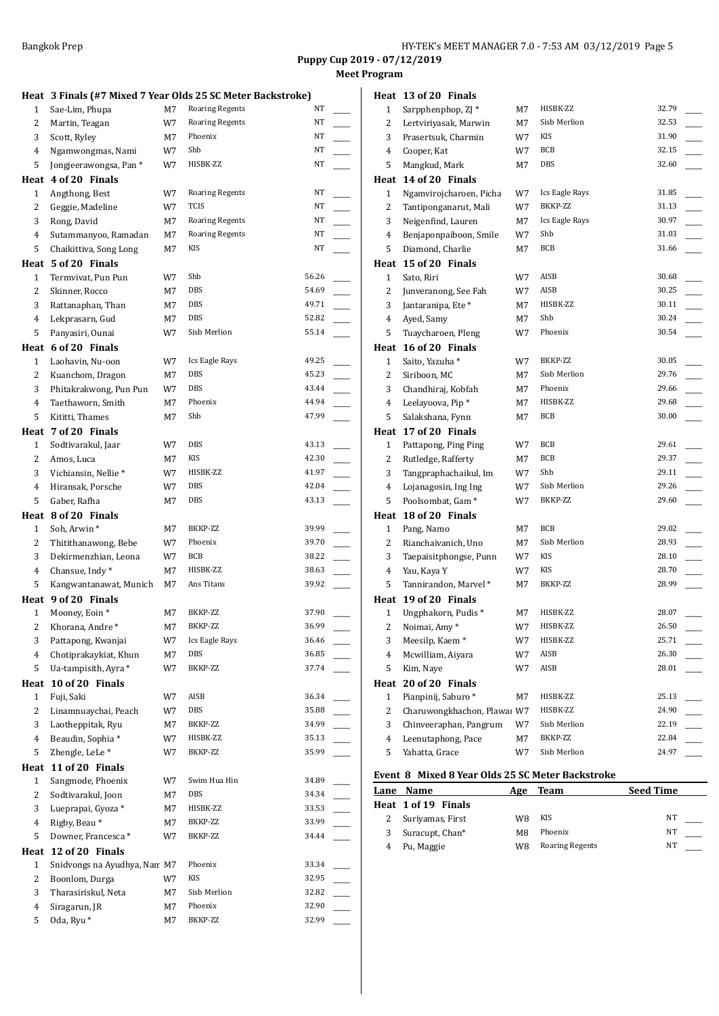**Puppy Cup 2019 - 07/12/2019 Program** 

|                |                              |    |                                                             |       | Meet |
|----------------|------------------------------|----|-------------------------------------------------------------|-------|------|
|                |                              |    | Heat 3 Finals (#7 Mixed 7 Year Olds 25 SC Meter Backstroke) |       |      |
| 1              | Sae-Lim, Phupa               | M7 | <b>Roaring Regents</b>                                      | NT    |      |
| 2              | Martin, Teagan               | W7 | <b>Roaring Regents</b>                                      | NT    |      |
| 3              | Scott, Ryley                 | M7 | Phoenix                                                     | NT    |      |
| 4              | Ngamwongmas, Nami            | W7 | Shb                                                         | NΤ    |      |
| 5              | Jongjeerawongsa, Pan*        | W7 | HISBK-ZZ                                                    | NT    |      |
|                | Heat 4 of 20 Finals          |    |                                                             |       |      |
| $\mathbf{1}$   | Angthong, Best               | W7 | <b>Roaring Regents</b>                                      | NT    |      |
| $\overline{c}$ | Geggie, Madeline             | W7 | <b>TCIS</b>                                                 | NT    |      |
| 3              | Rong, David                  | М7 | <b>Roaring Regents</b>                                      | NT    |      |
| 4              | Sutammanyoo, Ramadan         | M7 | <b>Roaring Regents</b>                                      | NT    |      |
| 5              | Chaikittiva, Song Long       | M7 | KIS                                                         | NT    |      |
|                | Heat 5 of 20 Finals          |    |                                                             |       |      |
| $\mathbf{1}$   | Termvivat, Pun Pun           | W7 | Shb                                                         | 56.26 |      |
| 2              | Skinner, Rocco               | М7 | DBS                                                         | 54.69 |      |
| 3              | Rattanaphan, Than            | М7 | DBS                                                         | 49.71 |      |
| 4              | Lekprasarn, Gud              | M7 | <b>DBS</b>                                                  | 52.82 |      |
| 5              | Panyasiri, Ounai             | W7 | Sisb Merlion                                                | 55.14 |      |
|                | Heat 6 of 20 Finals          |    |                                                             |       |      |
| $\mathbf{1}$   | Laohavin, Nu-oon             | W7 | Ics Eagle Rays                                              | 49.25 |      |
| 2              | Kuanchom, Dragon             | М7 | DBS                                                         | 45.23 |      |
| 3              | Phitakrakwong, Pun Pun       | W7 | DBS                                                         | 43.44 |      |
| 4              | Taethaworn, Smith            | М7 | Phoenix                                                     | 44.94 |      |
| 5              | Kititti, Thames              | М7 | Shb                                                         | 47.99 |      |
|                | Heat 7 of 20 Finals          |    |                                                             |       |      |
| 1              | Sodtivarakul, Jaar           | W7 | DBS                                                         | 43.13 |      |
| 2              | Amos, Luca                   | М7 | KIS                                                         | 42.30 |      |
| 3              | Vichiansin, Nellie*          | W7 | HISBK-ZZ                                                    | 41.97 |      |
| 4              | Hiransak, Porsche            | W7 | DBS                                                         | 42.04 |      |
| 5              | Gaber, Rafha                 | М7 | DBS                                                         | 43.13 |      |
|                | Heat 8 of 20 Finals          |    |                                                             |       |      |
| $\mathbf{1}$   | Soh, Arwin*                  | M7 | BKKP-ZZ                                                     | 39.99 |      |
| 2              | Thitithanawong, Bebe         | W7 | Phoenix                                                     | 39.70 |      |
| 3              | Dekirmenzhian, Leona         | W7 | BCB                                                         | 38.22 |      |
| 4              | Chansue, Indy*               | M7 | HISBK-ZZ                                                    | 38.63 |      |
| 5              | Kangwantanawat, Munich       | М7 | Ans Titans                                                  | 39.92 |      |
|                | Heat 9 of 20 Finals          |    |                                                             |       |      |
| $1 \quad$      | Mooney, Eoin*                | М7 | BKKP-ZZ                                                     | 37.90 |      |
| 2              | Khorana, Andre*              | M7 | BKKP-ZZ                                                     | 36.99 |      |
| 3              | Pattapong, Kwanjai           | W7 | Ics Eagle Rays                                              | 36.46 |      |
| 4              | Chotiprakaykiat, Khun        | M7 | DBS                                                         | 36.85 |      |
| 5              | Ua-tampisith, Ayra *         | W7 | BKKP-ZZ                                                     | 37.74 |      |
| Heat           | 10 of 20 Finals              |    |                                                             |       |      |
| 1              | Fuji, Saki                   | W7 | AISB                                                        | 36.34 |      |
| $\overline{c}$ | Linamnuaychai, Peach         | W7 | DBS                                                         | 35.88 |      |
| 3              | Laotheppitak, Ryu            | M7 | BKKP-ZZ                                                     | 34.99 |      |
| $\overline{4}$ | Beaudin, Sophia*             | W7 | HISBK-ZZ                                                    | 35.13 |      |
| 5              | Zhengle, LeLe*               | W7 | BKKP-ZZ                                                     | 35.99 |      |
| Heat           | 11 of 20 Finals              |    |                                                             |       |      |
| $\mathbf{1}$   | Sangmode, Phoenix            | W7 | Swim Hua Hin                                                | 34.89 |      |
| $\overline{c}$ | Sodtivarakul, Joon           | M7 | DBS                                                         | 34.34 |      |
| 3              | Lueprapai, Gyoza*            | M7 | HISBK-ZZ                                                    | 33.53 |      |
| 4              | Rigby, Beau*                 | M7 | BKKP-ZZ                                                     | 33.99 |      |
| 5              | Downer, Francesca*           | W7 | BKKP-ZZ                                                     | 34.44 |      |
| Heat           | 12 of 20 Finals              |    |                                                             |       |      |
| $\mathbf{1}$   | Snidvongs na Ayudhya, Nan M7 |    | Phoenix                                                     | 33.34 |      |
| 2              | Boonlom, Durga               | W7 | KIS                                                         | 32.95 |      |
| 3              | Tharasiriskul, Neta          | M7 | Sisb Merlion                                                | 32.82 |      |
| 4              | Siragarun, JR                | M7 | Phoenix                                                     | 32.90 |      |
| 5              | Oda, Ryu <sup>*</sup>        | M7 | BKKP-ZZ                                                     | 32.99 |      |

|                     | Heat 13 of 20 Finals                 |          |                         |                |  |
|---------------------|--------------------------------------|----------|-------------------------|----------------|--|
| 1                   | Sarpphenphop, ZJ*                    | М7       | HISBK-ZZ                | 32.79          |  |
| 2                   | Lertviriyasak, Marwin                | М7       | Sisb Merlion            | 32.53          |  |
| 3                   | Prasertsuk, Charmin                  | W7       | KIS                     | 31.90          |  |
| 4                   | Cooper, Kat                          | W7       | <b>BCB</b>              | 32.15          |  |
| 5                   | Mangkud, Mark                        | М7       | <b>DBS</b>              | 32.60          |  |
|                     | Heat 14 of 20 Finals                 |          |                         |                |  |
| $\mathbf{1}$        | Ngamvirojcharoen, Picha              | W7       | Ics Eagle Rays          | 31.85          |  |
| 2                   | Tantiponganarut, Mali                | W7       | BKKP-ZZ                 | 31.13          |  |
| 3                   | Neigenfind, Lauren                   | М7       | <b>Ics Eagle Rays</b>   | 30.97          |  |
| 4                   | Benjaponpaiboon, Smile               | W7       | Shb                     | 31.03          |  |
| 5                   | Diamond, Charlie                     | M7       | <b>BCB</b>              | 31.66          |  |
|                     | Heat 15 of 20 Finals                 |          |                         |                |  |
| 1                   | Sato, Riri                           | W7       | AISB                    | 30.68          |  |
| $\sqrt{2}$          | Junveranong, See Fah                 | W7       | AISB                    | 30.25          |  |
| 3                   | Jantaranipa, Ete <sup>*</sup>        | M7       | HISBK-ZZ                | 30.11          |  |
| 4                   | Ayed, Samy                           | М7       | Shb                     | 30.24          |  |
| 5                   | Tuaycharoen, Pleng                   | W7       | Phoenix                 | 30.54          |  |
|                     | Heat 16 of 20 Finals                 |          |                         |                |  |
| 1                   | Saito, Yazuha*                       | W7       | BKKP-ZZ                 | 30.05          |  |
| 2                   | Siriboon, MC                         | M7       | Sisb Merlion            | 29.76          |  |
| 3                   | Chandhiraj, Kobfah                   | M7       | Phoenix                 | 29.66          |  |
| 4                   | Leelayoova, Pip*                     | М7       | HISBK-ZZ                | 29.68          |  |
| 5                   | Salakshana, Fynn                     | М7       | BCB                     | 30.00          |  |
|                     |                                      |          |                         |                |  |
|                     | Heat 17 of 20 Finals                 |          |                         |                |  |
| 1                   | Pattapong, Ping Ping                 | W7       | BCB                     | 29.61          |  |
| 2                   | Rutledge, Rafferty                   | М7       | <b>BCB</b>              | 29.37          |  |
| 3                   | Tangpraphachaikul, Im                | W7       | Shb                     | 29.11          |  |
| 4                   | Lojanagosin, Ing Ing                 | W7       | Sisb Merlion            | 29.26          |  |
| 5                   | Poolsombat, Gam <sup>*</sup>         | W7       | BKKP-ZZ                 | 29.60          |  |
| Heat                | 18 of 20 Finals                      |          |                         |                |  |
| 1                   | Pang, Namo                           | М7       | BCB                     | 29.02          |  |
| 2                   | Rianchaivanich, Uno                  | М7       | Sisb Merlion            | 28.93          |  |
| 3                   | Taepaisitphongse, Punn               | W7       | KIS                     | 28.10          |  |
| 4                   | Yau, Kaya Y                          | W7       | KIS                     | 28.70          |  |
| 5                   | Tannirandon, Marvel *                | M7       | BKKP-ZZ                 | 28.99          |  |
|                     | Heat 19 of 20 Finals                 |          |                         |                |  |
| 1                   | Ungphakorn, Pudis*                   | М7       | HISBK-ZZ                | 28.07          |  |
| $\overline{a}$      | Noimai, Amy*                         | W7       | HISBK-ZZ                | 26.50          |  |
| 3                   | Meesilp, Kaem*                       | W7       | HISBK-ZZ                | 25.71          |  |
| 4                   | Mcwilliam, Aiyara                    | W7       | AISB                    | 26.30          |  |
| 5                   | Kim, Naye                            | W7       | AISB                    | 28.01          |  |
| Heat                | 20 of 20 Finals                      |          |                         |                |  |
| 1                   | Pianpinij, Saburo*                   | М7       | HISBK-ZZ                | 25.13          |  |
| 2                   | Charuwongkhachon, Plawai W7          |          | HISBK-ZZ                | 24.90          |  |
| 3                   | Chinveeraphan, Pangrum               | W7       | Sisb Merlion            | 22.19          |  |
| $\overline{4}$<br>5 | Leenutaphong, Pace<br>Yahatta, Grace | М7<br>W7 | BKKP-ZZ<br>Sisb Merlion | 22.84<br>24.97 |  |

## **Event 8 Mixed 8 Year Olds 25 SC Meter Backstroke**

|   | Lane Name           | Age | Team                   | <b>Seed Time</b> |
|---|---------------------|-----|------------------------|------------------|
|   | Heat 1 of 19 Finals |     |                        |                  |
|   | Suriyamas, First    | W8  | KIS                    | NT               |
| 3 | Suracupt, Chan*     | M8  | Phoenix                | NT               |
|   | Pu, Maggie          | W8  | <b>Roaring Regents</b> | NΤ               |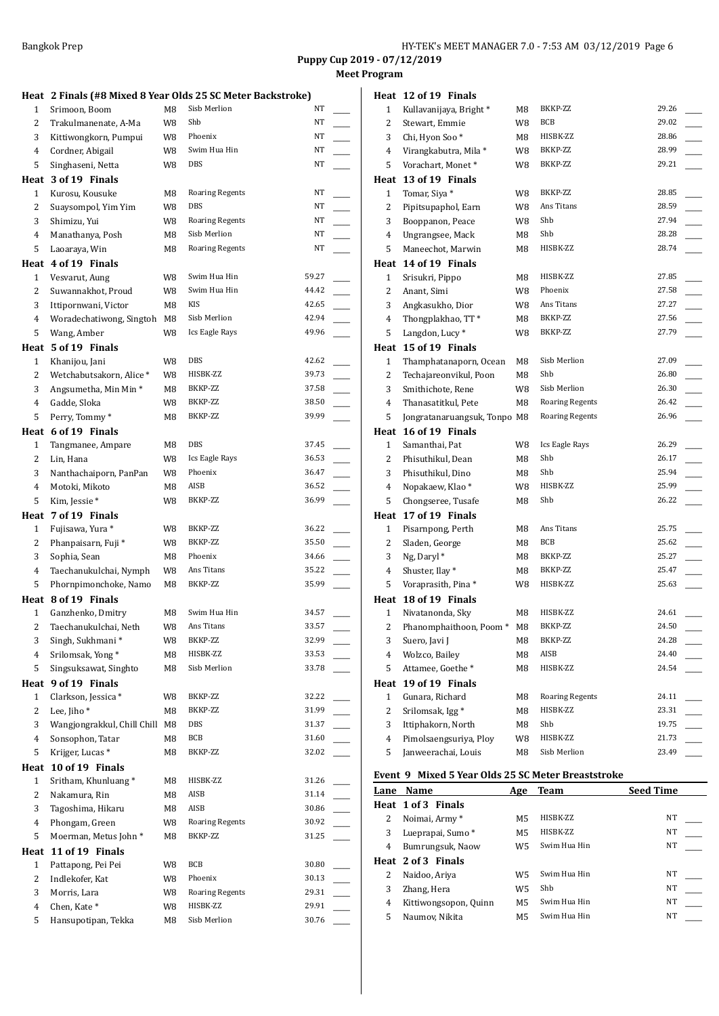## **Meet Program**

|                | Heat 2 Finals (#8 Mixed 8 Year Olds 25 SC Meter Backstroke) |    |                        |                                   |  |
|----------------|-------------------------------------------------------------|----|------------------------|-----------------------------------|--|
| 1              | Srimoon, Boom                                               | M8 | Sisb Merlion           | NT                                |  |
| $\overline{2}$ | Trakulmanenate, A-Ma                                        | W8 | Shb                    | NT                                |  |
| 3              | Kittiwongkorn, Pumpui                                       | W8 | Phoenix                | NT                                |  |
| 4              | Cordner, Abigail                                            | W8 | Swim Hua Hin           | NT                                |  |
| 5              | Singhaseni, Netta                                           | W8 | DBS                    | NT                                |  |
|                | Heat 3 of 19 Finals                                         |    |                        |                                   |  |
| $\mathbf{1}$   | Kurosu, Kousuke                                             | M8 | <b>Roaring Regents</b> | NT                                |  |
| 2              | Suaysompol, Yim Yim                                         | W8 | DBS                    | NT                                |  |
| 3              | Shimizu, Yui                                                | W8 | <b>Roaring Regents</b> | NT                                |  |
| 4              | Manathanya, Posh                                            | M8 | Sisb Merlion           | NT                                |  |
| 5              | Laoaraya, Win                                               | M8 | <b>Roaring Regents</b> | NT                                |  |
|                | Heat 4 of 19 Finals                                         |    |                        |                                   |  |
| $\mathbf{1}$   | Vesvarut, Aung                                              | W8 | Swim Hua Hin           | 59.27                             |  |
| 2              | Suwannakhot, Proud                                          | W8 | Swim Hua Hin           | 44.42                             |  |
| 3              | Ittipornwani, Victor                                        | M8 | <b>KIS</b>             | 42.65                             |  |
| $\overline{4}$ | Woradechatiwong, Singtoh                                    | M8 | Sisb Merlion           | 42.94                             |  |
| 5              | Wang, Amber                                                 | W8 | Ics Eagle Rays         | 49.96                             |  |
|                | Heat 5 of 19 Finals                                         |    |                        |                                   |  |
| $\mathbf{1}$   | Khanijou, Jani                                              | W8 | DBS                    | 42.62                             |  |
| $\overline{2}$ | Wetchabutsakorn, Alice*                                     | W8 | HISBK-ZZ               | 39.73                             |  |
| 3              | Angsumetha, Min Min *                                       | M8 | BKKP-ZZ                | 37.58<br>$\overline{\phantom{a}}$ |  |
| 4              | Gadde, Sloka                                                | W8 | BKKP-ZZ                | 38.50                             |  |
| 5              | Perry, Tommy*                                               | M8 | BKKP-ZZ                | 39.99                             |  |
|                | Heat 6 of 19 Finals                                         |    |                        |                                   |  |
| $\mathbf{1}$   | Tangmanee, Ampare                                           | M8 | DBS                    | 37.45                             |  |
| 2              | Lin, Hana                                                   | W8 | Ics Eagle Rays         | 36.53                             |  |
| 3              | Nanthachaiporn, PanPan                                      | W8 | Phoenix                | 36.47<br>$\overline{\phantom{a}}$ |  |
| $\overline{4}$ | Motoki, Mikoto                                              | M8 | AISB                   | 36.52                             |  |
| 5              | Kim, Jessie*                                                | W8 | BKKP-ZZ                | 36.99                             |  |
|                | Heat 7 of 19 Finals                                         |    |                        |                                   |  |
|                |                                                             |    |                        |                                   |  |
| $\mathbf{1}$   |                                                             | W8 | BKKP-ZZ                | 36.22                             |  |
| 2              | Fujisawa, Yura *<br>Phanpaisarn, Fuji*                      | W8 | BKKP-ZZ                | 35.50                             |  |
| 3              | Sophia, Sean                                                | M8 | Phoenix                | 34.66                             |  |
| 4              | Taechanukulchai, Nymph                                      | W8 | Ans Titans             | 35.22                             |  |
| 5              | Phornpimonchoke, Namo                                       | M8 | BKKP-ZZ                | 35.99                             |  |
|                | Heat 8 of 19 Finals                                         |    |                        |                                   |  |
| $\mathbf{1}$   | Ganzhenko, Dmitry                                           | M8 | Swim Hua Hin           | 34.57                             |  |
| $\overline{c}$ | Taechanukulchai, Neth                                       | W8 | Ans Titans             | 33.57                             |  |
| 3              | Singh, Sukhmani*                                            | W8 | BKKP-ZZ                | 32.99                             |  |
| $\overline{4}$ | Srilomsak, Yong*                                            | M8 | HISBK-ZZ               | 33.53                             |  |
| 5              | Singsuksawat, Singhto                                       | M8 | Sisb Merlion           | 33.78                             |  |
| Heat           | 9 of 19 Finals                                              |    |                        |                                   |  |
| $\mathbf{1}$   | Clarkson, Jessica*                                          | W8 | BKKP-ZZ                | 32.22                             |  |
| 2              | Lee, Jiho*                                                  | M8 | BKKP-ZZ                | 31.99                             |  |
| 3              | Wangjongrakkul, Chill Chill M8                              |    | DBS                    | 31.37                             |  |
| $\overline{4}$ | Sonsophon, Tatar                                            | M8 | BCB                    | 31.60                             |  |
| 5              | Krijger, Lucas <sup>*</sup>                                 | M8 | BKKP-ZZ                | 32.02                             |  |
| Heat           | 10 of 19 Finals                                             |    |                        |                                   |  |
| $\mathbf{1}$   | Sritham, Khunluang*                                         | M8 | HISBK-ZZ               | 31.26                             |  |
| 2              | Nakamura, Rin                                               | M8 | AISB                   | 31.14                             |  |
| 3              | Tagoshima, Hikaru                                           | M8 | AISB                   | 30.86                             |  |
| 4              | Phongam, Green                                              | W8 | <b>Roaring Regents</b> | 30.92                             |  |
| 5              | Moerman, Metus John*                                        | M8 | BKKP-ZZ                | 31.25                             |  |
| Heat           | 11 of 19 Finals                                             |    |                        |                                   |  |
| $\mathbf{1}$   | Pattapong, Pei Pei                                          | W8 | BCB                    | 30.80                             |  |
| $\overline{c}$ | Indlekofer, Kat                                             | W8 | Phoenix                | 30.13                             |  |
| 3              | Morris, Lara                                                | W8 | <b>Roaring Regents</b> | 29.31                             |  |
| $\overline{4}$ | Chen, Kate*                                                 | W8 | HISBK-ZZ               | 29.91                             |  |
| 5              | Hansupotipan, Tekka                                         | M8 | Sisb Merlion           | 30.76                             |  |

|                     | Heat 12 of 19 Finals                          |          |                          |                |
|---------------------|-----------------------------------------------|----------|--------------------------|----------------|
| 1                   | Kullavanijaya, Bright *                       | M8       | BKKP-ZZ                  | 29.26          |
| 2                   | Stewart, Emmie                                | W8       | BCB                      | 29.02          |
| 3                   | Chi, Hyon Soo*                                | M8       | HISBK-ZZ                 | 28.86          |
| 4                   | Virangkabutra, Mila*                          | W8       | BKKP-ZZ                  | 28.99          |
| 5                   | Vorachart, Monet*                             | W8       | BKKP-ZZ                  | 29.21          |
|                     | Heat 13 of 19 Finals                          |          |                          |                |
| 1                   | Tomar, Siya *                                 | W8       | BKKP-ZZ                  | 28.85          |
| 2                   | Pipitsupaphol, Earn                           | W8       | Ans Titans               | 28.59          |
| 3                   | Booppanon, Peace                              | W8       | Shb                      | 27.94          |
| 4                   | Ungrangsee, Mack                              | M8       | Shb                      | 28.28          |
| 5                   | Maneechot, Marwin                             | M8       | HISBK-ZZ                 | 28.74          |
|                     | Heat 14 of 19 Finals                          |          |                          |                |
| 1                   | Srisukri, Pippo                               | M8       | HISBK-ZZ                 | 27.85          |
| 2                   | Anant, Simi                                   | W8       | Phoenix                  | 27.58          |
| 3                   | Angkasukho, Dior                              | W8       | Ans Titans               | 27.27          |
| 4                   | Thongplakhao, TT*                             | M8       | BKKP-ZZ                  | 27.56          |
| 5                   | Langdon, Lucy <sup>*</sup>                    | W8       | BKKP-ZZ                  | 27.79          |
|                     | Heat 15 of 19 Finals                          |          |                          |                |
| $\mathbf{1}$        | Thamphatanaporn, Ocean                        | M8       | Sisb Merlion             | 27.09          |
| 2                   | Techajareonvikul, Poon                        | M8       | Shb                      | 26.80          |
| 3                   | Smithichote, Rene                             | W8       | Sisb Merlion             | 26.30          |
| 4                   | Thanasatitkul, Pete                           | M8       | <b>Roaring Regents</b>   | 26.42          |
| 5                   | Jongratanaruangsuk, Tonpo M8                  |          | <b>Roaring Regents</b>   | 26.96          |
|                     |                                               |          |                          |                |
|                     | Heat 16 of 19 Finals                          |          |                          |                |
| 1                   | Samanthai, Pat                                | W8       | Ics Eagle Rays           | 26.29          |
| 2                   | Phisuthikul, Dean                             | M8       | Shb                      | 26.17          |
| 3                   | Phisuthikul, Dino                             | M8       | Shb                      | 25.94          |
| 4                   | Nopakaew, Klao*                               | W8       | HISBK-ZZ                 | 25.99          |
| 5                   | Chongseree, Tusafe                            | M8       | Shb                      | 26.22          |
|                     | Heat 17 of 19 Finals                          |          |                          |                |
| 1                   | Pisarnpong, Perth                             | M8       | Ans Titans               | 25.75          |
| 2                   | Sladen, George                                | M8       | BCB                      | 25.62          |
| 3                   | Ng, Daryl*                                    | M8       | BKKP-ZZ                  | 25.27          |
| 4                   | Shuster, Ilay*                                | M8       | BKKP-ZZ                  | 25.47          |
| 5                   | Voraprasith, Pina*                            | W8       | HISBK-ZZ                 | 25.63          |
|                     | Heat 18 of 19 Finals                          |          |                          |                |
| 1                   | Nivatanonda, Sky                              | M8       | HISBK-ZZ                 | 24.61          |
| $\overline{a}$      | Phanomphaithoon, Poom * M8                    |          | BKKP-ZZ                  | 24.50          |
| 3                   | Suero, Javi J                                 | M8       | BKKP-ZZ                  | 24.28          |
| 4                   | Wolzco, Bailey                                | M8       | AISB                     | 24.40          |
| 5                   | Attamee, Goethe*                              | M8       | HISBK-ZZ                 | 24.54          |
| Heat                | 19 of 19 Finals                               |          |                          |                |
| 1                   | Gunara, Richard                               | M8       | <b>Roaring Regents</b>   | 24.11          |
| 2                   | Srilomsak, Igg*                               | M8       | HISBK-ZZ                 | 23.31          |
| 3                   | Ittiphakorn, North                            | M8       | Shb                      | 19.75          |
| $\overline{4}$<br>5 | Pimolsaengsuriya, Ploy<br>Janweerachai, Louis | W8<br>M8 | HISBK-ZZ<br>Sisb Merlion | 21.73<br>23.49 |

## **Event 9 Mixed 5 Year Olds 25 SC Meter Breaststroke**

| Lane | <b>Name</b>           | Age | Team         | <b>Seed Time</b> |
|------|-----------------------|-----|--------------|------------------|
|      | Heat 1 of 3 Finals    |     |              |                  |
| 2    | Noimai, Army*         | M5  | HISBK-ZZ     | NT               |
| 3    | Lueprapai, Sumo *     | M5  | HISBK-7.7.   | NT               |
| 4    | Bumrungsuk, Naow      | W5. | Swim Hua Hin | NT               |
|      | Heat 2 of 3 Finals    |     |              |                  |
| 2    | Naidoo, Ariya         | W5  | Swim Hua Hin | NT               |
| 3    | Zhang, Hera           | W5  | Shb          | NT               |
| 4    | Kittiwongsopon, Quinn | M5  | Swim Hua Hin | NT               |
| 5    | Naumov, Nikita        | M5  | Swim Hua Hin | NT               |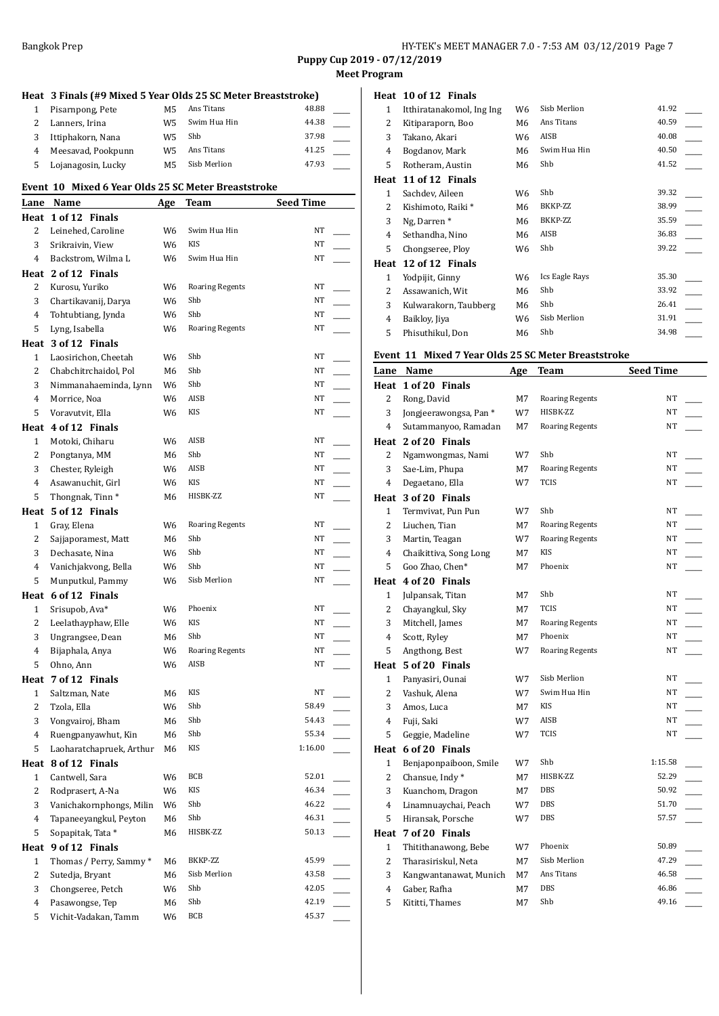**Puppy Cup 2019 - 07/12/2019 Meet Program**

|                |                                                               |     |                        |                  | меет |
|----------------|---------------------------------------------------------------|-----|------------------------|------------------|------|
|                | Heat 3 Finals (#9 Mixed 5 Year Olds 25 SC Meter Breaststroke) |     |                        |                  |      |
| 1              | Pisarnpong, Pete                                              | M5  | Ans Titans             | 48.88            |      |
| 2              | Lanners, Irina                                                | W5  | Swim Hua Hin           | 44.38            |      |
| 3              | Ittiphakorn, Nana                                             | W5  | Shb                    | 37.98            |      |
| 4              | Meesavad, Pookpunn                                            | W5  | Ans Titans             | 41.25            |      |
| 5              | Lojanagosin, Lucky                                            | M5  | Sisb Merlion           | 47.93            |      |
|                |                                                               |     |                        |                  |      |
|                | Event 10 Mixed 6 Year Olds 25 SC Meter Breaststroke           |     |                        |                  |      |
|                | Lane Name                                                     | Age | <b>Team</b>            | <b>Seed Time</b> |      |
|                | Heat 1 of 12 Finals                                           |     |                        |                  |      |
| 2              | Leinehed, Caroline                                            | W6  | Swim Hua Hin           | NT               |      |
| 3              | Srikraivin, View                                              | W6  | KIS                    | NT               |      |
| 4              | Backstrom, Wilma L                                            | W6  | Swim Hua Hin           | NT               |      |
|                | Heat 2 of 12 Finals                                           |     |                        |                  |      |
| 2              | Kurosu, Yuriko                                                | W6  | <b>Roaring Regents</b> | NT               |      |
| 3              | Chartikavanij, Darya                                          | W6  | Shb                    | NT               |      |
|                | Tohtubtiang, Jynda                                            |     | Shb                    | NT               |      |
| 4              |                                                               | W6  | <b>Roaring Regents</b> | NT               |      |
| 5              | Lyng, Isabella                                                | W6  |                        |                  |      |
|                | Heat 3 of 12 Finals                                           |     |                        |                  |      |
| $\mathbf{1}$   | Laosirichon, Cheetah                                          | W6  | Shb                    | NT               |      |
| 2              | Chabchitrchaidol, Pol                                         | M6  | Shb                    | NT               |      |
| 3              | Nimmanahaeminda, Lynn                                         | W6  | Shb                    | NT               |      |
| 4              | Morrice, Noa                                                  | W6  | AISB                   | NT               |      |
| 5              | Voravutvit, Ella                                              | W6  | KIS                    | NT               |      |
|                | Heat 4 of 12 Finals                                           |     |                        |                  |      |
| 1              | Motoki, Chiharu                                               | W6  | AISB                   | NT               |      |
| 2              | Pongtanya, MM                                                 | M6  | Shb                    | ΝT               |      |
| 3              | Chester, Ryleigh                                              | W6  | AISB                   | ΝT               |      |
| 4              | Asawanuchit, Girl                                             | W6  | KIS                    | NT               |      |
| 5              | Thongnak, Tinn <sup>*</sup>                                   | M6  | HISBK-ZZ               | NT               |      |
|                | Heat 5 of 12 Finals                                           |     |                        |                  |      |
| 1              | Gray, Elena                                                   | W6  | <b>Roaring Regents</b> | NT               |      |
| 2              | Sajjaporamest, Matt                                           | M6  | Shb                    | NT               |      |
| 3              | Dechasate, Nina                                               | W6  | Shb                    | ΝT               |      |
| 4              | Vanichjakvong, Bella                                          | W6  | Shb                    | NT               |      |
| 5              | Munputkul, Pammy                                              | W6  | Sisb Merlion           | NT               |      |
|                | Heat 6 of 12 Finals                                           |     |                        |                  |      |
| 1              | Srisupob, Ava*                                                | W6  | Phoenix                | NT               |      |
| 2              | Leelathayphaw, Elle                                           | W6  | KIS                    | NT               |      |
| 3              |                                                               |     | Shb                    | NT               |      |
|                | Ungrangsee, Dean                                              | М6  |                        |                  |      |
| $\overline{4}$ | Bijaphala, Anya                                               | W6  | <b>Roaring Regents</b> | NT               |      |
| 5              | Ohno, Ann                                                     | W6  | AISB                   | NT               |      |
|                | Heat 7 of 12 Finals                                           |     |                        |                  |      |
| 1              | Saltzman, Nate                                                | М6  | KIS                    | NT               |      |
| $\overline{c}$ | Tzola, Ella                                                   | W6  | Shb                    | 58.49            |      |
| 3              | Vongvairoj, Bham                                              | М6  | Shb                    | 54.43            |      |
| 4              | Ruengpanyawhut, Kin                                           | M6  | Shb                    | 55.34            |      |
| 5              | Laoharatchapruek, Arthur                                      | М6  | KIS                    | 1:16.00          |      |
| Heat           | 8 of 12 Finals                                                |     |                        |                  |      |
| 1              | Cantwell, Sara                                                | W6  | BCB                    | 52.01            |      |
| $\overline{c}$ | Rodprasert, A-Na                                              | W6  | KIS                    | 46.34            |      |
| 3              | Vanichakornphongs, Milin                                      | W6  | Shb                    | 46.22            |      |
| 4              | Tapaneeyangkul, Peyton                                        | M6  | Shb                    | 46.31            |      |
| 5              | Sopapitak, Tata*                                              | M6  | HISBK-ZZ               | 50.13            |      |
| Heat           | 9 of 12 Finals                                                |     |                        |                  |      |
| 1              | Thomas / Perry, Sammy *                                       | М6  | BKKP-ZZ                | 45.99            |      |
| $\overline{c}$ | Sutedja, Bryant                                               | M6  | Sisb Merlion           | 43.58            |      |
| 3              | Chongseree, Petch                                             | W6  | Shb                    | 42.05            |      |
| 4              | Pasawongse, Tep                                               | М6  | Shb                    | 42.19            |      |
| 5              | Vichit-Vadakan, Tamm                                          | W6  | BCB                    | 45.37            |      |
|                |                                                               |     |                        |                  |      |

## **Heat 10 of 12 Finals**

| Itthiratanakomol, Ing Ing | W6             | Sisb Merlion   | 41.92 |
|---------------------------|----------------|----------------|-------|
| Kitiparaporn, Boo         | M6             | Ans Titans     | 40.59 |
| Takano, Akari             | W6             | AISB           | 40.08 |
| Bogdanov, Mark            | M6             | Swim Hua Hin   | 40.50 |
| Rotheram, Austin          | M6             | Shb            | 41.52 |
| 11 of 12 Finals           |                |                |       |
| Sachdev, Aileen           | W6             | Shb            | 39.32 |
| Kishimoto, Raiki *        | M6             | BKKP-ZZ        | 38.99 |
| Ng, Darren*               | M6             | BKKP-ZZ        | 35.59 |
| Sethandha, Nino           | M6             | AISB           | 36.83 |
| Chongseree, Ploy          | W6             | Shb            | 39.22 |
| 12 of 12 Finals<br>Heat   |                |                |       |
| Yodpijit, Ginny           | W <sub>6</sub> | Ics Eagle Rays | 35.30 |
| Assawanich, Wit           | M6             | Shb            | 33.92 |
| Kulwarakorn, Taubberg     | M6             | Shb            | 26.41 |
| Baikloy, Jiya             | W <sub>6</sub> | Sisb Merlion   | 31.91 |
| Phisuthikul, Don          | M6             | Shb            | 34.98 |
|                           |                |                |       |

## **Event 11 Mixed 7 Year Olds 25 SC Meter Breaststroke**

| Heat 1 of 20 Finals<br><b>Roaring Regents</b><br>NT<br>2<br>Rong, David<br>M7<br>3<br>HISBK-ZZ<br>NT<br>W7<br>Jongjeerawongsa, Pan*<br>NT<br>4<br>Sutammanyoo, Ramadan<br><b>Roaring Regents</b><br>M7<br>Heat 2 of 20 Finals<br>Shb<br>NT<br>2<br>W7<br>Ngamwongmas, Nami<br><b>Roaring Regents</b><br>NT<br>3<br>Sae-Lim, Phupa<br>M7<br>4<br>W7<br><b>TCIS</b><br>NT<br>Degaetano, Ella<br>Heat 3 of 20 Finals<br>Shb<br>NT<br>$\mathbf{1}$<br>Termvivat, Pun Pun<br>W7<br>NT<br>2<br><b>Roaring Regents</b><br>Liuchen, Tian<br>M7<br>3<br>Martin, Teagan<br><b>Roaring Regents</b><br>NT<br>W7<br>4<br>Chaikittiva, Song Long<br>KIS<br>NT<br>M7<br>Phoenix<br>NT<br>5<br>Goo Zhao, Chen*<br>M7<br>Heat 4 of 20 Finals<br>Shb<br>NT<br>1<br>Julpansak, Titan<br>M7<br>2<br>Chayangkul, Sky<br><b>TCIS</b><br>NT<br>M7<br>3<br>NT<br>Mitchell, James<br><b>Roaring Regents</b><br>M7<br>$\overline{4}$<br>Phoenix<br>Scott, Ryley<br>M7<br>NT<br>5<br>Angthong, Best<br>W7<br><b>Roaring Regents</b><br>NT<br>Heat 5 of 20 Finals<br>Sisb Merlion<br>NT<br>$\mathbf{1}$<br>Panyasiri, Ounai<br>W7<br>2<br>Swim Hua Hin<br>NT<br>Vashuk, Alena<br>W7<br>3<br>Amos, Luca<br><b>KIS</b><br>NT<br>M7<br>AISB<br>NT<br>4<br>Fuji, Saki<br>W7<br>5<br>Geggie, Madeline<br>W7<br><b>TCIS</b><br>NT<br>Heat 6 of 20 Finals<br>$\mathbf{1}$<br>Benjaponpaiboon, Smile<br>Shb<br>1:15.58<br>W7<br>2<br>HISBK-ZZ<br>52.29<br>Chansue, Indy*<br>M7<br>3<br>50.92<br>Kuanchom, Dragon<br>DBS<br>M7<br>51.70<br>4<br>Linamnuaychai, Peach<br>W7<br>DBS<br><b>DBS</b><br>5<br>Hiransak, Porsche<br>W7<br>57.57<br>7 of 20 Finals<br>Heat<br>Thitithanawong, Bebe<br>Phoenix<br>50.89<br>1<br>W7<br>$\overline{2}$<br>Tharasiriskul, Neta<br>Sisb Merlion<br>47.29<br>M7<br>3<br>Ans Titans<br>46.58<br>Kangwantanawat, Munich<br>M7 | Буснг тт<br>Lane | MIXED / IEAL OIUS 20 SC METEL DI CASTSU UNE<br><b>Name</b> | Age | Team | <b>Seed Time</b> |
|--------------------------------------------------------------------------------------------------------------------------------------------------------------------------------------------------------------------------------------------------------------------------------------------------------------------------------------------------------------------------------------------------------------------------------------------------------------------------------------------------------------------------------------------------------------------------------------------------------------------------------------------------------------------------------------------------------------------------------------------------------------------------------------------------------------------------------------------------------------------------------------------------------------------------------------------------------------------------------------------------------------------------------------------------------------------------------------------------------------------------------------------------------------------------------------------------------------------------------------------------------------------------------------------------------------------------------------------------------------------------------------------------------------------------------------------------------------------------------------------------------------------------------------------------------------------------------------------------------------------------------------------------------------------------------------------------------------------------------------------------------------------------------------------------------------------------|------------------|------------------------------------------------------------|-----|------|------------------|
|                                                                                                                                                                                                                                                                                                                                                                                                                                                                                                                                                                                                                                                                                                                                                                                                                                                                                                                                                                                                                                                                                                                                                                                                                                                                                                                                                                                                                                                                                                                                                                                                                                                                                                                                                                                                                          |                  |                                                            |     |      |                  |
|                                                                                                                                                                                                                                                                                                                                                                                                                                                                                                                                                                                                                                                                                                                                                                                                                                                                                                                                                                                                                                                                                                                                                                                                                                                                                                                                                                                                                                                                                                                                                                                                                                                                                                                                                                                                                          |                  |                                                            |     |      |                  |
|                                                                                                                                                                                                                                                                                                                                                                                                                                                                                                                                                                                                                                                                                                                                                                                                                                                                                                                                                                                                                                                                                                                                                                                                                                                                                                                                                                                                                                                                                                                                                                                                                                                                                                                                                                                                                          |                  |                                                            |     |      |                  |
|                                                                                                                                                                                                                                                                                                                                                                                                                                                                                                                                                                                                                                                                                                                                                                                                                                                                                                                                                                                                                                                                                                                                                                                                                                                                                                                                                                                                                                                                                                                                                                                                                                                                                                                                                                                                                          |                  |                                                            |     |      |                  |
|                                                                                                                                                                                                                                                                                                                                                                                                                                                                                                                                                                                                                                                                                                                                                                                                                                                                                                                                                                                                                                                                                                                                                                                                                                                                                                                                                                                                                                                                                                                                                                                                                                                                                                                                                                                                                          |                  |                                                            |     |      |                  |
|                                                                                                                                                                                                                                                                                                                                                                                                                                                                                                                                                                                                                                                                                                                                                                                                                                                                                                                                                                                                                                                                                                                                                                                                                                                                                                                                                                                                                                                                                                                                                                                                                                                                                                                                                                                                                          |                  |                                                            |     |      |                  |
|                                                                                                                                                                                                                                                                                                                                                                                                                                                                                                                                                                                                                                                                                                                                                                                                                                                                                                                                                                                                                                                                                                                                                                                                                                                                                                                                                                                                                                                                                                                                                                                                                                                                                                                                                                                                                          |                  |                                                            |     |      |                  |
|                                                                                                                                                                                                                                                                                                                                                                                                                                                                                                                                                                                                                                                                                                                                                                                                                                                                                                                                                                                                                                                                                                                                                                                                                                                                                                                                                                                                                                                                                                                                                                                                                                                                                                                                                                                                                          |                  |                                                            |     |      |                  |
|                                                                                                                                                                                                                                                                                                                                                                                                                                                                                                                                                                                                                                                                                                                                                                                                                                                                                                                                                                                                                                                                                                                                                                                                                                                                                                                                                                                                                                                                                                                                                                                                                                                                                                                                                                                                                          |                  |                                                            |     |      |                  |
|                                                                                                                                                                                                                                                                                                                                                                                                                                                                                                                                                                                                                                                                                                                                                                                                                                                                                                                                                                                                                                                                                                                                                                                                                                                                                                                                                                                                                                                                                                                                                                                                                                                                                                                                                                                                                          |                  |                                                            |     |      |                  |
|                                                                                                                                                                                                                                                                                                                                                                                                                                                                                                                                                                                                                                                                                                                                                                                                                                                                                                                                                                                                                                                                                                                                                                                                                                                                                                                                                                                                                                                                                                                                                                                                                                                                                                                                                                                                                          |                  |                                                            |     |      |                  |
|                                                                                                                                                                                                                                                                                                                                                                                                                                                                                                                                                                                                                                                                                                                                                                                                                                                                                                                                                                                                                                                                                                                                                                                                                                                                                                                                                                                                                                                                                                                                                                                                                                                                                                                                                                                                                          |                  |                                                            |     |      |                  |
|                                                                                                                                                                                                                                                                                                                                                                                                                                                                                                                                                                                                                                                                                                                                                                                                                                                                                                                                                                                                                                                                                                                                                                                                                                                                                                                                                                                                                                                                                                                                                                                                                                                                                                                                                                                                                          |                  |                                                            |     |      |                  |
|                                                                                                                                                                                                                                                                                                                                                                                                                                                                                                                                                                                                                                                                                                                                                                                                                                                                                                                                                                                                                                                                                                                                                                                                                                                                                                                                                                                                                                                                                                                                                                                                                                                                                                                                                                                                                          |                  |                                                            |     |      |                  |
|                                                                                                                                                                                                                                                                                                                                                                                                                                                                                                                                                                                                                                                                                                                                                                                                                                                                                                                                                                                                                                                                                                                                                                                                                                                                                                                                                                                                                                                                                                                                                                                                                                                                                                                                                                                                                          |                  |                                                            |     |      |                  |
|                                                                                                                                                                                                                                                                                                                                                                                                                                                                                                                                                                                                                                                                                                                                                                                                                                                                                                                                                                                                                                                                                                                                                                                                                                                                                                                                                                                                                                                                                                                                                                                                                                                                                                                                                                                                                          |                  |                                                            |     |      |                  |
|                                                                                                                                                                                                                                                                                                                                                                                                                                                                                                                                                                                                                                                                                                                                                                                                                                                                                                                                                                                                                                                                                                                                                                                                                                                                                                                                                                                                                                                                                                                                                                                                                                                                                                                                                                                                                          |                  |                                                            |     |      |                  |
|                                                                                                                                                                                                                                                                                                                                                                                                                                                                                                                                                                                                                                                                                                                                                                                                                                                                                                                                                                                                                                                                                                                                                                                                                                                                                                                                                                                                                                                                                                                                                                                                                                                                                                                                                                                                                          |                  |                                                            |     |      |                  |
|                                                                                                                                                                                                                                                                                                                                                                                                                                                                                                                                                                                                                                                                                                                                                                                                                                                                                                                                                                                                                                                                                                                                                                                                                                                                                                                                                                                                                                                                                                                                                                                                                                                                                                                                                                                                                          |                  |                                                            |     |      |                  |
|                                                                                                                                                                                                                                                                                                                                                                                                                                                                                                                                                                                                                                                                                                                                                                                                                                                                                                                                                                                                                                                                                                                                                                                                                                                                                                                                                                                                                                                                                                                                                                                                                                                                                                                                                                                                                          |                  |                                                            |     |      |                  |
|                                                                                                                                                                                                                                                                                                                                                                                                                                                                                                                                                                                                                                                                                                                                                                                                                                                                                                                                                                                                                                                                                                                                                                                                                                                                                                                                                                                                                                                                                                                                                                                                                                                                                                                                                                                                                          |                  |                                                            |     |      |                  |
|                                                                                                                                                                                                                                                                                                                                                                                                                                                                                                                                                                                                                                                                                                                                                                                                                                                                                                                                                                                                                                                                                                                                                                                                                                                                                                                                                                                                                                                                                                                                                                                                                                                                                                                                                                                                                          |                  |                                                            |     |      |                  |
|                                                                                                                                                                                                                                                                                                                                                                                                                                                                                                                                                                                                                                                                                                                                                                                                                                                                                                                                                                                                                                                                                                                                                                                                                                                                                                                                                                                                                                                                                                                                                                                                                                                                                                                                                                                                                          |                  |                                                            |     |      |                  |
|                                                                                                                                                                                                                                                                                                                                                                                                                                                                                                                                                                                                                                                                                                                                                                                                                                                                                                                                                                                                                                                                                                                                                                                                                                                                                                                                                                                                                                                                                                                                                                                                                                                                                                                                                                                                                          |                  |                                                            |     |      |                  |
|                                                                                                                                                                                                                                                                                                                                                                                                                                                                                                                                                                                                                                                                                                                                                                                                                                                                                                                                                                                                                                                                                                                                                                                                                                                                                                                                                                                                                                                                                                                                                                                                                                                                                                                                                                                                                          |                  |                                                            |     |      |                  |
|                                                                                                                                                                                                                                                                                                                                                                                                                                                                                                                                                                                                                                                                                                                                                                                                                                                                                                                                                                                                                                                                                                                                                                                                                                                                                                                                                                                                                                                                                                                                                                                                                                                                                                                                                                                                                          |                  |                                                            |     |      |                  |
|                                                                                                                                                                                                                                                                                                                                                                                                                                                                                                                                                                                                                                                                                                                                                                                                                                                                                                                                                                                                                                                                                                                                                                                                                                                                                                                                                                                                                                                                                                                                                                                                                                                                                                                                                                                                                          |                  |                                                            |     |      |                  |
|                                                                                                                                                                                                                                                                                                                                                                                                                                                                                                                                                                                                                                                                                                                                                                                                                                                                                                                                                                                                                                                                                                                                                                                                                                                                                                                                                                                                                                                                                                                                                                                                                                                                                                                                                                                                                          |                  |                                                            |     |      |                  |
|                                                                                                                                                                                                                                                                                                                                                                                                                                                                                                                                                                                                                                                                                                                                                                                                                                                                                                                                                                                                                                                                                                                                                                                                                                                                                                                                                                                                                                                                                                                                                                                                                                                                                                                                                                                                                          |                  |                                                            |     |      |                  |
|                                                                                                                                                                                                                                                                                                                                                                                                                                                                                                                                                                                                                                                                                                                                                                                                                                                                                                                                                                                                                                                                                                                                                                                                                                                                                                                                                                                                                                                                                                                                                                                                                                                                                                                                                                                                                          |                  |                                                            |     |      |                  |
|                                                                                                                                                                                                                                                                                                                                                                                                                                                                                                                                                                                                                                                                                                                                                                                                                                                                                                                                                                                                                                                                                                                                                                                                                                                                                                                                                                                                                                                                                                                                                                                                                                                                                                                                                                                                                          |                  |                                                            |     |      |                  |
|                                                                                                                                                                                                                                                                                                                                                                                                                                                                                                                                                                                                                                                                                                                                                                                                                                                                                                                                                                                                                                                                                                                                                                                                                                                                                                                                                                                                                                                                                                                                                                                                                                                                                                                                                                                                                          |                  |                                                            |     |      |                  |
|                                                                                                                                                                                                                                                                                                                                                                                                                                                                                                                                                                                                                                                                                                                                                                                                                                                                                                                                                                                                                                                                                                                                                                                                                                                                                                                                                                                                                                                                                                                                                                                                                                                                                                                                                                                                                          |                  |                                                            |     |      |                  |
|                                                                                                                                                                                                                                                                                                                                                                                                                                                                                                                                                                                                                                                                                                                                                                                                                                                                                                                                                                                                                                                                                                                                                                                                                                                                                                                                                                                                                                                                                                                                                                                                                                                                                                                                                                                                                          |                  |                                                            |     |      |                  |
|                                                                                                                                                                                                                                                                                                                                                                                                                                                                                                                                                                                                                                                                                                                                                                                                                                                                                                                                                                                                                                                                                                                                                                                                                                                                                                                                                                                                                                                                                                                                                                                                                                                                                                                                                                                                                          |                  |                                                            |     |      |                  |
|                                                                                                                                                                                                                                                                                                                                                                                                                                                                                                                                                                                                                                                                                                                                                                                                                                                                                                                                                                                                                                                                                                                                                                                                                                                                                                                                                                                                                                                                                                                                                                                                                                                                                                                                                                                                                          |                  |                                                            |     |      |                  |
|                                                                                                                                                                                                                                                                                                                                                                                                                                                                                                                                                                                                                                                                                                                                                                                                                                                                                                                                                                                                                                                                                                                                                                                                                                                                                                                                                                                                                                                                                                                                                                                                                                                                                                                                                                                                                          |                  |                                                            |     |      |                  |
| $\overline{4}$<br>Gaber, Rafha<br><b>DBS</b><br>46.86<br>M7                                                                                                                                                                                                                                                                                                                                                                                                                                                                                                                                                                                                                                                                                                                                                                                                                                                                                                                                                                                                                                                                                                                                                                                                                                                                                                                                                                                                                                                                                                                                                                                                                                                                                                                                                              |                  |                                                            |     |      |                  |
| 5<br>Shb<br>49.16<br>Kititti, Thames<br>M7                                                                                                                                                                                                                                                                                                                                                                                                                                                                                                                                                                                                                                                                                                                                                                                                                                                                                                                                                                                                                                                                                                                                                                                                                                                                                                                                                                                                                                                                                                                                                                                                                                                                                                                                                                               |                  |                                                            |     |      |                  |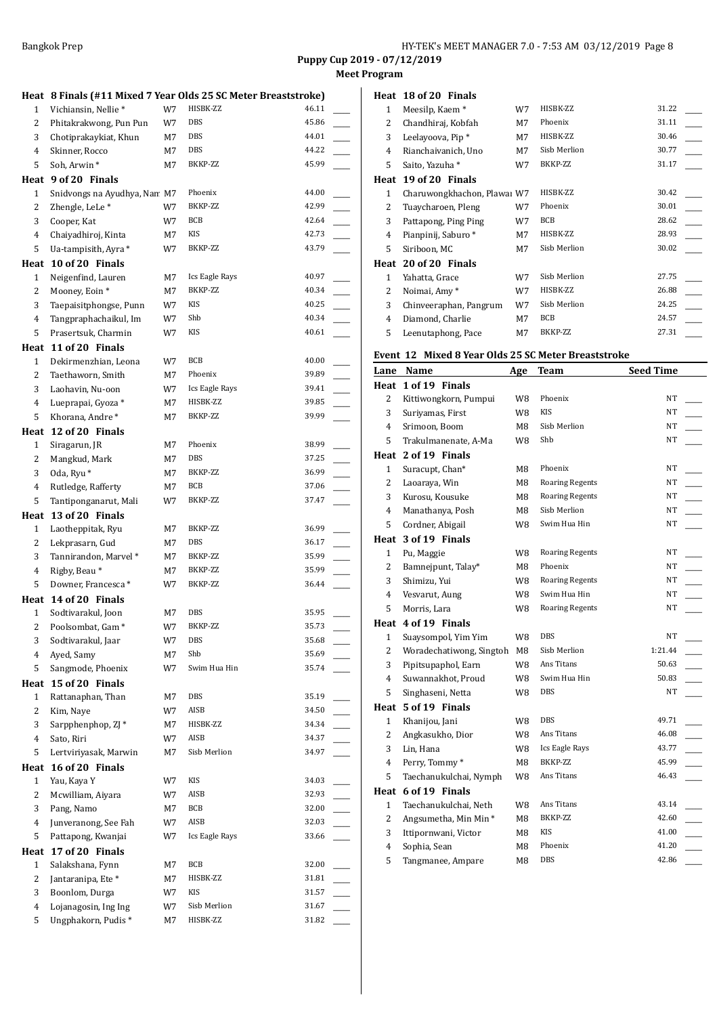**Meet Program**

|                |                                             |          | Heat 8 Finals (#11 Mixed 7 Year Olds 25 SC Meter Breaststroke) |                |                          |
|----------------|---------------------------------------------|----------|----------------------------------------------------------------|----------------|--------------------------|
| 1              | Vichiansin, Nellie*                         | W7       | HISBK-ZZ                                                       | 46.11          |                          |
| 2              | Phitakrakwong, Pun Pun                      | W7       | DBS                                                            | 45.86          |                          |
| 3              | Chotiprakaykiat, Khun                       | M7       | DBS                                                            | 44.01          |                          |
| 4              | Skinner, Rocco                              | М7       | DBS                                                            | 44.22          |                          |
| 5              | Soh, Arwin*                                 | M7       | BKKP-ZZ                                                        | 45.99          |                          |
|                | Heat 9 of 20 Finals                         |          |                                                                |                |                          |
| $\mathbf{1}$   | Snidvongs na Ayudhya, Nan M7                |          | Phoenix                                                        | 44.00          |                          |
| 2              | Zhengle, LeLe*                              | W7       | BKKP-ZZ                                                        | 42.99          |                          |
| 3              | Cooper, Kat                                 | W7       | BCB                                                            | 42.64          |                          |
| 4              | Chaiyadhiroj, Kinta                         | M7       | KIS                                                            | 42.73          |                          |
| 5              | Ua-tampisith, Ayra *                        | W7       | BKKP-ZZ                                                        | 43.79          |                          |
| Heat           | 10 of 20 Finals                             |          |                                                                |                |                          |
| $\mathbf{1}$   | Neigenfind, Lauren                          | М7       | Ics Eagle Rays                                                 | 40.97          |                          |
| 2              | Mooney, Eoin *                              | M7       | BKKP-ZZ                                                        | 40.34          |                          |
| 3              | Taepaisitphongse, Punn                      | W7       | <b>KIS</b>                                                     | 40.25          |                          |
| 4              | Tangpraphachaikul, Im                       | W7       | Shb                                                            | 40.34          |                          |
| 5              | Prasertsuk, Charmin                         | W7       | KIS                                                            | 40.61          |                          |
|                | Heat 11 of 20 Finals                        |          |                                                                |                |                          |
| $\mathbf{1}$   | Dekirmenzhian, Leona                        | W7       | BCB                                                            | 40.00          |                          |
| $\overline{2}$ | Taethaworn, Smith                           | M7       | Phoenix                                                        | 39.89          |                          |
| 3              | Laohavin, Nu-oon                            | W7       | Ics Eagle Rays                                                 | 39.41          | $\overline{\phantom{a}}$ |
| 4              | Lueprapai, Gyoza *                          | M7       | HISBK-ZZ<br>BKKP-ZZ                                            | 39.85          |                          |
| 5              | Khorana, Andre*                             | M7       |                                                                | 39.99          |                          |
|                | Heat 12 of 20 Finals                        |          | Phoenix                                                        |                |                          |
| $\mathbf{1}$   | Siragarun, JR                               | M7       | DBS                                                            | 38.99<br>37.25 |                          |
| 2<br>3         | Mangkud, Mark                               | M7<br>М7 | BKKP-ZZ                                                        | 36.99          |                          |
| 4              | Oda, Ryu <sup>*</sup><br>Rutledge, Rafferty | М7       | BCB                                                            | 37.06          |                          |
| 5              | Tantiponganarut, Mali                       | W7       | BKKP-ZZ                                                        | 37.47          |                          |
|                | Heat 13 of 20 Finals                        |          |                                                                |                |                          |
|                |                                             |          |                                                                |                |                          |
|                |                                             |          |                                                                |                |                          |
| $\mathbf{1}$   | Laotheppitak, Ryu                           | М7       | BKKP-ZZ                                                        | 36.99<br>36.17 |                          |
| 2              | Lekprasarn, Gud                             | М7       | DBS<br>BKKP-ZZ                                                 | 35.99          |                          |
| 3<br>4         | Tannirandon, Marvel *<br>Rigby, Beau*       | M7<br>M7 | BKKP-ZZ                                                        | 35.99          | L.                       |
| 5              | Downer, Francesca*                          | W7       | BKKP-ZZ                                                        | 36.44          |                          |
|                | Heat 14 of 20 Finals                        |          |                                                                |                |                          |
| $\mathbf{1}$   | Sodtivarakul, Joon                          | M7       | DBS                                                            | 35.95          |                          |
| $\overline{c}$ | Poolsombat, Gam*                            | W7       | BKKP-ZZ                                                        | 35.73          |                          |
| 3              | Sodtivarakul, Jaar                          | W7       | <b>DBS</b>                                                     | 35.68          |                          |
| 4              | Ayed, Samy                                  | М7       | Shb                                                            | 35.69          |                          |
| 5              | Sangmode, Phoenix                           | W7       | Swim Hua Hin                                                   | 35.74          |                          |
| Heat           | 15 of 20 Finals                             |          |                                                                |                |                          |
| 1              | Rattanaphan, Than                           | М7       | DBS                                                            | 35.19          |                          |
| 2              | Kim, Naye                                   | W7       | AISB                                                           | 34.50          |                          |
| 3              | Sarpphenphop, ZJ *                          | М7       | HISBK-ZZ                                                       | 34.34          |                          |
| 4              | Sato, Riri                                  | W7       | AISB                                                           | 34.37          |                          |
| 5              | Lertviriyasak, Marwin                       | M7       | Sisb Merlion                                                   | 34.97          |                          |
| Heat           | 16 of 20 Finals                             |          |                                                                |                |                          |
| $\mathbf{1}$   | Yau, Kaya Y                                 | W7       | KIS                                                            | 34.03          |                          |
| $\overline{c}$ | Mcwilliam, Aiyara                           | W7       | AISB                                                           | 32.93          |                          |
| 3              | Pang, Namo                                  | M7       | BCB                                                            | 32.00          |                          |
| 4              | Junveranong, See Fah                        | W7       | AISB                                                           | 32.03          |                          |
| 5              | Pattapong, Kwanjai                          | W7       | Ics Eagle Rays                                                 | 33.66          |                          |
| Heat           | 17 of 20 Finals                             |          |                                                                |                |                          |
| $\mathbf{1}$   | Salakshana, Fynn                            | М7       | BCB                                                            | 32.00          |                          |
| 2              | Jantaranipa, Ete*                           | М7       | HISBK-ZZ                                                       | 31.81          |                          |
| 3              | Boonlom, Durga                              | W7       | KIS                                                            | 31.57<br>31.67 |                          |
| 4<br>5         | Lojanagosin, Ing Ing<br>Ungphakorn, Pudis*  | W7<br>М7 | Sisb Merlion<br>HISBK-ZZ                                       | 31.82          |                          |

|      | Heat 18 of 20 Finals        |    |              |       |
|------|-----------------------------|----|--------------|-------|
| 1    | Meesilp, Kaem*              | W7 | HISBK-ZZ     | 31.22 |
| 2    | Chandhiraj, Kobfah          | M7 | Phoenix      | 31.11 |
| 3    | Leelayoova, Pip*            | M7 | HISBK-ZZ     | 30.46 |
| 4    | Rianchaivanich, Uno         | M7 | Sisb Merlion | 30.77 |
| 5    | Saito, Yazuha *             | W7 | BKKP-ZZ      | 31.17 |
| Heat | 19 of 20 Finals             |    |              |       |
| 1    | Charuwongkhachon, Plawai W7 |    | HISBK-ZZ     | 30.42 |
| 2    | Tuaycharoen, Pleng          | W7 | Phoenix      | 30.01 |
| 3    | Pattapong, Ping Ping        | W7 | <b>BCB</b>   | 28.62 |
| 4    | Pianpinij, Saburo*          | M7 | HISBK-ZZ     | 28.93 |
| 5    | Siriboon, MC                | M7 | Sisb Merlion | 30.02 |
| Heat | 20 of 20 Finals             |    |              |       |
| 1    | Yahatta, Grace              | W7 | Sisb Merlion | 27.75 |
| 2    | Noimai, Amy*                | W7 | HISBK-ZZ     | 26.88 |
| 3    | Chinveeraphan, Pangrum      | W7 | Sisb Merlion | 24.25 |
| 4    | Diamond, Charlie            | M7 | <b>BCB</b>   | 24.57 |
| 5    | Leenutaphong, Pace          | M7 | BKKP-ZZ      | 27.31 |

## **Event 12 Mixed 8 Year Olds 25 SC Meter Breaststroke**

| Lane           | Name                     | Age | Team                   | <b>Seed Time</b> |
|----------------|--------------------------|-----|------------------------|------------------|
| Heat           | 1 of 19 Finals           |     |                        |                  |
| 2              | Kittiwongkorn, Pumpui    | W8  | Phoenix                | NT               |
| 3              | Suriyamas, First         | W8  | <b>KIS</b>             | NT               |
| $\overline{4}$ | Srimoon, Boom            | M8  | Sisb Merlion           | NT               |
| 5              | Trakulmanenate, A-Ma     | W8  | Shb                    | NT               |
| Heat           | 2 of 19 Finals           |     |                        |                  |
| $\mathbf{1}$   | Suracupt, Chan*          | M8  | Phoenix                | NT               |
| 2              | Laoaraya, Win            | M8  | <b>Roaring Regents</b> | NT               |
| 3              | Kurosu, Kousuke          | M8  | <b>Roaring Regents</b> | NT               |
| 4              | Manathanya, Posh         | M8  | Sisb Merlion           | NT               |
| 5              | Cordner, Abigail         | W8  | Swim Hua Hin           | <b>NT</b>        |
|                | Heat 3 of 19 Finals      |     |                        |                  |
| $\mathbf{1}$   | Pu, Maggie               | W8  | <b>Roaring Regents</b> | NT               |
| $\overline{2}$ | Bamnejpunt, Talay*       | M8  | Phoenix                | NT               |
| 3              | Shimizu, Yui             | W8  | <b>Roaring Regents</b> | NT               |
| 4              | Vesvarut, Aung           | W8  | Swim Hua Hin           | <b>NT</b>        |
| 5              | Morris, Lara             | W8  | <b>Roaring Regents</b> | NT               |
| Heat           | 4 of 19 Finals           |     |                        |                  |
| $\mathbf{1}$   | Suaysompol, Yim Yim      | W8  | <b>DBS</b>             | NT               |
| 2              | Woradechatiwong, Singtoh | M8  | Sisb Merlion           | 1:21.44          |
| 3              | Pipitsupaphol, Earn      | W8  | Ans Titans             | 50.63            |
| 4              | Suwannakhot, Proud       | W8  | Swim Hua Hin           | 50.83            |
| 5              | Singhaseni, Netta        | W8  | DBS                    | NT               |
| Heat           | 5 of 19 Finals           |     |                        |                  |
| $\mathbf{1}$   | Khanijou, Jani           | W8  | DBS                    | 49.71            |
| 2              | Angkasukho, Dior         | W8  | Ans Titans             | 46.08            |
| 3              | Lin, Hana                | W8  | Ics Eagle Rays         | 43.77            |
| 4              | Perry, Tommy*            | M8  | BKKP-ZZ                | 45.99            |
| 5              | Taechanukulchai, Nymph   | W8  | Ans Titans             | 46.43            |
|                | Heat 6 of 19 Finals      |     |                        |                  |
| $\mathbf{1}$   | Taechanukulchai, Neth    | W8  | Ans Titans             | 43.14            |
| 2              | Angsumetha, Min Min *    | M8  | BKKP-ZZ                | 42.60            |
| 3              | Ittipornwani, Victor     | M8  | KIS                    | 41.00            |
| 4              | Sophia, Sean             | M8  | Phoenix                | 41.20            |
| 5              | Tangmanee, Ampare        | M8  | <b>DBS</b>             | 42.86            |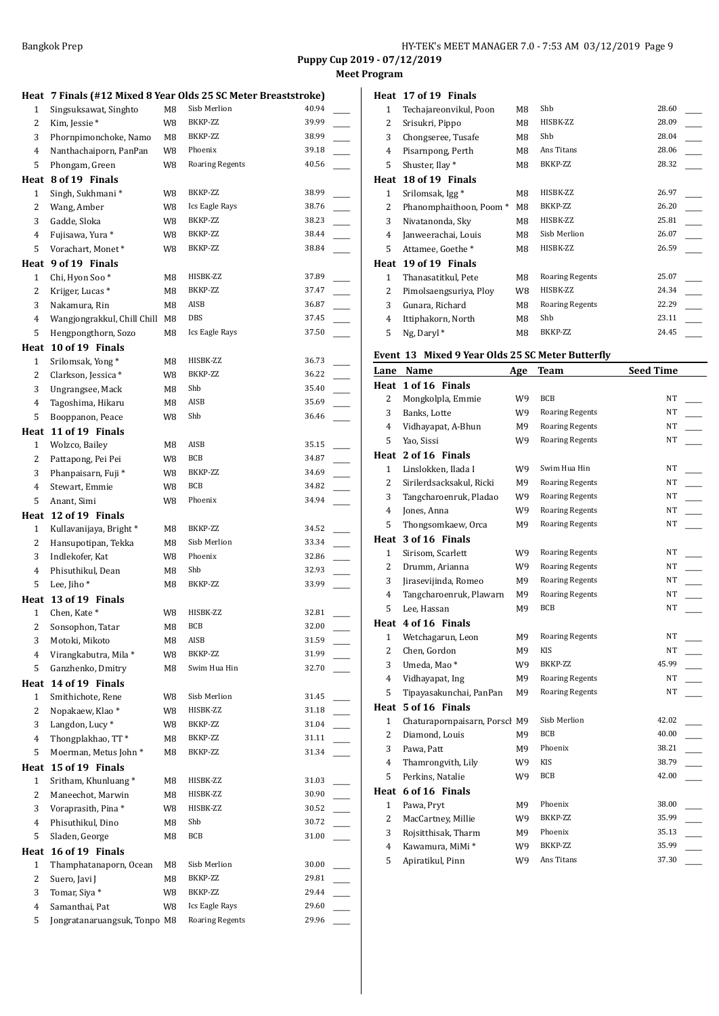## **Program**

|              |                                                                |    |                        | Puppy Cup 20   | Meet |
|--------------|----------------------------------------------------------------|----|------------------------|----------------|------|
|              | Heat 7 Finals (#12 Mixed 8 Year Olds 25 SC Meter Breaststroke) |    |                        |                |      |
| 1            | Singsuksawat, Singhto                                          | M8 | Sisb Merlion           | 40.94          |      |
| 2            | Kim, Jessie*                                                   | W8 | BKKP-ZZ                | 39.99          |      |
| 3            | Phornpimonchoke, Namo                                          | M8 | BKKP-ZZ                | 38.99          |      |
| 4            | Nanthachaiporn, PanPan                                         | W8 | Phoenix                | 39.18          |      |
| 5            | Phongam, Green                                                 | W8 | <b>Roaring Regents</b> | 40.56          |      |
|              | Heat 8 of 19 Finals                                            |    |                        |                |      |
| 1            | Singh, Sukhmani *                                              | W8 | BKKP-ZZ                | 38.99          |      |
| 2            | Wang, Amber                                                    | W8 | Ics Eagle Rays         | 38.76          |      |
| 3            | Gadde, Sloka                                                   | W8 | BKKP-ZZ                | 38.23          |      |
| 4            | Fujisawa, Yura *                                               | W8 | BKKP-ZZ                | 38.44          |      |
| 5            | Vorachart, Monet*                                              | W8 | BKKP-ZZ                | 38.84          |      |
|              | Heat 9 of 19 Finals                                            |    |                        |                |      |
| 1            | Chi, Hyon Soo*                                                 | M8 | HISBK-ZZ               | 37.89          |      |
| 2            | Krijger, Lucas *                                               | M8 | BKKP-ZZ                | 37.47          |      |
| 3            | Nakamura, Rin                                                  | M8 | AISB                   | 36.87          |      |
| 4            | Wangjongrakkul, Chill Chill M8                                 |    | <b>DBS</b>             | 37.45          |      |
| 5            | Hengpongthorn, Sozo                                            | M8 | Ics Eagle Rays         | 37.50          |      |
|              | Heat 10 of 19 Finals                                           |    |                        |                |      |
| $\mathbf{1}$ | Srilomsak, Yong*                                               | M8 | HISBK-ZZ               | 36.73          |      |
| 2            | Clarkson, Jessica*                                             | W8 | BKKP-ZZ                | 36.22          |      |
| 3            | Ungrangsee, Mack                                               | M8 | Shb                    | 35.40          |      |
| 4            | Tagoshima, Hikaru                                              | M8 | AISB                   | 35.69          |      |
| 5            | Booppanon, Peace                                               | W8 | Shb                    | 36.46          |      |
|              | Heat 11 of 19 Finals                                           |    |                        |                |      |
| 1            | Wolzco, Bailey                                                 | M8 | AISB                   | 35.15          |      |
|              | Pattapong, Pei Pei                                             |    | BCB                    | 34.87          |      |
| 2            |                                                                | W8 | BKKP-ZZ                | 34.69          |      |
| 3            | Phanpaisarn, Fuji *                                            | W8 | BCB                    | 34.82          |      |
| 4            | Stewart, Emmie                                                 | W8 |                        |                |      |
| 5            | Anant, Simi                                                    | W8 | Phoenix                | 34.94          |      |
|              | Heat 12 of 19 Finals                                           |    |                        |                |      |
| 1            | Kullavanijaya, Bright*                                         | M8 | BKKP-ZZ                | 34.52          |      |
| 2            | Hansupotipan, Tekka                                            | M8 | Sisb Merlion           | 33.34          |      |
| 3            | Indlekofer, Kat                                                | W8 | Phoenix                | 32.86          |      |
| 4            | Phisuthikul, Dean                                              | M8 | Shb                    | 32.93          |      |
| 5            | Lee, Jiho*                                                     | M8 | BKKP-ZZ                | 33.99          |      |
|              | Heat 13 of 19 Finals                                           |    |                        |                |      |
| 1            | Chen, Kate*                                                    | W8 | HISBK-ZZ               | 32.81          |      |
| 2            | Sonsophon, Tatar                                               | M8 | BCB                    | 32.00          |      |
| 3            | Motoki, Mikoto                                                 | M8 | AISB                   | 31.59          |      |
| 4            | Virangkabutra, Mila*                                           | W8 | BKKP-ZZ                | 31.99          |      |
| 5            | Ganzhenko, Dmitry                                              | M8 | Swim Hua Hin           | 32.70          |      |
|              | Heat 14 of 19 Finals                                           |    |                        |                |      |
| $\mathbf{1}$ | Smithichote, Rene                                              | W8 | Sisb Merlion           | 31.45          |      |
| 2            | Nopakaew, Klao*                                                | W8 | HISBK-ZZ               | 31.18          |      |
| 3            | Langdon, Lucy <sup>*</sup>                                     | W8 | BKKP-ZZ                | 31.04          |      |
| 4            | Thongplakhao, TT*                                              | M8 | BKKP-ZZ                | 31.11          |      |
| 5            | Moerman, Metus John*                                           | M8 | BKKP-ZZ                | 31.34          |      |
|              | Heat 15 of 19 Finals                                           |    |                        |                |      |
| $\mathbf{1}$ | Sritham, Khunluang*                                            | M8 | HISBK-ZZ               | 31.03          |      |
| 2            | Maneechot, Marwin                                              | M8 | HISBK-ZZ               | 30.90          |      |
| 3            | Voraprasith, Pina*                                             | W8 | HISBK-ZZ               | 30.52          |      |
| 4            | Phisuthikul, Dino                                              | M8 | Shb                    | 30.72          |      |
| 5            | Sladen, George                                                 | M8 | BCB                    | 31.00          |      |
|              | Heat 16 of 19 Finals                                           |    |                        |                |      |
|              |                                                                |    | Sisb Merlion           | 30.00          |      |
| 1            | Thamphatanaporn, Ocean                                         | M8 |                        |                |      |
| 2            | Suero, Javi J                                                  | M8 | BKKP-ZZ<br>BKKP-ZZ     | 29.81<br>29.44 |      |
| 3            | Tomar, Siya *                                                  | W8 |                        |                |      |
| 4            | Samanthai, Pat                                                 | W8 | Ics Eagle Rays         | 29.60          |      |

Jongratanaruangsuk, Tonpo M8 Roaring Regents 29.96 \_\_\_\_\_

|      | Heat 17 of 19 Finals   |    |                        |       |
|------|------------------------|----|------------------------|-------|
| 1    | Techajareonvikul, Poon | M8 | Shb                    | 28.60 |
| 2    | Srisukri, Pippo        | M8 | HISBK-ZZ               | 28.09 |
| 3    | Chongseree, Tusafe     | M8 | Shb                    | 28.04 |
| 4    | Pisarnpong, Perth      | M8 | Ans Titans             | 28.06 |
| 5    | Shuster, Ilay *        | M8 | BKKP-ZZ                | 28.32 |
| Heat | 18 of 19 Finals        |    |                        |       |
| 1    | Srilomsak, Igg *       | M8 | HISBK-ZZ               | 26.97 |
| 2    | Phanomphaithoon, Poom* | M8 | BKKP-ZZ                | 26.20 |
| 3    | Nivatanonda, Sky       | M8 | HISBK-ZZ               | 25.81 |
| 4    | Janweerachai, Louis    | M8 | Sisb Merlion           | 26.07 |
| 5    | Attamee, Goethe *      | M8 | HISBK-ZZ               | 26.59 |
| Heat | 19 of 19 Finals        |    |                        |       |
| 1    | Thanasatitkul, Pete    | M8 | <b>Roaring Regents</b> | 25.07 |
| 2    | Pimolsaengsuriya, Ploy | W8 | HISBK-ZZ               | 24.34 |
| 3    | Gunara, Richard        | M8 | <b>Roaring Regents</b> | 22.29 |
| 4    | Ittiphakorn, North     | M8 | Shb                    | 23.11 |
| 5    | Ng, Daryl <sup>*</sup> | M8 | BKKP-ZZ                | 24.45 |

## **Event 13 Mixed 9 Year Olds 25 SC Meter Butterfly**

| 1 of 16 Finals<br>Heat<br><b>BCB</b><br>NT<br>2<br>Mongkolpla, Emmie<br>W9<br>NT<br>3<br><b>Roaring Regents</b><br>Banks, Lotte<br>W9<br>$\overline{4}$<br><b>Roaring Regents</b><br>NT<br>Vidhayapat, A-Bhun<br>M9<br>5<br><b>Roaring Regents</b><br>NΤ<br>W9<br>Yao, Sissi<br>2 of 16 Finals<br>Heat<br>NT<br>Swim Hua Hin<br>$\mathbf{1}$<br>Linslokken, Ilada I<br>W9<br>2<br>NT<br>Sirilerdsacksakul, Ricki<br>M9<br><b>Roaring Regents</b><br>NT<br>3<br><b>Roaring Regents</b><br>Tangcharoenruk, Pladao<br>W9<br>NT<br>$\overline{4}$<br>Jones, Anna<br>W9<br><b>Roaring Regents</b><br>5<br>M9<br><b>Roaring Regents</b><br>NT<br>Thongsomkaew, Orca<br>3 of 16 Finals<br>Heat<br>NT<br>$\mathbf{1}$<br>Sirisom, Scarlett<br>W9<br><b>Roaring Regents</b><br>NT<br>2<br><b>Roaring Regents</b><br>Drumm, Arianna<br>W9<br>3<br>Jirasevijinda, Romeo<br>M9<br><b>Roaring Regents</b><br>NT<br><b>Roaring Regents</b><br>NT<br>4<br>Tangcharoenruk, Plawarn<br>M9<br><b>BCB</b><br>NT<br>5<br>Lee, Hassan<br>M9<br>4 of 16 Finals<br>Heat<br>NT<br>$\mathbf{1}$<br>Wetchagarun, Leon<br>M9<br><b>Roaring Regents</b><br>2<br>Chen, Gordon<br><b>KIS</b><br>NT<br>M9<br>3<br>Umeda, Mao*<br>BKKP-ZZ<br>45.99<br>W9<br>4<br>Vidhayapat, Ing<br>M9<br><b>Roaring Regents</b><br>NT<br>5<br>NT<br>Tipayasakunchai, PanPan<br>M9<br><b>Roaring Regents</b><br>5 of 16 Finals<br>Heat<br>Sisb Merlion<br>42.02<br>$\mathbf{1}$<br>Chaturapornpaisarn, Porscl M9<br>2<br><b>BCB</b><br>40.00<br>Diamond, Louis<br>M9<br>3<br>Phoenix<br>38.21<br>Pawa, Patt<br>M9<br><b>KIS</b><br>38.79<br>W9<br>4<br>Thamrongvith, Lily<br>5<br>Perkins, Natalie<br>W9<br><b>BCB</b><br>42.00<br>6 of 16 Finals<br>Heat<br>$\mathbf{1}$<br>Pawa, Pryt<br>M9<br>Phoenix<br>38.00<br>35.99<br>$\overline{2}$<br>BKKP-ZZ<br>MacCartney, Millie<br>W9<br>3<br>Rojsitthisak, Tharm<br>Phoenix<br>35.13<br>M9<br>BKKP-ZZ<br>35.99<br>4<br>Kawamura, MiMi *<br>W9<br>Ans Titans<br>37.30 | Lane | Name             | Age | <b>Team</b> | <b>Seed Time</b> |
|---------------------------------------------------------------------------------------------------------------------------------------------------------------------------------------------------------------------------------------------------------------------------------------------------------------------------------------------------------------------------------------------------------------------------------------------------------------------------------------------------------------------------------------------------------------------------------------------------------------------------------------------------------------------------------------------------------------------------------------------------------------------------------------------------------------------------------------------------------------------------------------------------------------------------------------------------------------------------------------------------------------------------------------------------------------------------------------------------------------------------------------------------------------------------------------------------------------------------------------------------------------------------------------------------------------------------------------------------------------------------------------------------------------------------------------------------------------------------------------------------------------------------------------------------------------------------------------------------------------------------------------------------------------------------------------------------------------------------------------------------------------------------------------------------------------------------------------------------------------------------------------------------------------------------------------------------------------------|------|------------------|-----|-------------|------------------|
|                                                                                                                                                                                                                                                                                                                                                                                                                                                                                                                                                                                                                                                                                                                                                                                                                                                                                                                                                                                                                                                                                                                                                                                                                                                                                                                                                                                                                                                                                                                                                                                                                                                                                                                                                                                                                                                                                                                                                                     |      |                  |     |             |                  |
|                                                                                                                                                                                                                                                                                                                                                                                                                                                                                                                                                                                                                                                                                                                                                                                                                                                                                                                                                                                                                                                                                                                                                                                                                                                                                                                                                                                                                                                                                                                                                                                                                                                                                                                                                                                                                                                                                                                                                                     |      |                  |     |             |                  |
|                                                                                                                                                                                                                                                                                                                                                                                                                                                                                                                                                                                                                                                                                                                                                                                                                                                                                                                                                                                                                                                                                                                                                                                                                                                                                                                                                                                                                                                                                                                                                                                                                                                                                                                                                                                                                                                                                                                                                                     |      |                  |     |             |                  |
|                                                                                                                                                                                                                                                                                                                                                                                                                                                                                                                                                                                                                                                                                                                                                                                                                                                                                                                                                                                                                                                                                                                                                                                                                                                                                                                                                                                                                                                                                                                                                                                                                                                                                                                                                                                                                                                                                                                                                                     |      |                  |     |             |                  |
|                                                                                                                                                                                                                                                                                                                                                                                                                                                                                                                                                                                                                                                                                                                                                                                                                                                                                                                                                                                                                                                                                                                                                                                                                                                                                                                                                                                                                                                                                                                                                                                                                                                                                                                                                                                                                                                                                                                                                                     |      |                  |     |             |                  |
|                                                                                                                                                                                                                                                                                                                                                                                                                                                                                                                                                                                                                                                                                                                                                                                                                                                                                                                                                                                                                                                                                                                                                                                                                                                                                                                                                                                                                                                                                                                                                                                                                                                                                                                                                                                                                                                                                                                                                                     |      |                  |     |             |                  |
|                                                                                                                                                                                                                                                                                                                                                                                                                                                                                                                                                                                                                                                                                                                                                                                                                                                                                                                                                                                                                                                                                                                                                                                                                                                                                                                                                                                                                                                                                                                                                                                                                                                                                                                                                                                                                                                                                                                                                                     |      |                  |     |             |                  |
|                                                                                                                                                                                                                                                                                                                                                                                                                                                                                                                                                                                                                                                                                                                                                                                                                                                                                                                                                                                                                                                                                                                                                                                                                                                                                                                                                                                                                                                                                                                                                                                                                                                                                                                                                                                                                                                                                                                                                                     |      |                  |     |             |                  |
|                                                                                                                                                                                                                                                                                                                                                                                                                                                                                                                                                                                                                                                                                                                                                                                                                                                                                                                                                                                                                                                                                                                                                                                                                                                                                                                                                                                                                                                                                                                                                                                                                                                                                                                                                                                                                                                                                                                                                                     |      |                  |     |             |                  |
|                                                                                                                                                                                                                                                                                                                                                                                                                                                                                                                                                                                                                                                                                                                                                                                                                                                                                                                                                                                                                                                                                                                                                                                                                                                                                                                                                                                                                                                                                                                                                                                                                                                                                                                                                                                                                                                                                                                                                                     |      |                  |     |             |                  |
|                                                                                                                                                                                                                                                                                                                                                                                                                                                                                                                                                                                                                                                                                                                                                                                                                                                                                                                                                                                                                                                                                                                                                                                                                                                                                                                                                                                                                                                                                                                                                                                                                                                                                                                                                                                                                                                                                                                                                                     |      |                  |     |             |                  |
|                                                                                                                                                                                                                                                                                                                                                                                                                                                                                                                                                                                                                                                                                                                                                                                                                                                                                                                                                                                                                                                                                                                                                                                                                                                                                                                                                                                                                                                                                                                                                                                                                                                                                                                                                                                                                                                                                                                                                                     |      |                  |     |             |                  |
|                                                                                                                                                                                                                                                                                                                                                                                                                                                                                                                                                                                                                                                                                                                                                                                                                                                                                                                                                                                                                                                                                                                                                                                                                                                                                                                                                                                                                                                                                                                                                                                                                                                                                                                                                                                                                                                                                                                                                                     |      |                  |     |             |                  |
|                                                                                                                                                                                                                                                                                                                                                                                                                                                                                                                                                                                                                                                                                                                                                                                                                                                                                                                                                                                                                                                                                                                                                                                                                                                                                                                                                                                                                                                                                                                                                                                                                                                                                                                                                                                                                                                                                                                                                                     |      |                  |     |             |                  |
|                                                                                                                                                                                                                                                                                                                                                                                                                                                                                                                                                                                                                                                                                                                                                                                                                                                                                                                                                                                                                                                                                                                                                                                                                                                                                                                                                                                                                                                                                                                                                                                                                                                                                                                                                                                                                                                                                                                                                                     |      |                  |     |             |                  |
|                                                                                                                                                                                                                                                                                                                                                                                                                                                                                                                                                                                                                                                                                                                                                                                                                                                                                                                                                                                                                                                                                                                                                                                                                                                                                                                                                                                                                                                                                                                                                                                                                                                                                                                                                                                                                                                                                                                                                                     |      |                  |     |             |                  |
|                                                                                                                                                                                                                                                                                                                                                                                                                                                                                                                                                                                                                                                                                                                                                                                                                                                                                                                                                                                                                                                                                                                                                                                                                                                                                                                                                                                                                                                                                                                                                                                                                                                                                                                                                                                                                                                                                                                                                                     |      |                  |     |             |                  |
|                                                                                                                                                                                                                                                                                                                                                                                                                                                                                                                                                                                                                                                                                                                                                                                                                                                                                                                                                                                                                                                                                                                                                                                                                                                                                                                                                                                                                                                                                                                                                                                                                                                                                                                                                                                                                                                                                                                                                                     |      |                  |     |             |                  |
|                                                                                                                                                                                                                                                                                                                                                                                                                                                                                                                                                                                                                                                                                                                                                                                                                                                                                                                                                                                                                                                                                                                                                                                                                                                                                                                                                                                                                                                                                                                                                                                                                                                                                                                                                                                                                                                                                                                                                                     |      |                  |     |             |                  |
|                                                                                                                                                                                                                                                                                                                                                                                                                                                                                                                                                                                                                                                                                                                                                                                                                                                                                                                                                                                                                                                                                                                                                                                                                                                                                                                                                                                                                                                                                                                                                                                                                                                                                                                                                                                                                                                                                                                                                                     |      |                  |     |             |                  |
|                                                                                                                                                                                                                                                                                                                                                                                                                                                                                                                                                                                                                                                                                                                                                                                                                                                                                                                                                                                                                                                                                                                                                                                                                                                                                                                                                                                                                                                                                                                                                                                                                                                                                                                                                                                                                                                                                                                                                                     |      |                  |     |             |                  |
|                                                                                                                                                                                                                                                                                                                                                                                                                                                                                                                                                                                                                                                                                                                                                                                                                                                                                                                                                                                                                                                                                                                                                                                                                                                                                                                                                                                                                                                                                                                                                                                                                                                                                                                                                                                                                                                                                                                                                                     |      |                  |     |             |                  |
|                                                                                                                                                                                                                                                                                                                                                                                                                                                                                                                                                                                                                                                                                                                                                                                                                                                                                                                                                                                                                                                                                                                                                                                                                                                                                                                                                                                                                                                                                                                                                                                                                                                                                                                                                                                                                                                                                                                                                                     |      |                  |     |             |                  |
|                                                                                                                                                                                                                                                                                                                                                                                                                                                                                                                                                                                                                                                                                                                                                                                                                                                                                                                                                                                                                                                                                                                                                                                                                                                                                                                                                                                                                                                                                                                                                                                                                                                                                                                                                                                                                                                                                                                                                                     |      |                  |     |             |                  |
|                                                                                                                                                                                                                                                                                                                                                                                                                                                                                                                                                                                                                                                                                                                                                                                                                                                                                                                                                                                                                                                                                                                                                                                                                                                                                                                                                                                                                                                                                                                                                                                                                                                                                                                                                                                                                                                                                                                                                                     |      |                  |     |             |                  |
|                                                                                                                                                                                                                                                                                                                                                                                                                                                                                                                                                                                                                                                                                                                                                                                                                                                                                                                                                                                                                                                                                                                                                                                                                                                                                                                                                                                                                                                                                                                                                                                                                                                                                                                                                                                                                                                                                                                                                                     |      |                  |     |             |                  |
|                                                                                                                                                                                                                                                                                                                                                                                                                                                                                                                                                                                                                                                                                                                                                                                                                                                                                                                                                                                                                                                                                                                                                                                                                                                                                                                                                                                                                                                                                                                                                                                                                                                                                                                                                                                                                                                                                                                                                                     |      |                  |     |             |                  |
|                                                                                                                                                                                                                                                                                                                                                                                                                                                                                                                                                                                                                                                                                                                                                                                                                                                                                                                                                                                                                                                                                                                                                                                                                                                                                                                                                                                                                                                                                                                                                                                                                                                                                                                                                                                                                                                                                                                                                                     |      |                  |     |             |                  |
|                                                                                                                                                                                                                                                                                                                                                                                                                                                                                                                                                                                                                                                                                                                                                                                                                                                                                                                                                                                                                                                                                                                                                                                                                                                                                                                                                                                                                                                                                                                                                                                                                                                                                                                                                                                                                                                                                                                                                                     |      |                  |     |             |                  |
|                                                                                                                                                                                                                                                                                                                                                                                                                                                                                                                                                                                                                                                                                                                                                                                                                                                                                                                                                                                                                                                                                                                                                                                                                                                                                                                                                                                                                                                                                                                                                                                                                                                                                                                                                                                                                                                                                                                                                                     |      |                  |     |             |                  |
|                                                                                                                                                                                                                                                                                                                                                                                                                                                                                                                                                                                                                                                                                                                                                                                                                                                                                                                                                                                                                                                                                                                                                                                                                                                                                                                                                                                                                                                                                                                                                                                                                                                                                                                                                                                                                                                                                                                                                                     |      |                  |     |             |                  |
|                                                                                                                                                                                                                                                                                                                                                                                                                                                                                                                                                                                                                                                                                                                                                                                                                                                                                                                                                                                                                                                                                                                                                                                                                                                                                                                                                                                                                                                                                                                                                                                                                                                                                                                                                                                                                                                                                                                                                                     |      |                  |     |             |                  |
|                                                                                                                                                                                                                                                                                                                                                                                                                                                                                                                                                                                                                                                                                                                                                                                                                                                                                                                                                                                                                                                                                                                                                                                                                                                                                                                                                                                                                                                                                                                                                                                                                                                                                                                                                                                                                                                                                                                                                                     |      |                  |     |             |                  |
|                                                                                                                                                                                                                                                                                                                                                                                                                                                                                                                                                                                                                                                                                                                                                                                                                                                                                                                                                                                                                                                                                                                                                                                                                                                                                                                                                                                                                                                                                                                                                                                                                                                                                                                                                                                                                                                                                                                                                                     |      |                  |     |             |                  |
|                                                                                                                                                                                                                                                                                                                                                                                                                                                                                                                                                                                                                                                                                                                                                                                                                                                                                                                                                                                                                                                                                                                                                                                                                                                                                                                                                                                                                                                                                                                                                                                                                                                                                                                                                                                                                                                                                                                                                                     | 5    | Apiratikul, Pinn | W9  |             |                  |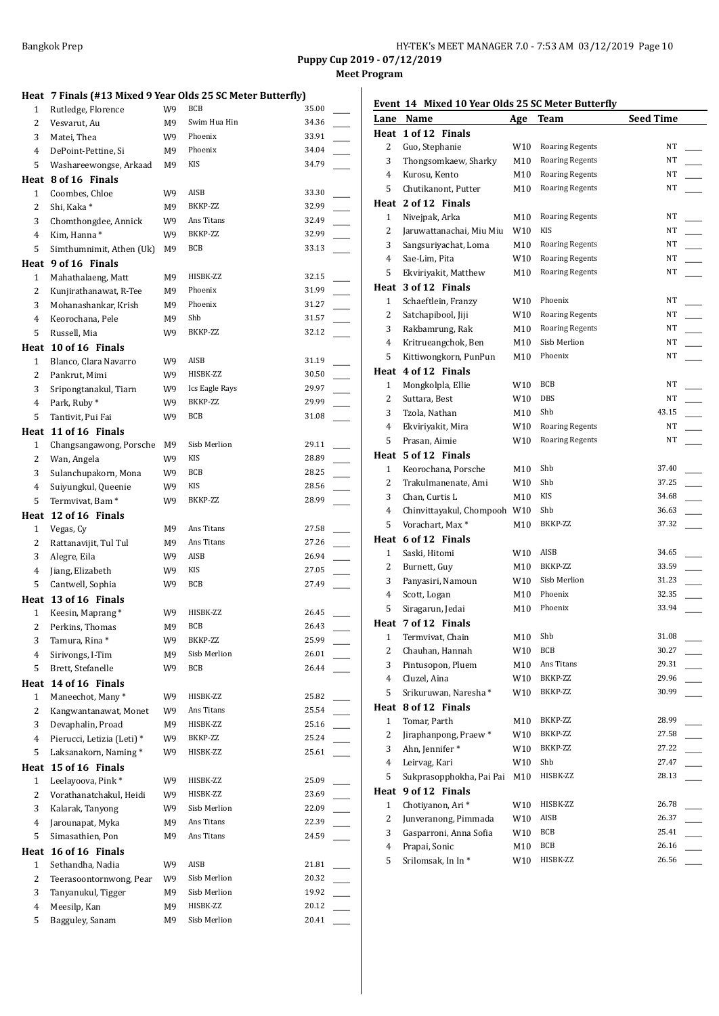**Puppy Cup 2019 - 07/12/2019 Meet Program**

#### **Heat 7 Finals (#13 Mixed 9 Year Olds 25 SC Meter Butterfly)**

| Heat         | 7 Finals (#13 Mixed 9 Year Olds 25 SC Meter Butterfly) |          |                          |                |  |
|--------------|--------------------------------------------------------|----------|--------------------------|----------------|--|
| 1            | Rutledge, Florence                                     | W9       | <b>BCB</b>               | 35.00          |  |
| 2            | Vesvarut, Au                                           | M9       | Swim Hua Hin             | 34.36          |  |
| 3            | Matei, Thea                                            | W9       | Phoenix                  | 33.91          |  |
| 4            | DePoint-Pettine, Si                                    | M9       | Phoenix                  | 34.04          |  |
| 5            | Washareewongse, Arkaad                                 | M9       | KIS                      | 34.79          |  |
|              | Heat 8 of 16 Finals                                    |          |                          |                |  |
| $\mathbf{1}$ | Coombes, Chloe                                         | W9       | AISB                     | 33.30          |  |
| 2            | Shi, Kaka *                                            | M9       | BKKP-ZZ                  | 32.99          |  |
| 3            | Chomthongdee, Annick                                   | W9       | Ans Titans               | 32.49          |  |
| 4            | Kim, Hanna*                                            | W9       | BKKP-ZZ                  | 32.99          |  |
| 5            | Simthumnimit, Athen (Uk)                               | M9       | BCB                      | 33.13          |  |
|              | Heat 9 of 16 Finals                                    |          |                          |                |  |
| 1            | Mahathalaeng, Matt                                     | M9       | HISBK-ZZ                 | 32.15          |  |
| 2            | Kunjirathanawat, R-Tee                                 | М9       | Phoenix                  | 31.99          |  |
| 3            | Mohanashankar, Krish                                   | M9       | Phoenix                  | 31.27          |  |
| 4            | Keorochana, Pele                                       | M9       | Shb                      | 31.57          |  |
| 5            | Russell, Mia                                           | W9       | BKKP-ZZ                  | 32.12          |  |
| Heat         | 10 of 16 Finals                                        |          |                          |                |  |
| $\mathbf{1}$ | Blanco, Clara Navarro                                  | W9       | AISB                     | 31.19          |  |
| 2            | Pankrut, Mimi                                          | W9       | HISBK-ZZ                 | 30.50          |  |
| 3            | Sripongtanakul, Tiarn                                  | W9       | Ics Eagle Rays           | 29.97          |  |
| 4            | Park, Ruby*                                            | W9       | BKKP-ZZ                  | 29.99          |  |
| 5            | Tantivit, Pui Fai                                      | W9       | BCB                      | 31.08          |  |
|              | Heat 11 of 16 Finals                                   |          |                          |                |  |
| $\mathbf{1}$ | Changsangawong, Porsche                                | M9       | Sisb Merlion             | 29.11          |  |
| 2            | Wan, Angela                                            | W9       | KIS                      | 28.89          |  |
| 3            | Sulanchupakorn, Mona                                   | W9       | <b>BCB</b>               | 28.25          |  |
| 4            | Suiyungkul, Queenie                                    | W9       | KIS                      | 28.56          |  |
| 5            | Termvivat, Bam <sup>*</sup>                            | W9       | BKKP-ZZ                  | 28.99          |  |
| Heat         | 12 of 16 Finals                                        |          |                          |                |  |
| 1            | Vegas, Cy                                              | M9       | Ans Titans               | 27.58          |  |
| 2            | Rattanavijit, Tul Tul                                  | M9       | Ans Titans               | 27.26          |  |
| 3            | Alegre, Eila                                           | W9       | AISB                     | 26.94          |  |
| 4            | Jiang, Elizabeth                                       | W9       | KIS                      | 27.05          |  |
|              |                                                        |          |                          |                |  |
| 5            | Cantwell, Sophia                                       | W9       | BCB                      | 27.49          |  |
|              | Heat 13 of 16 Finals                                   |          |                          |                |  |
| $\mathbf{1}$ | Keesin, Maprang*                                       | W9       | HISBK-ZZ                 | 26.45          |  |
| 2            | Perkins, Thomas                                        | M9       | BCB                      | 26.43          |  |
| 3            | Tamura, Rina*                                          | W9       | BKKP-ZZ                  | 25.99          |  |
| 4            | Sirivongs, I-Tim                                       | M9       | Sisb Merlion             | 26.01          |  |
| 5            | Brett, Stefanelle                                      | W9       | <b>BCB</b>               | 26.44          |  |
| Heat         | 14 of 16 Finals                                        |          |                          |                |  |
| 1            | Maneechot, Many*                                       | W9       | HISBK-ZZ                 | 25.82          |  |
| 2            | Kangwantanawat, Monet                                  | W9       | Ans Titans               | 25.54          |  |
| 3            | Devaphalin, Proad                                      | M9       | HISBK-ZZ                 | 25.16          |  |
| 4            | Pierucci, Letizia (Leti) *                             | W9       | BKKP-ZZ                  | 25.24          |  |
| 5            | Laksanakorn, Naming*                                   | W9       | HISBK-ZZ                 | 25.61          |  |
| Heat         | 15 of 16 Finals                                        |          |                          |                |  |
| 1            | Leelayoova, Pink*                                      | W9       | HISBK-ZZ                 | 25.09          |  |
| 2            | Vorathanatchakul, Heidi                                | W9       | HISBK-ZZ                 | 23.69          |  |
| 3            | Kalarak, Tanyong                                       | W9       | Sisb Merlion             | 22.09          |  |
| 4            | Jarounapat, Myka                                       | M9       | Ans Titans               | 22.39          |  |
| 5            | Simasathien, Pon                                       | M9       | Ans Titans               | 24.59          |  |
|              | 16 of 16 Finals                                        |          |                          |                |  |
| 1            | Sethandha, Nadia                                       | W9       | AISB                     | 21.81          |  |
| Heat<br>2    | Teerasoontornwong, Pear                                | W9       | Sisb Merlion             | 20.32          |  |
| 3            | Tanyanukul, Tigger                                     | M9       | Sisb Merlion             | 19.92          |  |
| 4<br>5       | Meesilp, Kan<br>Bagguley, Sanam                        | M9<br>M9 | HISBK-ZZ<br>Sisb Merlion | 20.12<br>20.41 |  |

## **Event 14 Mixed 10 Year Olds 25 SC Meter Butterfly**

| Lane           | <b>Name</b>                  | Age | Team                   | <b>Seed Time</b> |  |
|----------------|------------------------------|-----|------------------------|------------------|--|
| Heat           | 1 of 12 Finals               |     |                        |                  |  |
| 2              | Guo, Stephanie               | W10 | Roaring Regents        | NT               |  |
| 3              | Thongsomkaew, Sharky         | M10 | <b>Roaring Regents</b> | NT               |  |
| 4              | Kurosu, Kento                | M10 | <b>Roaring Regents</b> | NT               |  |
| 5              | Chutikanont, Putter          | M10 | <b>Roaring Regents</b> | NT               |  |
|                | Heat 2 of 12 Finals          |     |                        |                  |  |
| $\mathbf{1}$   | Nivejpak, Arka               | M10 | <b>Roaring Regents</b> | NT               |  |
| 2              | Jaruwattanachai, Miu Miu     | W10 | KIS                    | NT               |  |
| 3              | Sangsuriyachat, Loma         | M10 | Roaring Regents        | NT               |  |
| 4              | Sae-Lim, Pita                | W10 | <b>Roaring Regents</b> | NT               |  |
| 5              | Ekviriyakit, Matthew         | M10 | <b>Roaring Regents</b> | NT               |  |
| Heat           | 3 of 12 Finals               |     |                        |                  |  |
| 1              | Schaeftlein, Franzy          | W10 | Phoenix                | NT               |  |
| 2              | Satchapibool, Jiji           | W10 | <b>Roaring Regents</b> | NT               |  |
| 3              | Rakbamrung, Rak              | M10 | <b>Roaring Regents</b> | ΝT               |  |
| 4              | Kritrueangchok, Ben          | M10 | Sisb Merlion           | NT               |  |
| 5              | Kittiwongkorn, PunPun        | M10 | Phoenix                | NT               |  |
| Heat           | 4 of 12 Finals               |     |                        |                  |  |
| $\mathbf{1}$   | Mongkolpla, Ellie            | W10 | BCB                    | NT               |  |
| 2              | Suttara, Best                | W10 | DBS                    | NT               |  |
| 3              | Tzola, Nathan                | M10 | Shb                    | 43.15            |  |
| 4              | Ekviriyakit, Mira            | W10 | <b>Roaring Regents</b> | NT               |  |
| 5              | Prasan, Aimie                | W10 | <b>Roaring Regents</b> | NT               |  |
| Heat           | 5 of 12 Finals               |     |                        |                  |  |
| 1              | Keorochana, Porsche          | M10 | Shb                    | 37.40            |  |
| 2              | Trakulmanenate, Ami          | W10 | Shb                    | 37.25            |  |
| 3              | Chan, Curtis L               | M10 | <b>KIS</b>             | 34.68            |  |
| 4              | Chinvittayakul, Chompooh W10 |     | Shb                    | 36.63            |  |
| 5              | Vorachart, Max*              | M10 | BKKP-ZZ                | 37.32            |  |
| Heat           | 6 of 12 Finals               |     |                        |                  |  |
| $\mathbf{1}$   | Saski, Hitomi                | W10 | AISB                   | 34.65            |  |
| 2              | Burnett, Guy                 | M10 | BKKP-ZZ                | 33.59            |  |
| 3              | Panyasiri, Namoun            | W10 | Sisb Merlion           | 31.23            |  |
| 4              | Scott, Logan                 | M10 | Phoenix                | 32.35            |  |
| 5              | Siragarun, Jedai             | M10 | Phoenix                | 33.94            |  |
| Heat           | 7 of 12 Finals               |     |                        |                  |  |
| 1              | Termvivat, Chain             | M10 | Shb                    | 31.08            |  |
| $\mathbf{2}$   | Chauhan, Hannah              | W10 | BCB                    | 30.27            |  |
| 3              | Pintusopon, Pluem            | M10 | Ans Titans             | 29.31            |  |
| 4              | Cluzel, Aina                 | W10 | BKKP-ZZ                | 29.96            |  |
| 5              | Srikuruwan, Naresha*         | W10 | BKKP-ZZ                | 30.99            |  |
| Heat           | 8 of 12 Finals               |     |                        |                  |  |
| $\mathbf{1}$   | Tomar, Parth                 | M10 | BKKP-ZZ                | 28.99            |  |
| 2              | Jiraphanpong, Praew*         | W10 | BKKP-ZZ                | 27.58            |  |
| 3              | Ahn, Jennifer*               | W10 | BKKP-ZZ                | 27.22            |  |
| $\overline{4}$ | Leirvag, Kari                | W10 | Shb                    | 27.47            |  |
| 5              | Sukprasopphokha, Pai Pai     | M10 | HISBK-ZZ               | 28.13            |  |
|                | Heat 9 of 12 Finals          |     |                        |                  |  |
| 1              | Chotiyanon, Ari*             | W10 | HISBK-ZZ               | 26.78            |  |
| 2              | Junveranong, Pimmada         | W10 | AISB                   | 26.37            |  |
| 3              | Gasparroni, Anna Sofia       | W10 | BCB                    | 25.41            |  |
| 4              | Prapai, Sonic                | M10 | BCB                    | 26.16            |  |
| 5              | Srilomsak, In In*            | W10 | HISBK-ZZ               | 26.56            |  |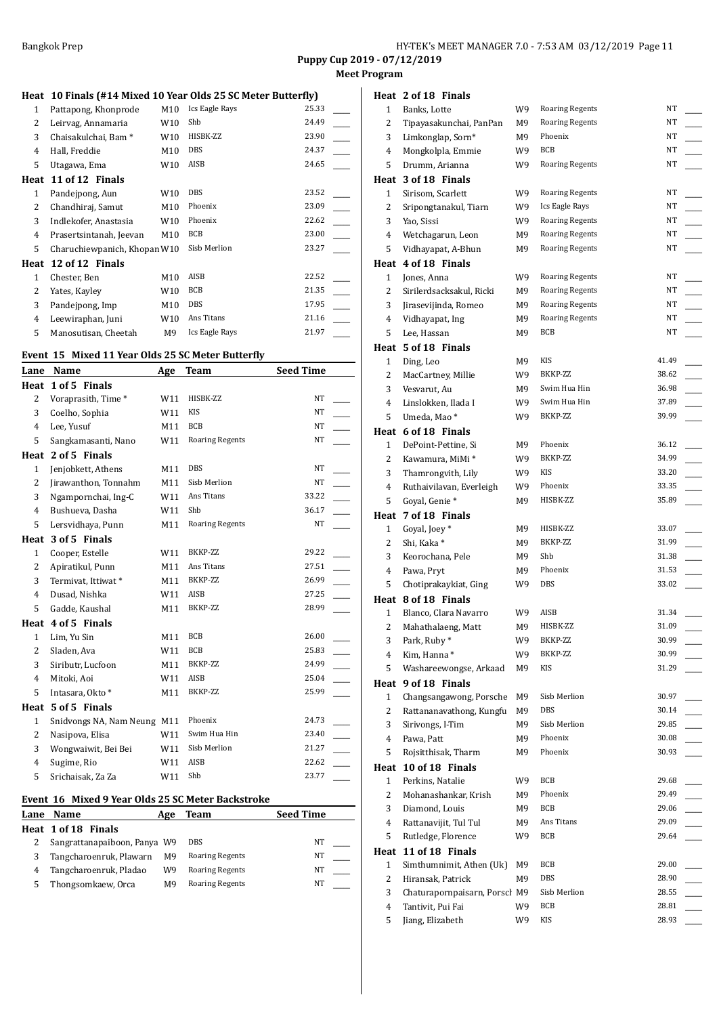**Meet Program**

## **Heat 10 Finals (#14 Mixed 10 Year Olds 25 SC Meter Butterfly)**

| 1    | Pattapong, Khonprode            | M10             | Ics Eagle Rays | 25.33 |  |
|------|---------------------------------|-----------------|----------------|-------|--|
| 2    | Leirvag, Annamaria              | W10             | Shb            | 24.49 |  |
| 3    | Chaisakulchai, Bam <sup>*</sup> | W <sub>10</sub> | HISBK-ZZ       | 23.90 |  |
| 4    | Hall, Freddie                   | M10             | DBS            | 24.37 |  |
| 5    | Utagawa, Ema                    | W10             | AISB           | 24.65 |  |
| Heat | 11 of 12 Finals                 |                 |                |       |  |
| 1    | Pandejpong, Aun                 | W10             | DBS            | 23.52 |  |
| 2    | Chandhiraj, Samut               | M10             | Phoenix        | 23.09 |  |
| 3    | Indlekofer, Anastasia           | W <sub>10</sub> | Phoenix        | 22.62 |  |
| 4    | Prasertsintanah, Jeevan         | M10             | <b>BCB</b>     | 23.00 |  |
| 5.   | Charuchiewpanich, Khopan W10    |                 | Sisb Merlion   | 23.27 |  |
| Heat | 12 of 12 Finals                 |                 |                |       |  |
| 1    | Chester, Ben                    | M10             | AISB           | 22.52 |  |
| 2    | Yates, Kayley                   | W <sub>10</sub> | BCB            | 21.35 |  |
| 3    | Pandejpong, Imp                 | M10             | <b>DBS</b>     | 17.95 |  |
| 4    | Leewiraphan, Juni               | W10             | Ans Titans     | 21.16 |  |
| 5    | Manosutisan, Cheetah            | M9              | Ics Eagle Rays | 21.97 |  |
|      |                                 |                 |                |       |  |

## **Event 15 Mixed 11 Year Olds 25 SC Meter Butterfly**

| Lane           | Name                        | Age | <b>Team</b>            | <b>Seed Time</b> |  |
|----------------|-----------------------------|-----|------------------------|------------------|--|
| Heat           | 1 of 5 Finals               |     |                        |                  |  |
| $\overline{2}$ | Voraprasith, Time*          | W11 | HISBK-ZZ               | <b>NT</b>        |  |
| 3              | Coelho, Sophia              | W11 | KIS                    | <b>NT</b>        |  |
| 4              | Lee, Yusuf                  | M11 | <b>BCB</b>             | NT               |  |
| 5              | Sangkamasanti, Nano         | W11 | <b>Roaring Regents</b> | NT               |  |
| Heat           | 2 of 5 Finals               |     |                        |                  |  |
| $\mathbf{1}$   | Jenjobkett, Athens          | M11 | <b>DBS</b>             | <b>NT</b>        |  |
| 2              | Jirawanthon, Tonnahm        | M11 | Sisb Merlion           | NT               |  |
| 3              | Ngampornchai, Ing-C         | W11 | Ans Titans             | 33.22            |  |
| $\overline{4}$ | Bushueva, Dasha             | W11 | Shb                    | 36.17            |  |
| 5              | Lersvidhaya, Punn           | M11 | <b>Roaring Regents</b> | <b>NT</b>        |  |
| Heat           | 3 of 5 Finals               |     |                        |                  |  |
| $\mathbf{1}$   | Cooper, Estelle             | W11 | BKKP-ZZ                | 29.22            |  |
| $\overline{2}$ | Apiratikul, Punn            | M11 | Ans Titans             | 27.51            |  |
| 3              | Termivat, Ittiwat*          | M11 | BKKP-ZZ                | 26.99            |  |
| 4              | Dusad, Nishka               | W11 | AISB                   | 27.25            |  |
| 5              | Gadde, Kaushal              | M11 | BKKP-ZZ                | 28.99            |  |
| Heat           | 4 of 5 Finals               |     |                        |                  |  |
| $\mathbf{1}$   | Lim, Yu Sin                 | M11 | <b>BCB</b>             | 26.00            |  |
| $\overline{2}$ | Sladen, Ava                 | W11 | <b>BCB</b>             | 25.83            |  |
| 3              | Siributr, Lucfoon           | M11 | BKKP-ZZ                | 24.99            |  |
| 4              | Mitoki, Aoi                 | W11 | AISB                   | 25.04            |  |
| 5              | Intasara, Okto *            | M11 | BKKP-ZZ                | 25.99            |  |
| Heat           | 5 of 5 Finals               |     |                        |                  |  |
| $\mathbf{1}$   | Snidvongs NA, Nam Neung M11 |     | Phoenix                | 24.73            |  |
| 2              | Nasipova, Elisa             | W11 | Swim Hua Hin           | 23.40            |  |
| 3              | Wongwaiwit, Bei Bei         | W11 | Sisb Merlion           | 21.27            |  |
| 4              | Sugime, Rio                 | W11 | AISB                   | 22.62            |  |
| 5              | Srichaisak, Za Za           | W11 | Shb                    | 23.77            |  |

## **Event 16 Mixed 9 Year Olds 25 SC Meter Backstroke**

| Lane | <b>Name</b>                  | Age | Team                   | <b>Seed Time</b> |  |
|------|------------------------------|-----|------------------------|------------------|--|
|      | Heat 1 of 18 Finals          |     |                        |                  |  |
|      | Sangrattanapaiboon, Panya W9 |     | <b>DBS</b>             | NΤ               |  |
|      | Tangcharoenruk, Plawarn      | M9  | <b>Roaring Regents</b> | NΤ               |  |
| 4    | Tangcharoenruk, Pladao       | W9  | <b>Roaring Regents</b> | NΤ               |  |
|      | Thongsomkaew, Orca           | М9  | <b>Roaring Regents</b> | NΤ               |  |

## **Heat 2 of 18 Finals**

| 1            | Banks, Lotte                  | W9  | <b>Roaring Regents</b>  | NT             |  |
|--------------|-------------------------------|-----|-------------------------|----------------|--|
| 2            | Tipayasakunchai, PanPan       | M9  | <b>Roaring Regents</b>  | NT             |  |
| 3            | Limkonglap, Sorn*             | M9  | Phoenix                 | NT             |  |
| 4            | Mongkolpla, Emmie             | W9  | BCB                     | NT             |  |
| 5            | Drumm, Arianna                | W9  | <b>Roaring Regents</b>  | NT             |  |
|              | Heat 3 of 18 Finals           |     |                         |                |  |
| 1            | Sirisom, Scarlett             | W9  | <b>Roaring Regents</b>  | NT             |  |
| 2            | Sripongtanakul, Tiarn         | W9  | Ics Eagle Rays          | NT             |  |
| 3            | Yao, Sissi                    | W9  | Roaring Regents         | ΝT             |  |
| 4            | Wetchagarun, Leon             | M9  | <b>Roaring Regents</b>  | ΝT             |  |
| 5            | Vidhayapat, A-Bhun            | M9  | <b>Roaring Regents</b>  | NT             |  |
|              |                               |     |                         |                |  |
| Heat         | 4 of 18 Finals                |     |                         |                |  |
| 1            | Jones, Anna                   | W9  | <b>Roaring Regents</b>  | NT             |  |
| 2            | Sirilerdsacksakul, Ricki      | M9  | <b>Roaring Regents</b>  | ΝT             |  |
| 3            | Jirasevijinda, Romeo          | M9  | <b>Roaring Regents</b>  | NT             |  |
| 4            | Vidhayapat, Ing               | M9  | <b>Roaring Regents</b>  | NT             |  |
| 5            | Lee, Hassan                   | М9  | BCB                     | NT             |  |
| Heat         | 5 of 18 Finals                |     |                         |                |  |
| 1            | Ding, Leo                     | M9  | KIS                     | 41.49          |  |
| 2            | MacCartney, Millie            | W9. | BKKP-ZZ                 | 38.62          |  |
| 3            | Vesvarut, Au                  | M9  | Swim Hua Hin            | 36.98          |  |
| 4            | Linslokken, Ilada I           | W9  | Swim Hua Hin            | 37.89          |  |
| 5            | Umeda, Mao*                   | W9  | BKKP-ZZ                 | 39.99          |  |
|              | Heat 6 of 18 Finals           |     |                         |                |  |
| 1            | DePoint-Pettine, Si           | M9  | Phoenix                 | 36.12          |  |
| 2            | Kawamura, MiMi *              | W9  | BKKP-ZZ                 | 34.99          |  |
| 3            | Thamrongvith, Lily            | W9  | KIS                     | 33.20          |  |
| 4            | Ruthaivilavan, Everleigh      | W9  | Phoenix                 | 33.35          |  |
| 5            | Goyal, Genie*                 | M9  | HISBK-ZZ                | 35.89          |  |
| Heat         | 7 of 18 Finals                |     |                         |                |  |
| $\mathbf{1}$ | Goyal, Joey*                  | M9  | HISBK-ZZ                | 33.07          |  |
| 2            | Shi, Kaka*                    | M9  | BKKP-ZZ                 | 31.99          |  |
| 3            | Keorochana, Pele              | M9  | Shb                     | 31.38          |  |
| 4            | Pawa, Pryt                    | M9  | Phoenix                 | 31.53          |  |
| 5            | Chotiprakaykiat, Ging         | W9  | DBS                     | 33.02          |  |
|              | Heat 8 of 18 Finals           |     |                         |                |  |
| 1            | Blanco, Clara Navarro         | W9  | AISB                    | 31.34          |  |
| 2            | Mahathalaeng, Matt            | M9  | HISBK-ZZ                | 31.09          |  |
| 3            | Park, Ruby *                  | W9  | BKKP-ZZ                 | 30.99          |  |
| 4            | Kim, Hanna*                   | W9  | BKKP-ZZ                 | 30.99          |  |
| 5            | Washareewongse, Arkaad        | М9  | KIS                     | 31.29          |  |
| Heat         | 9 of 18 Finals                |     |                         |                |  |
| 1            | Changsangawong, Porsche       | M9  | Sisb Merlion            | 30.97          |  |
| 2            | Rattananavathong, Kungfu      | M9  | DBS                     | 30.14          |  |
| 3            | Sirivongs, I-Tim              | M9  | Sisb Merlion<br>Phoenix | 29.85<br>30.08 |  |
| 4            | Pawa, Patt                    | M9  |                         |                |  |
| 5            | Rojsitthisak, Tharm           | M9  | Phoenix                 | 30.93          |  |
| Heat         | 10 of 18 Finals               |     |                         |                |  |
| 1            | Perkins, Natalie              | W9  | <b>BCB</b>              | 29.68          |  |
| 2            | Mohanashankar, Krish          | M9  | Phoenix                 | 29.49          |  |
| 3            | Diamond, Louis                | M9  | BCB                     | 29.06          |  |
| 4            | Rattanavijit, Tul Tul         | M9  | Ans Titans              | 29.09          |  |
| 5            | Rutledge, Florence            | W9  | BCB                     | 29.64          |  |
|              | Heat 11 of 18 Finals          |     |                         |                |  |
| 1            | Simthumnimit, Athen (Uk)      | M9  | BCB                     | 29.00          |  |
| 2            | Hiransak, Patrick             | M9  | DBS                     | 28.90          |  |
| 3            | Chaturapornpaisarn, Porsch M9 |     | Sisb Merlion            | 28.55          |  |
| 4            | Tantivit, Pui Fai             | W9  | BCB                     | 28.81          |  |
| 5            | Jiang, Elizabeth              | W9  | KIS                     | 28.93          |  |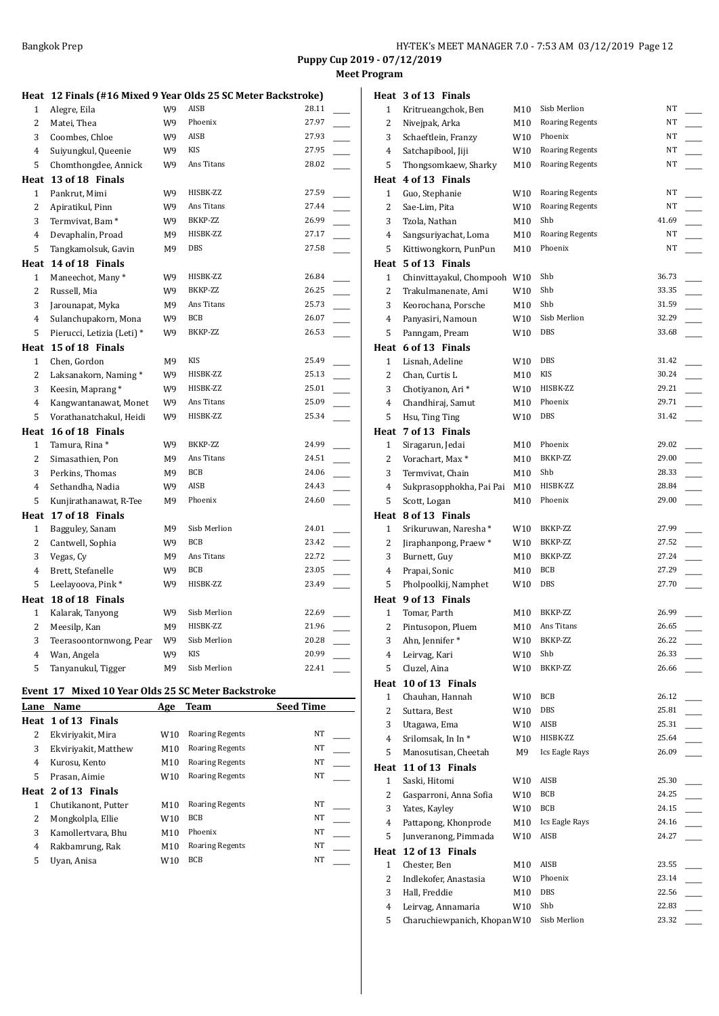**Puppy Cup 2019 - 07/12/2019 Meet Program**

|                   |                                                               |    |                       | Puppy Cup 2019 - 07/12/2019<br><b>Meet Program</b> |                   |                                                 |
|-------------------|---------------------------------------------------------------|----|-----------------------|----------------------------------------------------|-------------------|-------------------------------------------------|
|                   | Heat 12 Finals (#16 Mixed 9 Year Olds 25 SC Meter Backstroke) |    |                       |                                                    |                   | Heat 3 of 13 Finals                             |
| $\mathbf{1}$      | Alegre, Eila                                                  | W9 | AISB                  | 28.11                                              | 1                 | Kritrueangchok, I                               |
| 2                 | Matei, Thea                                                   | W9 | Phoenix               | 27.97                                              | 2                 | Nivejpak, Arka                                  |
| 3                 | Coombes, Chloe                                                | W9 | AISB                  | 27.93                                              | 3                 | Schaeftlein, Franz                              |
| $\overline{4}$    | Suiyungkul, Queenie                                           | W9 | KIS                   | 27.95                                              | 4                 | Satchapibool, Jiji                              |
| 5                 | Chomthongdee, Annick                                          | W9 | Ans Titans            | 28.02                                              | 5                 | Thongsomkaew, S                                 |
|                   | Heat 13 of 18 Finals                                          |    |                       |                                                    |                   | Heat 4 of 13 Finals                             |
| $\mathbf{1}$      | Pankrut, Mimi                                                 | W9 | HISBK-ZZ              | 27.59                                              | 1                 | Guo, Stephanie                                  |
| $\overline{2}$    | Apiratikul, Pinn                                              | W9 | Ans Titans            | 27.44                                              | 2                 | Sae-Lim, Pita                                   |
| 3                 | Termvivat, Bam <sup>*</sup>                                   | W9 | BKKP-ZZ               | 26.99                                              | 3                 | Tzola, Nathan                                   |
| 4                 | Devaphalin, Proad                                             | M9 | HISBK-ZZ              | 27.17                                              | 4                 | Sangsuriyachat, L                               |
| 5                 | Tangkamolsuk, Gavin                                           | M9 | DBS                   | 27.58                                              | 5                 | Kittiwongkorn, Pu                               |
|                   | Heat 14 of 18 Finals                                          |    |                       |                                                    |                   | Heat 5 of 13 Finals                             |
| $\mathbf{1}$      | Maneechot, Many*                                              | W9 | HISBK-ZZ              | 26.84                                              | $\mathbf{1}$      | Chinvittayakul, Ch                              |
| $\overline{2}$    | Russell, Mia                                                  | W9 | BKKP-ZZ               | 26.25                                              | 2                 | Trakulmanenate,                                 |
| 3                 | Jarounapat, Myka                                              | M9 | Ans Titans            | 25.73                                              | 3                 | Keorochana, Pors                                |
| 4                 | Sulanchupakorn, Mona                                          | W9 | BCB                   | 26.07                                              | 4                 | Panyasiri, Namou                                |
| 5                 | Pierucci, Letizia (Leti) *                                    | W9 | BKKP-ZZ               | 26.53                                              | 5                 | Panngam, Pream                                  |
| Heat              | 15 of 18 Finals                                               |    |                       |                                                    |                   | Heat 6 of 13 Finals                             |
| $1\,$             | Chen, Gordon                                                  | M9 | KIS                   | 25.49                                              | 1                 | Lisnah, Adeline                                 |
| 2                 | Laksanakorn, Naming*                                          | W9 | HISBK-ZZ              | 25.13                                              | 2                 | Chan, Curtis L                                  |
| $\sqrt{3}$        | Keesin, Maprang*                                              | W9 | HISBK-ZZ              | 25.01                                              | 3                 | Chotiyanon, Ari*                                |
| $\pmb{4}$         | Kangwantanawat, Monet                                         | W9 | Ans Titans            | 25.09                                              | 4                 | Chandhiraj, Samu                                |
| 5                 | Vorathanatchakul, Heidi                                       | W9 | HISBK-ZZ              | 25.34                                              | 5                 | Hsu, Ting Ting                                  |
|                   |                                                               |    |                       |                                                    |                   | Heat 7 of 13 Finals                             |
|                   | Heat 16 of 18 Finals<br>Tamura, Rina *                        | W9 | BKKP-ZZ               | 24.99                                              |                   |                                                 |
| $\mathbf{1}$<br>2 | Simasathien, Pon                                              |    | Ans Titans            | 24.51                                              | $\mathbf{1}$<br>2 | Siragarun, Jedai<br>Vorachart, Max <sup>*</sup> |
| 3                 |                                                               | M9 | <b>BCB</b>            | 24.06                                              |                   |                                                 |
|                   | Perkins, Thomas                                               | M9 | AISB                  | 24.43                                              | 3                 | Termvivat, Chain                                |
| 4                 | Sethandha, Nadia                                              | W9 | Phoenix               |                                                    | 4                 | Sukprasopphokha                                 |
| 5                 | Kunjirathanawat, R-Tee                                        | M9 |                       | 24.60                                              | 5                 | Scott, Logan                                    |
|                   | Heat 17 of 18 Finals                                          |    |                       |                                                    |                   | Heat 8 of 13 Finals                             |
| 1                 | Bagguley, Sanam                                               | M9 | Sisb Merlion          | 24.01                                              | 1                 | Srikuruwan, Nare                                |
| $\overline{c}$    | Cantwell, Sophia                                              | W9 | <b>BCB</b>            | 23.42                                              | 2                 | Jiraphanpong, Pra                               |
| 3                 | Vegas, Cy                                                     | M9 | Ans Titans            | 22.72                                              | 3                 | Burnett, Guy                                    |
| $\overline{4}$    | Brett, Stefanelle                                             | W9 | <b>BCB</b>            | 23.05                                              | 4                 | Prapai, Sonic                                   |
| 5                 | Leelayoova, Pink*                                             | W9 | HISBK-ZZ              | 23.49                                              | 5                 | Pholpoolkij, Nam                                |
| Heat              | 18 of 18 Finals                                               |    |                       |                                                    | Heat              | 9 of 13 Finals                                  |
| $\mathbf{1}$      | Kalarak, Tanyong                                              | W9 | Sisb Merlion          | 22.69                                              | 1                 | Tomar, Parth                                    |
| 2                 | Meesilp, Kan                                                  | M9 | HISBK-ZZ              | 21.96                                              | 2                 | Pintusopon, Pluer                               |
| 3                 | Teerasoontornwong, Pear                                       | W9 | Sisb Merlion          | 20.28                                              | 3                 | Ahn, Jennifer*                                  |
| $\overline{4}$    | Wan, Angela                                                   | W9 | <b>KIS</b>            | 20.99                                              | 4                 | Leirvag, Kari                                   |
| 5                 | Tanyanukul, Tigger                                            | M9 | Sisb Merlion          | 22.41                                              | 5                 | Cluzel, Aina                                    |
|                   |                                                               |    | . Olds be consider by |                                                    |                   | Heat 10 of 13 Final                             |

## **Event 17 Mixed 10 Year Olds 25 SC Meter Backstroke**

| Lane | Name                 | Age             | <b>Team</b>            | <b>Seed Time</b> |
|------|----------------------|-----------------|------------------------|------------------|
|      | Heat 1 of 13 Finals  |                 |                        |                  |
| 2    | Ekviriyakit, Mira    | W <sub>10</sub> | <b>Roaring Regents</b> | NT               |
| 3    | Ekviriyakit, Matthew | M10             | <b>Roaring Regents</b> | NT               |
| 4    | Kurosu, Kento        | M10             | <b>Roaring Regents</b> | NT               |
| 5.   | Prasan, Aimie        | W10             | <b>Roaring Regents</b> | NT               |
|      | Heat 2 of 13 Finals  |                 |                        |                  |
| 1    | Chutikanont, Putter  | M10             | <b>Roaring Regents</b> | <b>NT</b>        |
| 2    | Mongkolpla, Ellie    | W <sub>10</sub> | <b>BCB</b>             | NT               |
| 3    | Kamollertvara, Bhu   | M10             | Phoenix                | NT               |
| 4    | Rakbamrung, Rak      | M10             | <b>Roaring Regents</b> | <b>NT</b>        |
| 5    | Uyan, Anisa          | W <sub>10</sub> | <b>BCB</b>             | NT               |
|      |                      |                 |                        |                  |

| 1                 | Kritrueangchok, Ben                                | M10 | Sisb Merlion           | NT             |  |
|-------------------|----------------------------------------------------|-----|------------------------|----------------|--|
| 2                 | Nivejpak, Arka                                     | M10 | <b>Roaring Regents</b> | NT             |  |
| 3                 | Schaeftlein, Franzy                                | W10 | Phoenix                | NT             |  |
| 4                 | Satchapibool, Jiji                                 | W10 | <b>Roaring Regents</b> | NT             |  |
| 5                 | Thongsomkaew, Sharky                               | M10 | <b>Roaring Regents</b> | NT             |  |
| Heat              | 4 of 13 Finals                                     |     |                        |                |  |
| $\mathbf{1}$      | Guo, Stephanie                                     | W10 | <b>Roaring Regents</b> | NT             |  |
| 2                 | Sae-Lim, Pita                                      | W10 | <b>Roaring Regents</b> | NT             |  |
| 3                 | Tzola, Nathan                                      | M10 | Shb                    | 41.69          |  |
| 4                 | Sangsuriyachat, Loma                               | M10 | <b>Roaring Regents</b> | NT             |  |
| 5                 | Kittiwongkorn, PunPun                              | M10 | Phoenix                | NT             |  |
|                   | Heat 5 of 13 Finals                                |     |                        |                |  |
| 1                 | Chinvittayakul, Chompooh W10                       |     | Shb                    | 36.73          |  |
| 2                 | Trakulmanenate, Ami                                | W10 | Shb                    | 33.35          |  |
| 3                 | Keorochana, Porsche                                | M10 | Shb                    | 31.59          |  |
| 4                 | Panyasiri, Namoun                                  | W10 | Sisb Merlion           | 32.29          |  |
| 5                 | Panngam, Pream                                     | W10 | DBS                    | 33.68          |  |
| Heat              | 6 of 13 Finals                                     |     |                        |                |  |
| 1                 | Lisnah, Adeline                                    | W10 | <b>DBS</b>             | 31.42          |  |
| 2                 | Chan, Curtis L                                     | M10 | <b>KIS</b>             | 30.24          |  |
| 3                 | Chotiyanon, Ari*                                   | W10 | HISBK-ZZ               | 29.21          |  |
| 4                 | Chandhiraj, Samut                                  | M10 | Phoenix                | 29.71          |  |
| 5                 | Hsu, Ting Ting                                     | W10 | DBS                    | 31.42          |  |
|                   | Heat 7 of 13 Finals                                |     |                        |                |  |
| $\mathbf{1}$      | Siragarun, Jedai                                   | M10 | Phoenix                | 29.02          |  |
| 2                 | Vorachart, Max*                                    | M10 | BKKP-ZZ                | 29.00          |  |
| 3                 | Termvivat, Chain                                   | M10 | Shb                    | 28.33          |  |
| 4                 | Sukprasopphokha, Pai Pai                           | M10 | HISBK-ZZ               | 28.84          |  |
| 5                 | Scott, Logan                                       | M10 | Phoenix                | 29.00          |  |
|                   | Heat 8 of 13 Finals                                |     |                        |                |  |
| 1                 | Srikuruwan, Naresha*                               | W10 | BKKP-ZZ                | 27.99          |  |
| 2                 | Jiraphanpong, Praew*                               | W10 | BKKP-ZZ                | 27.52          |  |
| 3                 | Burnett, Guy                                       | M10 | BKKP-ZZ                | 27.24          |  |
| 4                 | Prapai, Sonic                                      | M10 | BCB                    | 27.29          |  |
| 5                 | Pholpoolkij, Namphet                               | W10 | DBS                    | 27.70          |  |
|                   | Heat 9 of 13 Finals                                |     |                        |                |  |
| $\mathbf{1}$      | Tomar, Parth                                       | M10 | BKKP-ZZ                | 26.99          |  |
| 2                 | Pintusopon, Pluem                                  | M10 | Ans Titans             | 26.65          |  |
| 3                 | Ahn, Jennifer*                                     | W10 | BKKP-ZZ                | 26.22          |  |
| 4                 | Leirvag, Kari                                      | W10 | Shb                    | 26.33          |  |
| 5                 | Cluzel, Aina                                       | W10 | BKKP-ZZ                | 26.66          |  |
|                   | Heat 10 of 13 Finals                               |     |                        |                |  |
| $\mathbf{1}$      | Chauhan, Hannah                                    | W10 | BCB                    | 26.12          |  |
| 2                 | Suttara, Best                                      | W10 | <b>DBS</b>             | 25.81          |  |
| 3                 | Utagawa, Ema                                       | W10 | AISB                   | 25.31          |  |
| 4                 | Srilomsak, In In*                                  | W10 | HISBK-ZZ               | 25.64          |  |
| 5                 | Manosutisan, Cheetah                               | M9  | Ics Eagle Rays         | 26.09          |  |
| Heat              | 11 of 13 Finals                                    |     |                        |                |  |
| 1                 | Saski, Hitomi                                      | W10 | AISB                   | 25.30          |  |
| 2                 | Gasparroni, Anna Sofia                             | W10 | <b>BCB</b>             | 24.25          |  |
| 3                 | Yates, Kayley                                      | W10 | BCB                    | 24.15          |  |
| 4                 | Pattapong, Khonprode                               | M10 | Ics Eagle Rays         | 24.16          |  |
| 5                 | Junveranong, Pimmada                               | W10 | AISB                   | 24.27          |  |
|                   | 12 of 13 Finals                                    |     |                        |                |  |
| Heat              |                                                    |     | AISB                   | 23.55          |  |
| $\mathbf{1}$<br>2 | Chester, Ben                                       | M10 | Phoenix                | 23.14          |  |
|                   | Indlekofer, Anastasia                              | W10 |                        |                |  |
|                   |                                                    |     |                        |                |  |
| 3                 | Hall, Freddie                                      | M10 | DBS                    | 22.56          |  |
| 4<br>5            | Leirvag, Annamaria<br>Charuchiewpanich, Khopan W10 | W10 | Shb<br>Sisb Merlion    | 22.83<br>23.32 |  |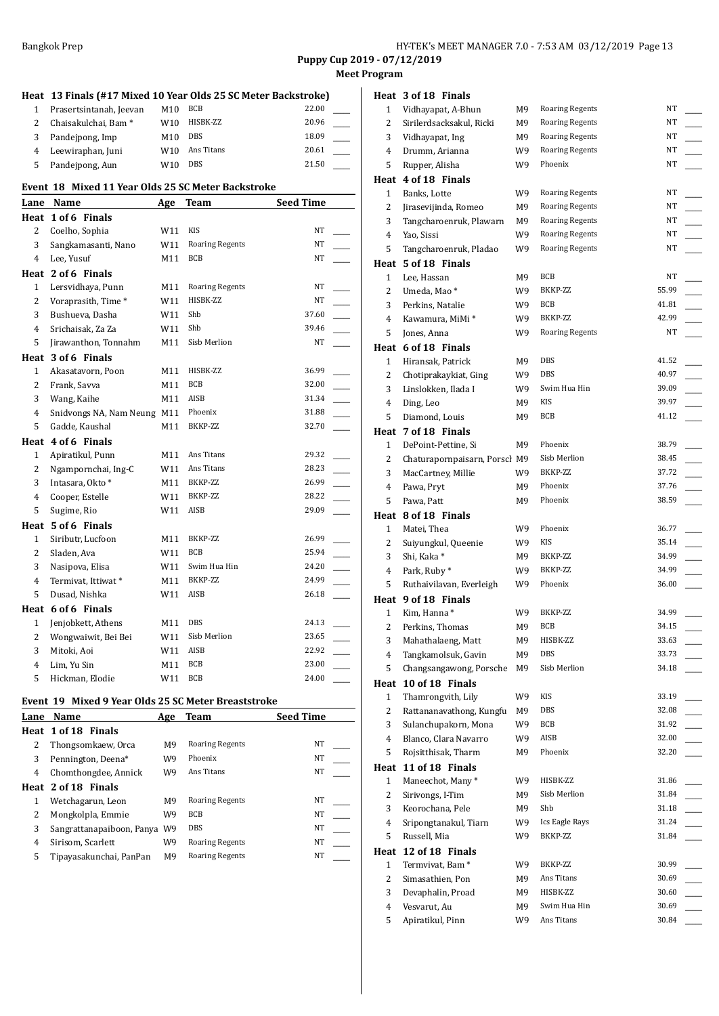**Heat 3 of 18 Finals**

**Meet Program**

|                | Heat 13 Finals (#17 Mixed 10 Year Olds 25 SC Meter Backstroke) |     |                        |                  |  |
|----------------|----------------------------------------------------------------|-----|------------------------|------------------|--|
| 1              | Prasertsintanah, Jeevan                                        | M10 | <b>BCB</b>             | 22.00            |  |
| $\overline{c}$ | Chaisakulchai, Bam <sup>*</sup>                                | W10 | HISBK-ZZ               | 20.96            |  |
| 3              | Pandejpong, Imp                                                | M10 | <b>DBS</b>             | 18.09            |  |
| $\overline{4}$ | Leewiraphan, Juni                                              | W10 | Ans Titans             | 20.61            |  |
| 5              | Pandejpong, Aun                                                | W10 | <b>DBS</b>             | 21.50            |  |
|                | Event 18 Mixed 11 Year Olds 25 SC Meter Backstroke             |     |                        |                  |  |
|                | Lane Name                                                      | Age | <b>Team</b>            | <b>Seed Time</b> |  |
|                | Heat 1 of 6 Finals                                             |     |                        |                  |  |
| 2              | Coelho, Sophia                                                 | W11 | <b>KIS</b>             | NT               |  |
| 3              | Sangkamasanti, Nano                                            | W11 | <b>Roaring Regents</b> | NT               |  |
| 4              | Lee, Yusuf                                                     | M11 | <b>BCB</b>             | NT               |  |
|                | Heat 2 of 6 Finals                                             |     |                        |                  |  |
| $\mathbf{1}$   | Lersvidhaya, Punn                                              | M11 | <b>Roaring Regents</b> | NT               |  |
| 2              | Voraprasith, Time*                                             | W11 | HISBK-ZZ               | NT               |  |
| 3              | Bushueva, Dasha                                                | W11 | Shb                    | 37.60            |  |
| 4              | Srichaisak, Za Za                                              | W11 | Shb                    | 39.46            |  |
| 5              | Jirawanthon, Tonnahm                                           | M11 | Sisb Merlion           | NT               |  |
|                | Heat 3 of 6 Finals                                             |     |                        |                  |  |
| $\mathbf{1}$   | Akasatavorn, Poon                                              | M11 | HISBK-ZZ               | 36.99            |  |
| 2              | Frank, Savva                                                   | M11 | <b>BCB</b>             | 32.00            |  |
| 3              | Wang, Kaihe                                                    | M11 | AISB                   | 31.34            |  |
| 4              | Snidvongs NA, Nam Neung M11                                    |     | Phoenix                | 31.88            |  |
| 5              | Gadde, Kaushal                                                 | M11 | BKKP-ZZ                | 32.70            |  |
|                | Heat 4 of 6 Finals                                             |     |                        |                  |  |
| $\mathbf{1}$   | Apiratikul, Punn                                               | M11 | Ans Titans             | 29.32            |  |
| 2              | Ngampornchai, Ing-C                                            | W11 | Ans Titans             | 28.23            |  |
| 3              | Intasara, Okto *                                               | M11 | BKKP-ZZ                | 26.99            |  |
| $\overline{4}$ | Cooper, Estelle                                                | W11 | BKKP-ZZ                | 28.22            |  |
| 5              | Sugime, Rio                                                    | W11 | AISB                   | 29.09            |  |
|                | Heat 5 of 6 Finals                                             |     |                        |                  |  |
| $\mathbf{1}$   | Siributr, Lucfoon                                              | M11 | BKKP-ZZ                | 26.99            |  |
| $\overline{c}$ | Sladen, Ava                                                    | W11 | <b>BCB</b>             | 25.94            |  |
| 3              | Nasipova, Elisa                                                | W11 | Swim Hua Hin           | 24.20            |  |
| 4              | Termivat, Ittiwat*                                             | M11 | BKKP-ZZ                | 24.99            |  |
| 5              | Dusad, Nishka                                                  | W11 | AISB                   | 26.18            |  |
|                | Heat 6 of 6 Finals                                             |     |                        |                  |  |
| $\mathbf{1}$   | Jenjobkett, Athens                                             | M11 | <b>DBS</b>             | 24.13            |  |
| 2              | Wongwaiwit, Bei Bei                                            | W11 | Sisb Merlion           | 23.65            |  |
| 3              | Mitoki, Aoi                                                    | W11 | AISB                   | 22.92            |  |
| $\overline{4}$ | Lim, Yu Sin                                                    | M11 | <b>BCB</b>             | 23.00            |  |
| 5              | Hickman, Elodie                                                | W11 | <b>BCB</b>             | 24.00            |  |

#### **Event 19 Mixed 9 Year Olds 25 SC Meter Breaststroke**

| Lane | Name                      | Age            | Team                   | <b>Seed Time</b> |
|------|---------------------------|----------------|------------------------|------------------|
|      | Heat 1 of 18 Finals       |                |                        |                  |
| 2    | Thongsomkaew, Orca        | M <sub>9</sub> | <b>Roaring Regents</b> | NT               |
| 3    | Pennington, Deena*        | W9             | Phoenix                | NT               |
| 4    | Chomthongdee, Annick      | W9             | Ans Titans             | NT               |
|      | Heat 2 of 18 Finals       |                |                        |                  |
| 1    | Wetchagarun, Leon         | M <sub>9</sub> | <b>Roaring Regents</b> | NT               |
| 2    | Mongkolpla, Emmie         | W9             | <b>BCB</b>             | NT               |
| 3    | Sangrattanapaiboon, Panya | W9             | <b>DBS</b>             | NT               |
| 4    | Sirisom, Scarlett         | W9             | <b>Roaring Regents</b> | NT               |
| 5    | Tipayasakunchai, PanPan   | M <sub>9</sub> | <b>Roaring Regents</b> | NT               |

| 1              | Vidhayapat, A-Bhun            | М9  | <b>Roaring Regents</b> | NT    |  |
|----------------|-------------------------------|-----|------------------------|-------|--|
| 2              | Sirilerdsacksakul, Ricki      | M9  | <b>Roaring Regents</b> | NT    |  |
| 3              | Vidhayapat, Ing               | M9  | <b>Roaring Regents</b> | ΝT    |  |
| 4              | Drumm, Arianna                | W9  | <b>Roaring Regents</b> | NT    |  |
| 5              | Rupper, Alisha                | W9  | Phoenix                | NT    |  |
|                | Heat 4 of 18 Finals           |     |                        |       |  |
| $\mathbf{1}$   | Banks, Lotte                  | W9  | Roaring Regents        | NT    |  |
| 2              | Jirasevijinda, Romeo          | M9  | <b>Roaring Regents</b> | NT    |  |
| 3              | Tangcharoenruk, Plawarn       | M9  | <b>Roaring Regents</b> | ΝT    |  |
| 4              | Yao, Sissi                    | W9  | <b>Roaring Regents</b> | ΝT    |  |
| 5              | Tangcharoenruk, Pladao        | W9  | <b>Roaring Regents</b> | NT    |  |
|                | Heat 5 of 18 Finals           |     |                        |       |  |
| 1              | Lee, Hassan                   | M9  | BCB                    | NΤ    |  |
| 2              | Umeda, Mao*                   | W9  | BKKP-ZZ                | 55.99 |  |
| 3              | Perkins, Natalie              | W9  | BCB                    | 41.81 |  |
| 4              | Kawamura, MiMi *              | W9  | BKKP-ZZ                | 42.99 |  |
| 5              | Jones, Anna                   | W9  | <b>Roaring Regents</b> | NT    |  |
|                | Heat 6 of 18 Finals           |     |                        |       |  |
| $\mathbf{1}$   | Hiransak, Patrick             | M9  | DBS                    | 41.52 |  |
| 2              | Chotiprakaykiat, Ging         | W9  | DBS                    | 40.97 |  |
| 3              | Linslokken, Ilada I           | W9. | Swim Hua Hin           | 39.09 |  |
| 4              | Ding, Leo                     | M9  | KIS                    | 39.97 |  |
| 5              | Diamond, Louis                | M9  | BCB                    | 41.12 |  |
|                | Heat 7 of 18 Finals           |     |                        |       |  |
| 1              | DePoint-Pettine, Si           | М9  | Phoenix                | 38.79 |  |
| 2              | Chaturapornpaisarn, Porscl M9 |     | Sisb Merlion           | 38.45 |  |
| 3              | MacCartney, Millie            | W9  | BKKP-ZZ                | 37.72 |  |
| 4              | Pawa, Pryt                    | M9  | Phoenix                | 37.76 |  |
| 5              | Pawa, Patt                    | M9  | Phoenix                | 38.59 |  |
|                | Heat 8 of 18 Finals           |     |                        |       |  |
| 1              | Matei, Thea                   | W9  | Phoenix                | 36.77 |  |
| 2              | Suiyungkul, Queenie           | W9  | KIS                    | 35.14 |  |
| 3              | Shi, Kaka*                    | M9  | BKKP-ZZ                | 34.99 |  |
| 4              | Park, Ruby*                   | W9  | BKKP-ZZ                | 34.99 |  |
| 5              | Ruthaivilavan, Everleigh      | W9  | Phoenix                | 36.00 |  |
|                | Heat 9 of 18 Finals           |     |                        |       |  |
| $\mathbf{1}$   | Kim, Hanna*                   | W9  | BKKP-ZZ                | 34.99 |  |
| 2              | Perkins, Thomas               | M9  | BCB                    | 34.15 |  |
| $\overline{3}$ | Mahathalaeng, Matt            | M9  | HISBK-ZZ               | 33.63 |  |
| 4              | Tangkamolsuk, Gavin           | М9  | DBS                    | 33.73 |  |
| 5              | Changsangawong, Porsche       | М9  | Sisb Merlion           | 34.18 |  |
| Heat           | 10 of 18 Finals               |     |                        |       |  |
| 1              | Thamrongvith, Lily            | W9  | KIS                    | 33.19 |  |
| 2              | Rattananavathong, Kungfu      | M9  | DBS                    | 32.08 |  |
| 3              | Sulanchupakorn, Mona          | W9  | BCB                    | 31.92 |  |
| 4              | Blanco, Clara Navarro         | W9  | AISB                   | 32.00 |  |
| 5              | Rojsitthisak, Tharm           | M9  | Phoenix                | 32.20 |  |
| Heat           | 11 of 18 Finals               |     |                        |       |  |
| $\mathbf{1}$   | Maneechot, Many*              | W9  | HISBK-ZZ               | 31.86 |  |
| 2              | Sirivongs, I-Tim              | M9  | Sisb Merlion           | 31.84 |  |
| 3              | Keorochana, Pele              | M9  | Shb                    | 31.18 |  |
| 4              | Sripongtanakul, Tiarn         | W9  | Ics Eagle Rays         | 31.24 |  |
| 5              | Russell, Mia                  | W9  | BKKP-ZZ                | 31.84 |  |
|                | Heat 12 of 18 Finals          |     |                        |       |  |
| $\mathbf{1}$   | Termvivat, Bam <sup>*</sup>   | W9  | BKKP-ZZ                | 30.99 |  |
| 2              | Simasathien, Pon              | M9  | Ans Titans             | 30.69 |  |
| 3              | Devaphalin, Proad             | M9  | HISBK-ZZ               | 30.60 |  |
| 4              | Vesvarut, Au                  | M9  | Swim Hua Hin           | 30.69 |  |
| 5              | Apiratikul, Pinn              | W9  | Ans Titans             | 30.84 |  |
|                |                               |     |                        |       |  |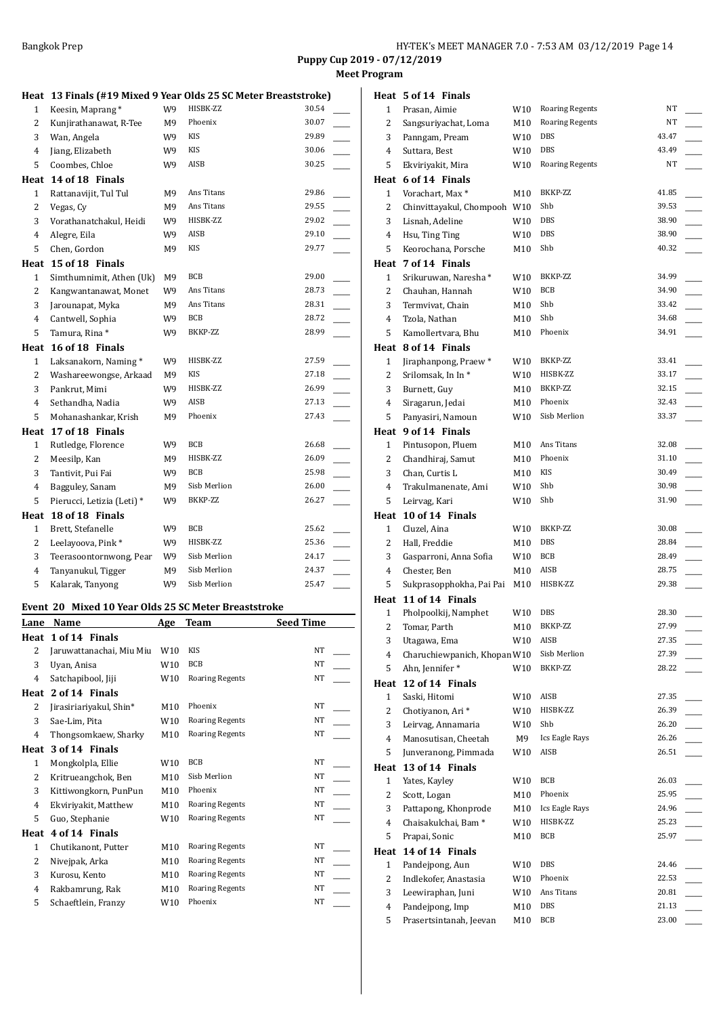**Meet Program**

| Heat 13 Finals (#19 Mixed 9 Year Olds 25 SC Meter Breaststroke) |                     |  |
|-----------------------------------------------------------------|---------------------|--|
| 1 Veces Monument                                                | $M1$ $M1$ $M2$ $M1$ |  |

| 1              | Keesin, Maprang*           | W9 | HISBK-ZZ     | 30.54 |
|----------------|----------------------------|----|--------------|-------|
| 2              | Kunjirathanawat, R-Tee     | M9 | Phoenix      | 30.07 |
| 3              | Wan, Angela                | W9 | <b>KIS</b>   | 29.89 |
| 4              | Jiang, Elizabeth           | W9 | KIS          | 30.06 |
| 5              | Coombes, Chloe             | W9 | AISB         | 30.25 |
| Heat           | 14 of 18 Finals            |    |              |       |
| 1              | Rattanavijit, Tul Tul      | M9 | Ans Titans   | 29.86 |
| $\overline{c}$ | Vegas, Cy                  | M9 | Ans Titans   | 29.55 |
| 3              | Vorathanatchakul, Heidi    | W9 | HISBK-ZZ     | 29.02 |
| 4              | Alegre, Eila               | W9 | AISB         | 29.10 |
| 5              | Chen, Gordon               | M9 | <b>KIS</b>   | 29.77 |
| Heat           | 15 of 18 Finals            |    |              |       |
| $\mathbf{1}$   | Simthumnimit, Athen (Uk)   | M9 | BCB          | 29.00 |
| 2              | Kangwantanawat, Monet      | W9 | Ans Titans   | 28.73 |
| 3              | Jarounapat, Myka           | M9 | Ans Titans   | 28.31 |
| 4              | Cantwell, Sophia           | W9 | <b>BCB</b>   | 28.72 |
| 5              | Tamura, Rina *             | W9 | BKKP-ZZ      | 28.99 |
| Heat           | 16 of 18 Finals            |    |              |       |
| $\mathbf{1}$   | Laksanakorn, Naming*       | W9 | HISBK-ZZ     | 27.59 |
| 2              | Washareewongse, Arkaad     | M9 | <b>KIS</b>   | 27.18 |
| 3              | Pankrut, Mimi              | W9 | HISBK-ZZ     | 26.99 |
| 4              | Sethandha, Nadia           | W9 | AISB         | 27.13 |
| 5              | Mohanashankar, Krish       | М9 | Phoenix      | 27.43 |
| Heat           | 17 of 18 Finals            |    |              |       |
| $\mathbf{1}$   | Rutledge, Florence         | W9 | <b>BCB</b>   | 26.68 |
| $\overline{2}$ | Meesilp, Kan               | M9 | HISBK-ZZ     | 26.09 |
| 3              | Tantivit, Pui Fai          | W9 | BCB          | 25.98 |
| 4              | Bagguley, Sanam            | M9 | Sisb Merlion | 26.00 |
| 5              | Pierucci, Letizia (Leti) * | W9 | BKKP-ZZ      | 26.27 |
| Heat           | 18 of 18 Finals            |    |              |       |
| $\mathbf{1}$   | Brett, Stefanelle          | W9 | BCB          | 25.62 |
| 2              | Leelayoova, Pink*          | W9 | HISBK-ZZ     | 25.36 |
| 3              | Teerasoontornwong, Pear    | W9 | Sisb Merlion | 24.17 |
| 4              | Tanyanukul, Tigger         | M9 | Sisb Merlion | 24.37 |
| 5              | Kalarak, Tanyong           | W9 | Sisb Merlion | 25.47 |

## **Event 20 Mixed 10 Year Olds 25 SC Meter Breaststroke**

| Lane         | Name                     | Age | Team                   | <b>Seed Time</b> |
|--------------|--------------------------|-----|------------------------|------------------|
| Heat         | 1 of 14 Finals           |     |                        |                  |
| 2            | Jaruwattanachai, Miu Miu | W10 | <b>KIS</b>             | <b>NT</b>        |
| 3            | Uyan, Anisa              | W10 | <b>BCB</b>             | <b>NT</b>        |
| 4            | Satchapibool, Jiji       | W10 | <b>Roaring Regents</b> | NT               |
| Heat         | 2 of 14 Finals           |     |                        |                  |
| 2            | Jirasiriariyakul, Shin*  | M10 | Phoenix                | NT               |
| 3            | Sae-Lim, Pita            | W10 | <b>Roaring Regents</b> | NT               |
| 4            | Thongsomkaew, Sharky     | M10 | <b>Roaring Regents</b> | <b>NT</b>        |
| Heat         | 3 of 14 Finals           |     |                        |                  |
| $\mathbf{1}$ | Mongkolpla, Ellie        | W10 | <b>BCB</b>             | <b>NT</b>        |
| 2            | Kritrueangchok, Ben      | M10 | Sisb Merlion           | NT               |
| 3            | Kittiwongkorn, PunPun    | M10 | Phoenix                | <b>NT</b>        |
| 4            | Ekviriyakit, Matthew     | M10 | <b>Roaring Regents</b> | NT               |
| 5            | Guo, Stephanie           | W10 | <b>Roaring Regents</b> | <b>NT</b>        |
| Heat         | 4 of 14 Finals           |     |                        |                  |
| 1            | Chutikanont, Putter      | M10 | <b>Roaring Regents</b> | NT               |
| 2            | Nivejpak, Arka           | M10 | <b>Roaring Regents</b> | NT               |
| 3            | Kurosu, Kento            | M10 | <b>Roaring Regents</b> | NT               |
| 4            | Rakbamrung, Rak          | M10 | <b>Roaring Regents</b> | NT               |
| 5            | Schaeftlein, Franzy      | W10 | Phoenix                | NT               |
|              |                          |     |                        |                  |

|                      | Heat 5 of 14 Finals                        |            |                        |                |  |
|----------------------|--------------------------------------------|------------|------------------------|----------------|--|
| 1                    | Prasan, Aimie                              | W10        | <b>Roaring Regents</b> | NT             |  |
| 2                    | Sangsuriyachat, Loma                       | M10        | <b>Roaring Regents</b> | NT             |  |
| 3                    | Panngam, Pream                             | W10        | DBS                    | 43.47          |  |
| 4                    | Suttara, Best                              | W10        | DBS                    | 43.49          |  |
| 5                    | Ekviriyakit, Mira                          | W10        | <b>Roaring Regents</b> | NT             |  |
|                      | Heat 6 of 14 Finals                        |            |                        |                |  |
| $\mathbf{1}$         | Vorachart, Max*                            | M10        | BKKP-ZZ                | 41.85          |  |
| 2                    | Chinvittayakul, Chompooh W10               |            | Shb                    | 39.53          |  |
| 3                    | Lisnah, Adeline                            | W10        | DBS                    | 38.90          |  |
| 4                    | Hsu, Ting Ting                             | W10        | DBS                    | 38.90          |  |
| 5                    | Keorochana, Porsche                        | M10        | Shb                    | 40.32          |  |
|                      | Heat 7 of 14 Finals                        |            |                        |                |  |
| 1                    | Srikuruwan, Naresha*                       | W10        | BKKP-ZZ                | 34.99          |  |
| 2                    | Chauhan, Hannah                            | W10        | BCB                    | 34.90          |  |
| 3                    | Termvivat, Chain                           | M10        | Shb                    | 33.42          |  |
| 4                    | Tzola, Nathan                              | M10        | Shb<br>Phoenix         | 34.68<br>34.91 |  |
| 5                    | Kamollertvara, Bhu<br>Heat 8 of 14 Finals  | M10        |                        |                |  |
| $\mathbf{1}$         |                                            |            | BKKP-ZZ                | 33.41          |  |
| 2                    | Jiraphanpong, Praew*<br>Srilomsak, In In*  | W10<br>W10 | HISBK-ZZ               | 33.17          |  |
| 3                    | Burnett, Guy                               | M10        | BKKP-ZZ                | 32.15          |  |
| 4                    | Siragarun, Jedai                           | M10        | Phoenix                | 32.43          |  |
| 5                    | Panyasiri, Namoun                          | W10        | Sisb Merlion           | 33.37          |  |
|                      | Heat 9 of 14 Finals                        |            |                        |                |  |
| $\mathbf{1}$         | Pintusopon, Pluem                          | M10        | Ans Titans             | 32.08          |  |
| 2                    | Chandhiraj, Samut                          | M10        | Phoenix                | 31.10          |  |
| 3                    | Chan, Curtis L                             | M10        | KIS                    | 30.49          |  |
| 4                    | Trakulmanenate, Ami                        | W10        | Shb                    | 30.98          |  |
| 5                    | Leirvag, Kari                              | W10        | Shb                    | 31.90          |  |
|                      | Heat 10 of 14 Finals                       |            |                        |                |  |
|                      |                                            |            |                        |                |  |
| 1                    | Cluzel, Aina                               | W10        | BKKP-ZZ                | 30.08          |  |
| 2                    | Hall, Freddie                              | M10        | DBS                    | 28.84          |  |
| 3                    | Gasparroni, Anna Sofia                     | W10        | BCB                    | 28.49          |  |
| 4                    | Chester, Ben                               | M10        | AISB                   | 28.75          |  |
| 5                    | Sukprasopphokha, Pai Pai                   | M10        | HISBK-ZZ               | 29.38          |  |
|                      | Heat 11 of 14 Finals                       |            |                        |                |  |
| 1                    | Pholpoolkij, Namphet                       | W10        | DBS                    | 28.30          |  |
| $\overline{a}$       | Tomar, Parth                               | M10        | BKKP-ZZ                | 27.99          |  |
| 3                    | Utagawa, Ema                               | W10        | AISB                   | 27.35          |  |
| 4                    | Charuchiewpanich, Khopan W10               |            | Sisb Merlion           | 27.39          |  |
| 5                    | Ahn, Jennifer*                             | W10        | BKKP-ZZ                | 28.22          |  |
| Heat                 | 12 of 14 Finals                            |            |                        |                |  |
| 1                    | Saski, Hitomi                              | W10        | AISB                   | 27.35          |  |
| 2                    | Chotiyanon, Ari*                           | W10        | HISBK-ZZ               | 26.39          |  |
| 3                    | Leirvag, Annamaria                         | W10        | Shb                    | 26.20<br>26.26 |  |
| 4                    | Manosutisan, Cheetah                       | M9         | Ics Eagle Rays<br>AISB | 26.51          |  |
| 5                    | Junveranong, Pimmada                       | W10        |                        |                |  |
| Heat<br>$\mathbf{1}$ | 13 of 14 Finals<br>Yates, Kayley           | W10        | <b>BCB</b>             | 26.03          |  |
| $\overline{c}$       | Scott, Logan                               | M10        | Phoenix                | 25.95          |  |
| 3                    | Pattapong, Khonprode                       | M10        | Ics Eagle Rays         | 24.96          |  |
| 4                    | Chaisakulchai, Bam <sup>*</sup>            | W10        | HISBK-ZZ               | 25.23          |  |
| 5                    | Prapai, Sonic                              | M10        | BCB                    | 25.97          |  |
|                      | Heat 14 of 14 Finals                       |            |                        |                |  |
| $\mathbf{1}$         | Pandejpong, Aun                            | W10        | DBS                    | 24.46          |  |
| 2                    | Indlekofer, Anastasia                      | W10        | Phoenix                | 22.53          |  |
| 3                    | Leewiraphan, Juni                          | W10        | Ans Titans             | 20.81          |  |
| 4<br>5               | Pandejpong, Imp<br>Prasertsintanah, Jeevan | M10        | DBS<br>BCB             | 21.13<br>23.00 |  |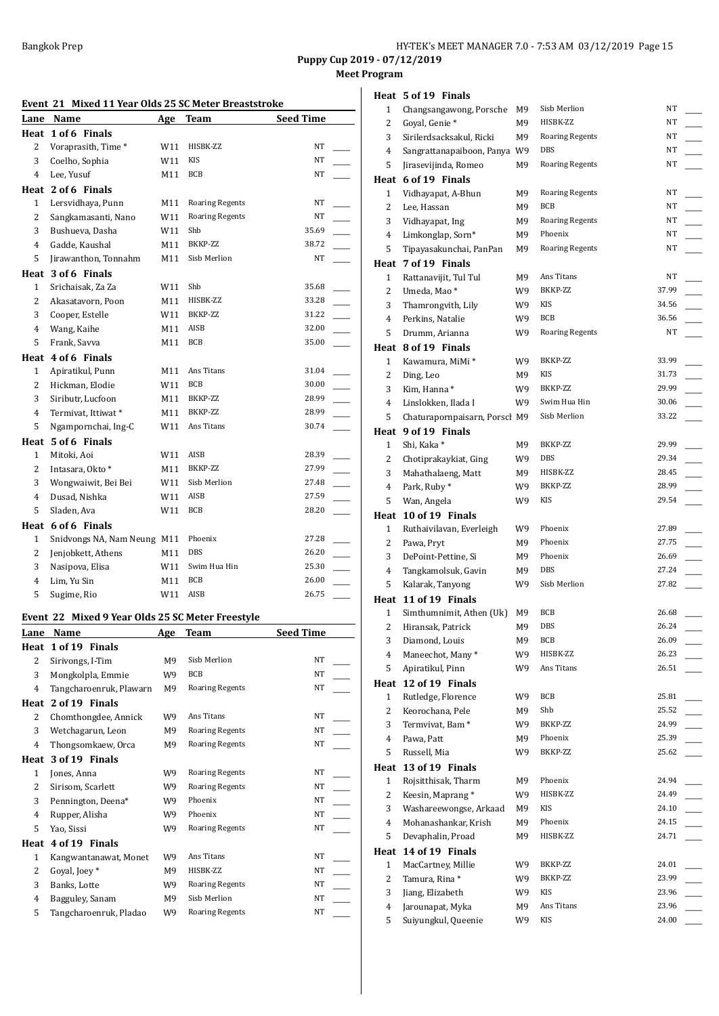Bangkok Prep **HY-TEK's MEET MANAGER 7.0 - 7:53 AM 03/12/2019** Page 15

**Puppy Cup 2019 - 07/12/2019**

**Meet Program**

| Event 21 Mixed 11 Year Olds 25 SC Meter Breaststroke |                             |     |                        |                  |  |  |
|------------------------------------------------------|-----------------------------|-----|------------------------|------------------|--|--|
| Lane                                                 | Name                        | Age | <b>Team</b>            | <b>Seed Time</b> |  |  |
|                                                      | Heat 1 of 6 Finals          |     |                        |                  |  |  |
| $\overline{2}$                                       | Voraprasith, Time*          | W11 | HISBK-ZZ               | NT               |  |  |
| 3                                                    | Coelho, Sophia              | W11 | <b>KIS</b>             | NT               |  |  |
| 4                                                    | Lee, Yusuf                  | M11 | <b>BCB</b>             | NT               |  |  |
|                                                      | Heat 2 of 6 Finals          |     |                        |                  |  |  |
| $\mathbf{1}$                                         | Lersvidhaya, Punn           | M11 | <b>Roaring Regents</b> | NT               |  |  |
| $\overline{2}$                                       | Sangkamasanti, Nano         | W11 | <b>Roaring Regents</b> | <b>NT</b>        |  |  |
| 3                                                    | Bushueva, Dasha             | W11 | Shb                    | 35.69            |  |  |
| 4                                                    | Gadde, Kaushal              | M11 | BKKP-ZZ                | 38.72            |  |  |
| 5                                                    | Jirawanthon, Tonnahm        | M11 | Sisb Merlion           | NT               |  |  |
|                                                      | Heat 3 of 6 Finals          |     |                        |                  |  |  |
| $\mathbf{1}$                                         | Srichaisak, Za Za           | W11 | Shb                    | 35.68            |  |  |
| $\overline{2}$                                       | Akasatavorn, Poon           | M11 | HISBK-ZZ               | 33.28            |  |  |
| 3                                                    | Cooper, Estelle             | W11 | BKKP-ZZ                | 31.22            |  |  |
| 4                                                    | Wang, Kaihe                 | M11 | AISB                   | 32.00            |  |  |
| 5                                                    | Frank, Savva                | M11 | <b>BCB</b>             | 35.00            |  |  |
|                                                      | Heat 4 of 6 Finals          |     |                        |                  |  |  |
| 1                                                    | Apiratikul, Punn            | M11 | Ans Titans             | 31.04            |  |  |
| $\overline{c}$                                       | Hickman, Elodie             | W11 | <b>BCB</b>             | 30.00            |  |  |
| 3                                                    | Siributr, Lucfoon           | M11 | BKKP-ZZ                | 28.99            |  |  |
| 4                                                    | Termivat, Ittiwat*          | M11 | BKKP-ZZ                | 28.99            |  |  |
| 5                                                    | Ngampornchai, Ing-C         | W11 | Ans Titans             | 30.74            |  |  |
|                                                      | Heat 5 of 6 Finals          |     |                        |                  |  |  |
| $\mathbf{1}$                                         | Mitoki, Aoi                 | W11 | AISB                   | 28.39            |  |  |
| $\overline{c}$                                       | Intasara, Okto *            | M11 | BKKP-ZZ                | 27.99            |  |  |
| 3                                                    | Wongwaiwit, Bei Bei         | W11 | Sisb Merlion           | 27.48            |  |  |
| 4                                                    | Dusad, Nishka               | W11 | AISB                   | 27.59            |  |  |
| 5                                                    | Sladen, Ava                 | W11 | <b>BCB</b>             | 28.20            |  |  |
|                                                      | Heat 6 of 6 Finals          |     |                        |                  |  |  |
| $\mathbf{1}$                                         | Snidvongs NA, Nam Neung M11 |     | Phoenix                | 27.28            |  |  |
| $\overline{c}$                                       | Jenjobkett, Athens          | M11 | <b>DBS</b>             | 26.20            |  |  |
| 3                                                    | Nasipova, Elisa             | W11 | Swim Hua Hin           | 25.30            |  |  |
| 4                                                    | Lim, Yu Sin                 | M11 | BCB                    | 26.00            |  |  |
| 5                                                    | Sugime, Rio                 | W11 | AISB                   | 26.75            |  |  |
|                                                      |                             |     |                        |                  |  |  |

## **Event 22 Mixed 9 Year Olds 25 SC Meter Freestyle**

| Lane           | Name                    | Age            | Team                   | <b>Seed Time</b> |
|----------------|-------------------------|----------------|------------------------|------------------|
| Heat           | 1 of 19 Finals          |                |                        |                  |
| 2              | Sirivongs, I-Tim        | M9             | Sisb Merlion           | NT               |
| 3              | Mongkolpla, Emmie       | W9             | <b>BCB</b>             | NT               |
| $\overline{4}$ | Tangcharoenruk, Plawarn | M9             | <b>Roaring Regents</b> | NT               |
| Heat           | 2 of 19 Finals          |                |                        |                  |
| 2              | Chomthongdee, Annick    | W9             | Ans Titans             | NT               |
| 3              | Wetchagarun, Leon       | M <sub>9</sub> | <b>Roaring Regents</b> | NT               |
| $\overline{4}$ | Thongsomkaew, Orca      | M9             | <b>Roaring Regents</b> | NT               |
| Heat           | 3 of 19 Finals          |                |                        |                  |
| 1              | Jones, Anna             | W9             | <b>Roaring Regents</b> | NT               |
| 2              | Sirisom, Scarlett       | W9             | <b>Roaring Regents</b> | NT               |
| 3              | Pennington, Deena*      | W9             | Phoenix                | NT               |
| $\overline{4}$ | Rupper, Alisha          | W9             | Phoenix                | NT               |
| 5              | Yao, Sissi              | W9             | <b>Roaring Regents</b> | NT               |
| Heat           | 4 of 19 Finals          |                |                        |                  |
| 1              | Kangwantanawat, Monet   | W9             | Ans Titans             | NT               |
| 2              | Goyal, Joey *           | M9             | HISBK-ZZ               | NT               |
| 3              | Banks, Lotte            | W9             | <b>Roaring Regents</b> | NT               |
| $\overline{4}$ | Bagguley, Sanam         | M9             | Sisb Merlion           | NT               |
| 5              | Tangcharoenruk, Pladao  | W9             | <b>Roaring Regents</b> | NT               |

|                         | Heat 5 of 19 Finals                     |          |                        |                |  |
|-------------------------|-----------------------------------------|----------|------------------------|----------------|--|
| $\mathbf{1}$            | Changsangawong, Porsche                 | M9       | Sisb Merlion           | NT             |  |
| 2                       | Goyal, Genie*                           | M9       | HISBK-ZZ               | NT             |  |
| 3                       | Sirilerdsacksakul, Ricki                | M9       | <b>Roaring Regents</b> | NT             |  |
| 4                       | Sangrattanapaiboon, Panya W9            |          | DBS                    | NT             |  |
| 5                       | Jirasevijinda, Romeo                    | M9       | <b>Roaring Regents</b> | NT             |  |
|                         | Heat 6 of 19 Finals                     |          |                        |                |  |
| 1                       | Vidhayapat, A-Bhun                      | М9       | <b>Roaring Regents</b> | NT             |  |
| 2                       | Lee, Hassan                             | M9       | BCB                    | NT             |  |
| 3                       | Vidhayapat, Ing                         | M9       | <b>Roaring Regents</b> | NT             |  |
| 4                       | Limkonglap, Sorn*                       | M9       | Phoenix                | NT             |  |
| 5                       | Tipayasakunchai, PanPan                 | M9       | <b>Roaring Regents</b> | NT             |  |
|                         | Heat 7 of 19 Finals                     |          |                        |                |  |
| $\mathbf{1}$            | Rattanavijit, Tul Tul                   | M9       | Ans Titans             | NT             |  |
| 2                       | Umeda, Mao*                             | W9       | BKKP-ZZ                | 37.99          |  |
| 3                       |                                         | W9       | KIS                    | 34.56          |  |
| 4                       | Thamrongvith, Lily                      |          | BCB                    | 36.56          |  |
|                         | Perkins, Natalie                        | W9       | <b>Roaring Regents</b> | NT             |  |
| 5                       | Drumm, Arianna                          | W9       |                        |                |  |
|                         | Heat 8 of 19 Finals                     |          |                        |                |  |
| $\mathbf{1}$            | Kawamura, MiMi*                         | W9       | BKKP-ZZ                | 33.99          |  |
| 2                       | Ding, Leo                               | M9       | KIS                    | 31.73          |  |
| 3                       | Kim, Hanna*                             | W9       | BKKP-ZZ                | 29.99          |  |
| 4                       | Linslokken, Ilada I                     | W9       | Swim Hua Hin           | 30.06          |  |
| 5                       | Chaturapornpaisarn, Porscl M9           |          | Sisb Merlion           | 33.22          |  |
|                         | Heat 9 of 19 Finals                     |          |                        |                |  |
| 1                       | Shi, Kaka*                              | M9       | BKKP-ZZ                | 29.99          |  |
| 2                       | Chotiprakaykiat, Ging                   | W9       | DBS                    | 29.34          |  |
| 3                       | Mahathalaeng, Matt                      | M9       | HISBK-ZZ               | 28.45          |  |
| 4                       | Park, Ruby *                            | W9       | BKKP-ZZ                | 28.99          |  |
| 5                       | Wan, Angela                             | W9       | KIS                    | 29.54          |  |
|                         |                                         |          |                        |                |  |
|                         | Heat 10 of 19 Finals                    |          |                        |                |  |
| $\mathbf{1}$            | Ruthaivilavan, Everleigh                | W9       | Phoenix                | 27.89          |  |
| 2                       | Pawa, Pryt                              | M9       | Phoenix                | 27.75          |  |
| 3                       | DePoint-Pettine, Si                     | M9       | Phoenix                | 26.69          |  |
| 4                       | Tangkamolsuk, Gavin                     | M9       | <b>DBS</b>             | 27.24          |  |
| 5                       | Kalarak, Tanyong                        | W9       | Sisb Merlion           | 27.82          |  |
|                         | Heat 11 of 19 Finals                    |          |                        |                |  |
| 1                       | Simthumnimit, Athen (Uk)                | М9       | BCB                    | 26.68          |  |
| $\overline{\mathbf{c}}$ | Hiransak, Patrick                       | M9       | DBS                    | 26.24          |  |
| 3                       | Diamond, Louis                          | М9       | BCB                    | 26.09          |  |
| 4                       | Maneechot, Many*                        | W9       | HISBK-ZZ               | 26.23          |  |
| 5                       | Apiratikul, Pinn                        | W9       | Ans Titans             | 26.51          |  |
| Heat                    | 12 of 19 Finals                         |          |                        |                |  |
| $\mathbf{1}$            | Rutledge, Florence                      | W9       | <b>BCB</b>             | 25.81          |  |
| 2                       | Keorochana, Pele                        | M9       | Shb                    | 25.52          |  |
| 3                       | Termvivat, Bam <sup>*</sup>             | W9       | BKKP-ZZ                | 24.99          |  |
| $\overline{4}$          | Pawa, Patt                              | M9       | Phoenix                | 25.39          |  |
| 5                       | Russell, Mia                            | W9       | BKKP-ZZ                | 25.62          |  |
| Heat                    | 13 of 19 Finals                         |          |                        |                |  |
| $\mathbf{1}$            | Rojsitthisak, Tharm                     | M9       | Phoenix                | 24.94          |  |
| 2                       | Keesin, Maprang*                        | W9       | HISBK-ZZ               | 24.49          |  |
| 3                       | Washareewongse, Arkaad                  | M9       | KIS                    | 24.10          |  |
| 4                       | Mohanashankar, Krish                    | M9       | Phoenix                | 24.15          |  |
| 5                       |                                         | М9       | HISBK-ZZ               | 24.71          |  |
|                         | Devaphalin, Proad                       |          |                        |                |  |
| Heat                    | 14 of 19 Finals                         |          | BKKP-ZZ                | 24.01          |  |
| $\mathbf{1}$            | MacCartney, Millie                      | W9       | BKKP-ZZ                |                |  |
| 2                       | Tamura, Rina*                           | W9       | <b>KIS</b>             | 23.99          |  |
| 3                       | Jiang, Elizabeth                        | W9       |                        | 23.96          |  |
| 4<br>5                  | Jarounapat, Myka<br>Suiyungkul, Queenie | M9<br>W9 | Ans Titans<br>KIS      | 23.96<br>24.00 |  |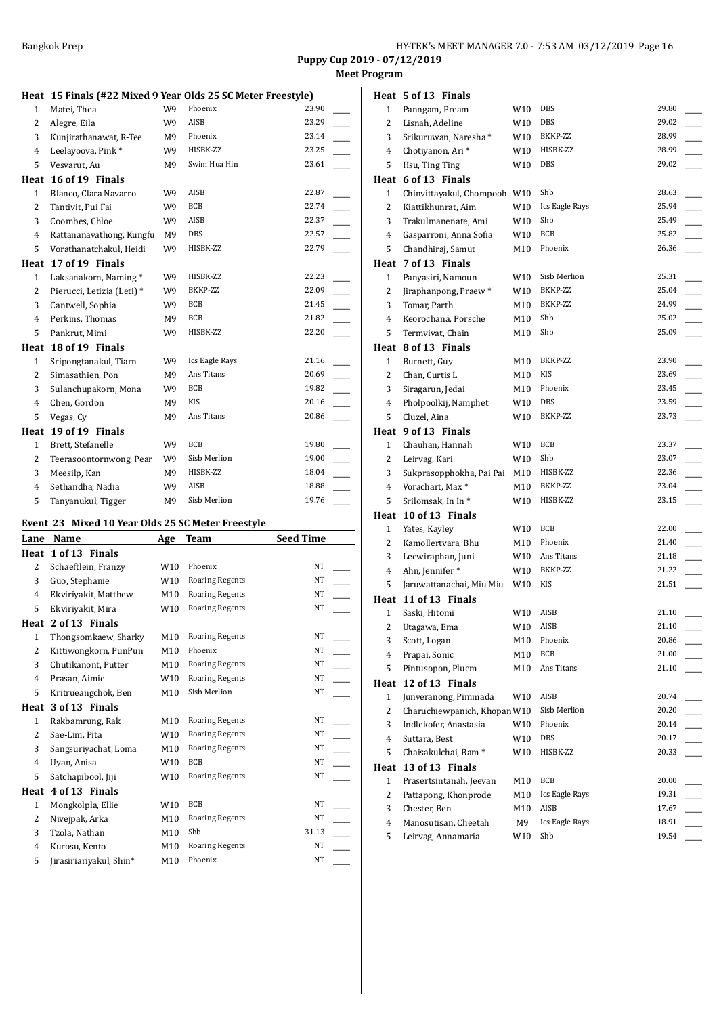**Meet Program**

#### **Heat 15 Finals (#22 Mixed 9 Year Olds 25 SC Meter Freestyle)**

| $\mathbf{1}$   | Matei, Thea                | W9             | Phoenix        | 23.90 |
|----------------|----------------------------|----------------|----------------|-------|
| $\overline{2}$ | Alegre, Eila               | W9             | AISB           | 23.29 |
| 3              | Kunjirathanawat, R-Tee     | M <sub>9</sub> | Phoenix        | 23.14 |
| $\overline{4}$ | Leelayoova, Pink*          | W9             | HISBK-ZZ       | 23.25 |
| 5              | Vesvarut, Au               | M9             | Swim Hua Hin   | 23.61 |
| Heat           | 16 of 19 Finals            |                |                |       |
| $\mathbf{1}$   | Blanco, Clara Navarro      | W9             | AISB           | 22.87 |
| 2              | Tantivit, Pui Fai          | W9             | BCB            | 22.74 |
| 3              | Coombes, Chloe             | W9             | AISB           | 22.37 |
| 4              | Rattananavathong, Kungfu   | M9             | DBS            | 22.57 |
| 5              | Vorathanatchakul, Heidi    | W9             | HISBK-ZZ       | 22.79 |
| Heat           | 17 of 19 Finals            |                |                |       |
| $\mathbf{1}$   | Laksanakorn, Naming*       | W9             | HISBK-ZZ       | 22.23 |
| 2              | Pierucci, Letizia (Leti) * | W9             | BKKP-ZZ        | 22.09 |
| 3              | Cantwell, Sophia           | W9             | BCB            | 21.45 |
| $\overline{4}$ | Perkins, Thomas            | M <sub>9</sub> | BCB            | 21.82 |
| 5              | Pankrut, Mimi              | W9             | HISBK-ZZ       | 22.20 |
| Heat           | 18 of 19 Finals            |                |                |       |
| 1              | Sripongtanakul, Tiarn      | W9             | Ics Eagle Rays | 21.16 |
| $\overline{2}$ | Simasathien, Pon           | M <sub>9</sub> | Ans Titans     | 20.69 |
| 3              | Sulanchupakorn, Mona       | W9             | <b>BCB</b>     | 19.82 |
| $\overline{4}$ | Chen, Gordon               | M9             | <b>KIS</b>     | 20.16 |
| 5              | Vegas, Cy                  | M9             | Ans Titans     | 20.86 |
| Heat           | 19 of 19 Finals            |                |                |       |
| $\mathbf{1}$   | Brett, Stefanelle          | W9             | <b>BCB</b>     | 19.80 |
| $\overline{2}$ | Teerasoontornwong, Pear    | W9             | Sisb Merlion   | 19.00 |
| 3              | Meesilp, Kan               | M9             | HISBK-ZZ       | 18.04 |
| $\overline{4}$ | Sethandha, Nadia           | W9             | <b>AISB</b>    | 18.88 |
| 5              | Tanyanukul, Tigger         | M9             | Sisb Merlion   | 19.76 |

## **Event 23 Mixed 10 Year Olds 25 SC Meter Freestyle**

| Lane         | Name                    | <b>Age</b>      | Team                   | <b>Seed Time</b> |
|--------------|-------------------------|-----------------|------------------------|------------------|
| Heat         | 1 of 13 Finals          |                 |                        |                  |
| 2            | Schaeftlein, Franzy     | W <sub>10</sub> | Phoenix                | NT               |
| 3            | Guo, Stephanie          | W <sub>10</sub> | <b>Roaring Regents</b> | NT               |
| 4            | Ekviriyakit, Matthew    | M10             | <b>Roaring Regents</b> | NT               |
| 5            | Ekviriyakit, Mira       | W <sub>10</sub> | <b>Roaring Regents</b> | NT               |
| Heat         | 2 of 13 Finals          |                 |                        |                  |
| $\mathbf{1}$ | Thongsomkaew, Sharky    | M10             | <b>Roaring Regents</b> | NT               |
| 2            | Kittiwongkorn, PunPun   | M10             | Phoenix                | NT               |
| 3            | Chutikanont, Putter     | M10             | <b>Roaring Regents</b> | NT               |
| 4            | Prasan, Aimie           | W <sub>10</sub> | <b>Roaring Regents</b> | NT               |
| 5            | Kritrueangchok, Ben     | M10             | Sisb Merlion           | NT               |
| Heat         | 3 of 13 Finals          |                 |                        |                  |
| $\mathbf{1}$ | Rakbamrung, Rak         | M10             | <b>Roaring Regents</b> | NT               |
| 2            | Sae-Lim, Pita           | W <sub>10</sub> | <b>Roaring Regents</b> | NT               |
| 3            | Sangsuriyachat, Loma    | M <sub>10</sub> | <b>Roaring Regents</b> | NT               |
| 4            | Uyan, Anisa             | W <sub>10</sub> | <b>BCB</b>             | NT               |
| 5            | Satchapibool, Jiji      | W10             | <b>Roaring Regents</b> | NT               |
| Heat         | 4 of 13 Finals          |                 |                        |                  |
| 1            | Mongkolpla, Ellie       | W <sub>10</sub> | <b>BCB</b>             | NT               |
| 2            | Nivejpak, Arka          | M10             | <b>Roaring Regents</b> | NT               |
| 3            | Tzola, Nathan           | M10             | Shb                    | 31.13            |
| 4            | Kurosu, Kento           | M10             | <b>Roaring Regents</b> | NT               |
| 5            | Jirasiriariyakul, Shin* | M10             | Phoenix                | NT               |
|              |                         |                 |                        |                  |

|                         | Heat 5 of 13 Finals             |     |                |       |
|-------------------------|---------------------------------|-----|----------------|-------|
| $\mathbf{1}$            | Panngam, Pream                  | W10 | <b>DBS</b>     | 29.80 |
| 2                       | Lisnah, Adeline                 | W10 | DBS            | 29.02 |
| 3                       | Srikuruwan, Naresha*            | W10 | BKKP-ZZ        | 28.99 |
| 4                       | Chotiyanon, Ari*                | W10 | HISBK-ZZ       | 28.99 |
| 5                       | Hsu, Ting Ting                  | W10 | DBS            | 29.02 |
|                         | Heat 6 of 13 Finals             |     |                |       |
| 1                       | Chinvittayakul, Chompooh W10    |     | Shb            | 28.63 |
| 2                       | Kiattikhunrat, Aim              | W10 | Ics Eagle Rays | 25.94 |
| 3                       | Trakulmanenate, Ami             | W10 | Shb            | 25.49 |
| 4                       | Gasparroni, Anna Sofia          | W10 | BCB            | 25.82 |
| 5                       | Chandhiraj, Samut               | M10 | Phoenix        | 26.36 |
|                         | Heat 7 of 13 Finals             |     |                |       |
| $\mathbf{1}$            | Panyasiri, Namoun               | W10 | Sisb Merlion   | 25.31 |
| 2                       | Jiraphanpong, Praew*            | W10 | BKKP-ZZ        | 25.04 |
| 3                       | Tomar, Parth                    | M10 | BKKP-ZZ        | 24.99 |
| 4                       | Keorochana, Porsche             | M10 | Shb            | 25.02 |
| 5                       | Termvivat, Chain                | M10 | Shb            | 25.09 |
|                         | Heat 8 of 13 Finals             |     |                |       |
| $\mathbf{1}$            | Burnett, Guy                    | M10 | BKKP-ZZ        | 23.90 |
| 2                       | Chan, Curtis L                  | M10 | KIS            | 23.69 |
| 3                       | Siragarun, Jedai                | M10 | Phoenix        | 23.45 |
| 4                       | Pholpoolkij, Namphet            | W10 | <b>DBS</b>     | 23.59 |
| 5                       | Cluzel, Aina                    | W10 | BKKP-ZZ        | 23.73 |
|                         | Heat 9 of 13 Finals             |     |                |       |
| $\mathbf{1}$            | Chauhan, Hannah                 | W10 | BCB            | 23.37 |
| 2                       | Leirvag, Kari                   | W10 | Shb            | 23.07 |
| 3                       | Sukprasopphokha, Pai Pai        | M10 | HISBK-ZZ       | 22.36 |
| 4                       | Vorachart, Max*                 | M10 | BKKP-ZZ        | 23.04 |
| 5                       | Srilomsak, In In*               | W10 | HISBK-ZZ       | 23.15 |
|                         | Heat 10 of 13 Finals            |     |                |       |
| $\mathbf{1}$            | Yates, Kayley                   | W10 | BCB            | 22.00 |
| 2                       | Kamollertvara, Bhu              | M10 | Phoenix        | 21.40 |
| 3                       | Leewiraphan, Juni               | W10 | Ans Titans     | 21.18 |
| 4                       | Ahn, Jennifer*                  | W10 | BKKP-ZZ        | 21.22 |
| 5                       | Jaruwattanachai, Miu Miu        | W10 | KIS            | 21.51 |
|                         | Heat 11 of 13 Finals            |     |                |       |
| 1                       | Saski, Hitomi                   | W10 | AISB           | 21.10 |
| $\overline{\mathbf{c}}$ | Utagawa, Ema                    | W10 | AISB           | 21.10 |
| 3                       | Scott, Logan                    | M10 | Phoenix        | 20.86 |
| 4                       | Prapai, Sonic                   | M10 | <b>BCB</b>     | 21.00 |
| 5                       | Pintusopon, Pluem               | M10 | Ans Titans     | 21.10 |
| Heat                    | 12 of 13 Finals                 |     |                |       |
| $\mathbf{1}$            | Junveranong, Pimmada            | W10 | AISB           | 20.74 |
| 2                       | Charuchiewpanich, Khopan W10    |     | Sisb Merlion   | 20.20 |
| 3                       | Indlekofer, Anastasia           | W10 | Phoenix        | 20.14 |
| $\overline{\mathbf{4}}$ | Suttara, Best                   | W10 | DBS            | 20.17 |
| 5                       | Chaisakulchai, Bam <sup>*</sup> | W10 | HISBK-ZZ       | 20.33 |
| Heat                    | 13 of 13 Finals                 |     |                |       |
| $\mathbf{1}$            | Prasertsintanah, Jeevan         | M10 | <b>BCB</b>     | 20.00 |
| 2                       | Pattapong, Khonprode            | M10 | Ics Eagle Rays | 19.31 |
| 3                       | Chester, Ben                    | M10 | AISB           | 17.67 |
| $\overline{\mathbf{4}}$ | Manosutisan, Cheetah            | M9  | Ics Eagle Rays | 18.91 |
| 5                       | Leirvag, Annamaria              | W10 | Shb            | 19.54 |
|                         |                                 |     |                |       |